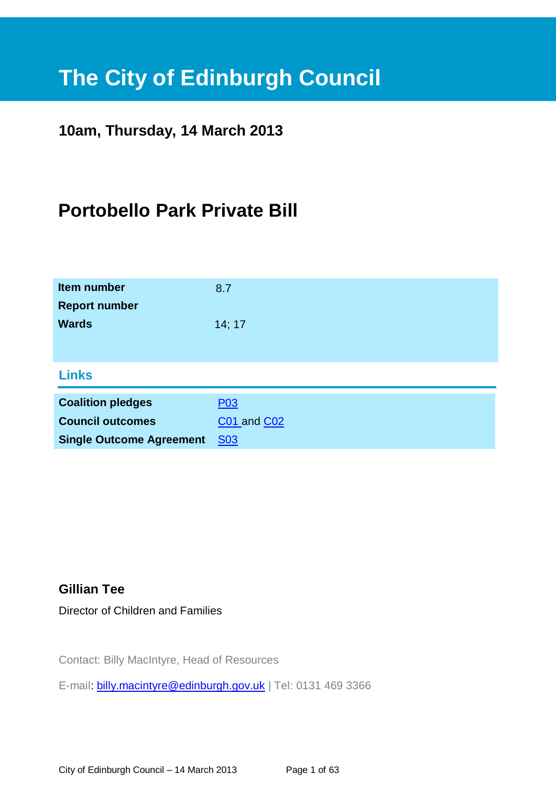# **The City of Edinburgh Council**

# **10am, Thursday, 14 March 2013**

# **Portobello Park Private Bill**

| <b>Item number</b><br><b>Report number</b> | 8.7                |
|--------------------------------------------|--------------------|
| <b>Wards</b>                               | 14; 17             |
| <b>Links</b>                               |                    |
| <b>Coalition pledges</b>                   | P <sub>03</sub>    |
| <b>Council outcomes</b>                    | <b>C01 and C02</b> |
| <b>Single Outcome Agreement</b>            | <b>S03</b>         |

# **Gillian Tee**

Director of Children and Families

Contact: Billy MacIntyre, Head of Resources

E-mail: [billy.macintyre@edinburgh.gov.uk](mailto:billy.macintyre@edinburgh.gov.uk) | Tel: 0131 469 3366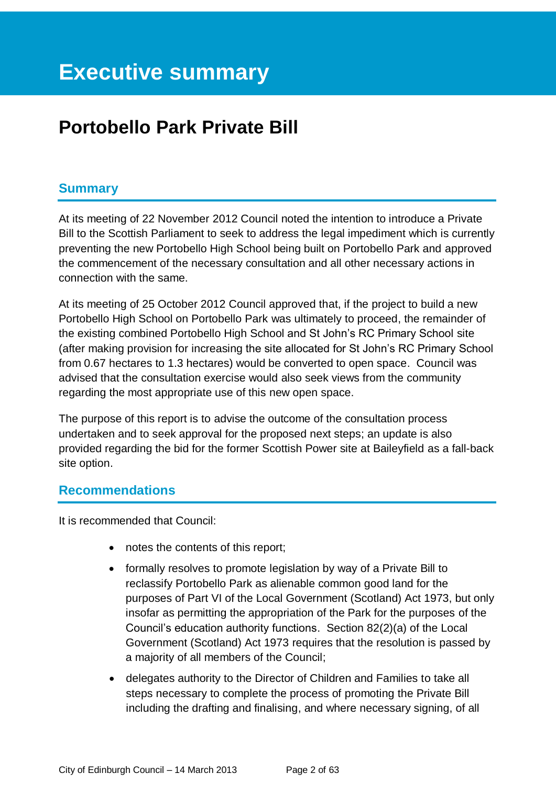# **Portobello Park Private Bill**

# **Summary**

At its meeting of 22 November 2012 Council noted the intention to introduce a Private Bill to the Scottish Parliament to seek to address the legal impediment which is currently preventing the new Portobello High School being built on Portobello Park and approved the commencement of the necessary consultation and all other necessary actions in connection with the same.

At its meeting of 25 October 2012 Council approved that, if the project to build a new Portobello High School on Portobello Park was ultimately to proceed, the remainder of the existing combined Portobello High School and St John's RC Primary School site (after making provision for increasing the site allocated for St John's RC Primary School from 0.67 hectares to 1.3 hectares) would be converted to open space. Council was advised that the consultation exercise would also seek views from the community regarding the most appropriate use of this new open space.

The purpose of this report is to advise the outcome of the consultation process undertaken and to seek approval for the proposed next steps; an update is also provided regarding the bid for the former Scottish Power site at Baileyfield as a fall-back site option.

#### **Recommendations**

It is recommended that Council:

- notes the contents of this report;
- formally resolves to promote legislation by way of a Private Bill to reclassify Portobello Park as alienable common good land for the purposes of Part VI of the Local Government (Scotland) Act 1973, but only insofar as permitting the appropriation of the Park for the purposes of the Council's education authority functions. Section 82(2)(a) of the Local Government (Scotland) Act 1973 requires that the resolution is passed by a majority of all members of the Council;
- delegates authority to the Director of Children and Families to take all steps necessary to complete the process of promoting the Private Bill including the drafting and finalising, and where necessary signing, of all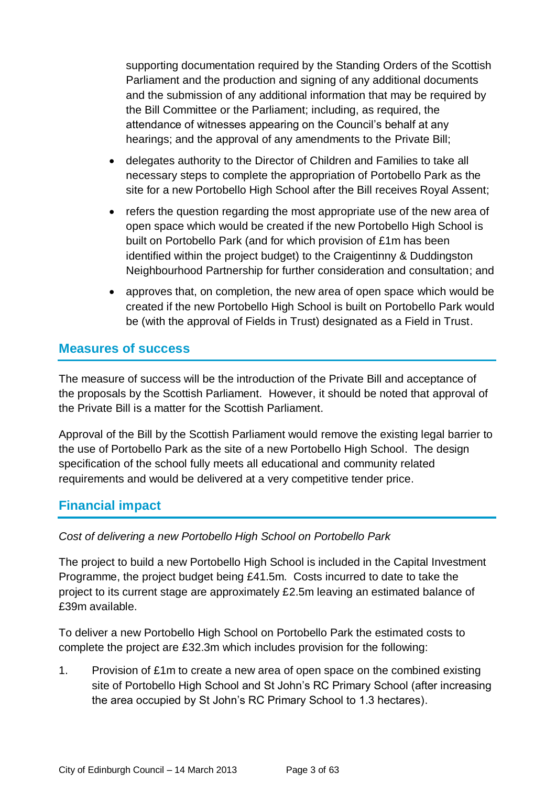supporting documentation required by the Standing Orders of the Scottish Parliament and the production and signing of any additional documents and the submission of any additional information that may be required by the Bill Committee or the Parliament; including, as required, the attendance of witnesses appearing on the Council's behalf at any hearings; and the approval of any amendments to the Private Bill;

- delegates authority to the Director of Children and Families to take all necessary steps to complete the appropriation of Portobello Park as the site for a new Portobello High School after the Bill receives Royal Assent;
- refers the question regarding the most appropriate use of the new area of open space which would be created if the new Portobello High School is built on Portobello Park (and for which provision of £1m has been identified within the project budget) to the Craigentinny & Duddingston Neighbourhood Partnership for further consideration and consultation; and
- approves that, on completion, the new area of open space which would be created if the new Portobello High School is built on Portobello Park would be (with the approval of Fields in Trust) designated as a Field in Trust.

# **Measures of success**

The measure of success will be the introduction of the Private Bill and acceptance of the proposals by the Scottish Parliament. However, it should be noted that approval of the Private Bill is a matter for the Scottish Parliament.

Approval of the Bill by the Scottish Parliament would remove the existing legal barrier to the use of Portobello Park as the site of a new Portobello High School. The design specification of the school fully meets all educational and community related requirements and would be delivered at a very competitive tender price.

# **Financial impact**

#### *Cost of delivering a new Portobello High School on Portobello Park*

The project to build a new Portobello High School is included in the Capital Investment Programme, the project budget being £41.5m. Costs incurred to date to take the project to its current stage are approximately £2.5m leaving an estimated balance of £39m available.

To deliver a new Portobello High School on Portobello Park the estimated costs to complete the project are £32.3m which includes provision for the following:

1. Provision of £1m to create a new area of open space on the combined existing site of Portobello High School and St John's RC Primary School (after increasing the area occupied by St John's RC Primary School to 1.3 hectares).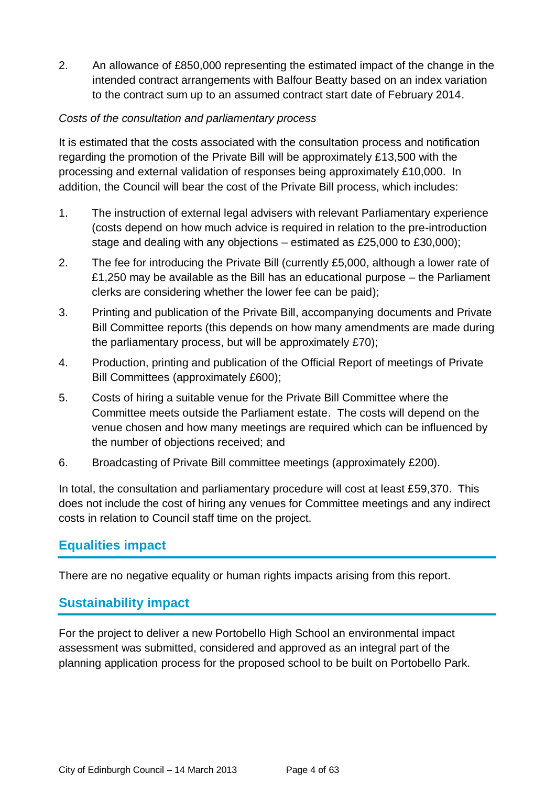2. An allowance of £850,000 representing the estimated impact of the change in the intended contract arrangements with Balfour Beatty based on an index variation to the contract sum up to an assumed contract start date of February 2014.

#### *Costs of the consultation and parliamentary process*

It is estimated that the costs associated with the consultation process and notification regarding the promotion of the Private Bill will be approximately £13,500 with the processing and external validation of responses being approximately £10,000. In addition, the Council will bear the cost of the Private Bill process, which includes:

- 1. The instruction of external legal advisers with relevant Parliamentary experience (costs depend on how much advice is required in relation to the pre-introduction stage and dealing with any objections – estimated as £25,000 to £30,000);
- 2. The fee for introducing the Private Bill (currently £5,000, although a lower rate of £1,250 may be available as the Bill has an educational purpose – the Parliament clerks are considering whether the lower fee can be paid);
- 3. Printing and publication of the Private Bill, accompanying documents and Private Bill Committee reports (this depends on how many amendments are made during the parliamentary process, but will be approximately £70);
- 4. Production, printing and publication of the Official Report of meetings of Private Bill Committees (approximately £600);
- 5. Costs of hiring a suitable venue for the Private Bill Committee where the Committee meets outside the Parliament estate. The costs will depend on the venue chosen and how many meetings are required which can be influenced by the number of objections received; and
- 6. Broadcasting of Private Bill committee meetings (approximately £200).

In total, the consultation and parliamentary procedure will cost at least £59,370. This does not include the cost of hiring any venues for Committee meetings and any indirect costs in relation to Council staff time on the project.

# **Equalities impact**

There are no negative equality or human rights impacts arising from this report.

# **Sustainability impact**

For the project to deliver a new Portobello High School an environmental impact assessment was submitted, considered and approved as an integral part of the planning application process for the proposed school to be built on Portobello Park.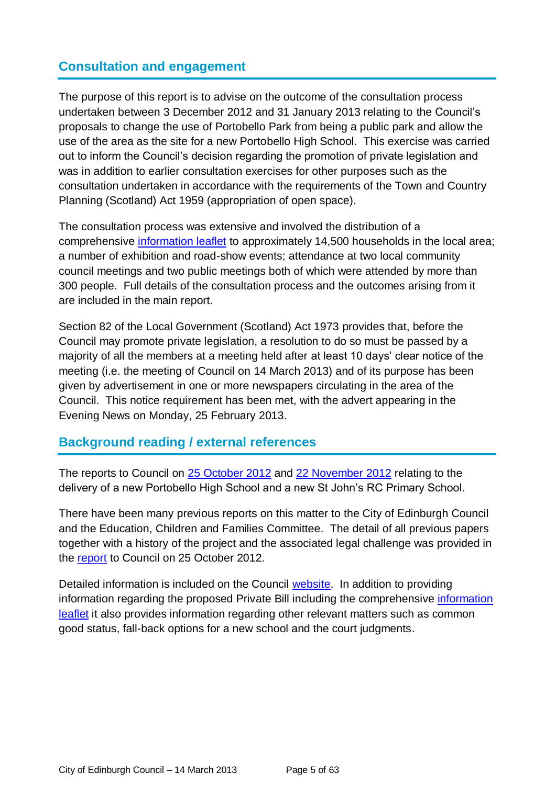# **Consultation and engagement**

The purpose of this report is to advise on the outcome of the consultation process undertaken between 3 December 2012 and 31 January 2013 relating to the Council's proposals to change the use of Portobello Park from being a public park and allow the use of the area as the site for a new Portobello High School. This exercise was carried out to inform the Council's decision regarding the promotion of private legislation and was in addition to earlier consultation exercises for other purposes such as the consultation undertaken in accordance with the requirements of the Town and Country Planning (Scotland) Act 1959 (appropriation of open space).

The consultation process was extensive and involved the distribution of a comprehensive [information leaflet](http://www.edinburgh.gov.uk/download/downloads/id/9185/information_leaflet_december_2012) to approximately 14,500 households in the local area; a number of exhibition and road-show events; attendance at two local community council meetings and two public meetings both of which were attended by more than 300 people. Full details of the consultation process and the outcomes arising from it are included in the main report.

Section 82 of the Local Government (Scotland) Act 1973 provides that, before the Council may promote private legislation, a resolution to do so must be passed by a majority of all the members at a meeting held after at least 10 days' clear notice of the meeting (i.e. the meeting of Council on 14 March 2013) and of its purpose has been given by advertisement in one or more newspapers circulating in the area of the Council. This notice requirement has been met, with the advert appearing in the Evening News on Monday, 25 February 2013.

# **Background reading / external references**

The reports to Council on [25 October 2012](http://www.edinburgh.gov.uk/download/meetings/id/36933/item_81_the_new_portobello_high_school_and_new_st_johns_rc_primary_school) and [22 November 2012](http://www.edinburgh.gov.uk/download/meetings/id/37233/item_no_81-the_new_portobello_high_school_and_new_st_johns_rc_primary_school) relating to the delivery of a new Portobello High School and a new St John's RC Primary School.

There have been many previous reports on this matter to the City of Edinburgh Council and the Education, Children and Families Committee. The detail of all previous papers together with a history of the project and the associated legal challenge was provided in the [report](http://www.edinburgh.gov.uk/download/meetings/id/36933/) to Council on 25 October 2012.

Detailed information is included on the Council [website.](http://www.edinburgh.gov.uk/info/675/consultations_on_education/1636/new_portobello_high_school) In addition to providing information regarding the proposed Private Bill including the comprehensive [information](http://www.edinburgh.gov.uk/download/downloads/id/9185/information_leaflet_december_2012)  [leaflet](http://www.edinburgh.gov.uk/download/downloads/id/9185/information_leaflet_december_2012) it also provides information regarding other relevant matters such as common good status, fall-back options for a new school and the court judgments.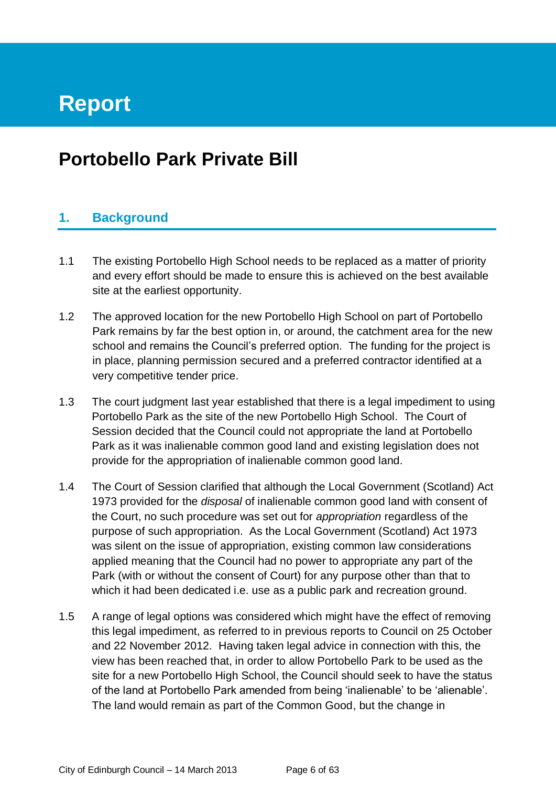# **Report**

# **Portobello Park Private Bill**

# **1. Background**

- 1.1 The existing Portobello High School needs to be replaced as a matter of priority and every effort should be made to ensure this is achieved on the best available site at the earliest opportunity.
- 1.2 The approved location for the new Portobello High School on part of Portobello Park remains by far the best option in, or around, the catchment area for the new school and remains the Council's preferred option. The funding for the project is in place, planning permission secured and a preferred contractor identified at a very competitive tender price.
- 1.3 The court judgment last year established that there is a legal impediment to using Portobello Park as the site of the new Portobello High School. The Court of Session decided that the Council could not appropriate the land at Portobello Park as it was inalienable common good land and existing legislation does not provide for the appropriation of inalienable common good land.
- 1.4 The Court of Session clarified that although the Local Government (Scotland) Act 1973 provided for the *disposal* of inalienable common good land with consent of the Court, no such procedure was set out for *appropriation* regardless of the purpose of such appropriation. As the Local Government (Scotland) Act 1973 was silent on the issue of appropriation, existing common law considerations applied meaning that the Council had no power to appropriate any part of the Park (with or without the consent of Court) for any purpose other than that to which it had been dedicated i.e. use as a public park and recreation ground.
- 1.5 A range of legal options was considered which might have the effect of removing this legal impediment, as referred to in previous reports to Council on 25 October and 22 November 2012. Having taken legal advice in connection with this, the view has been reached that, in order to allow Portobello Park to be used as the site for a new Portobello High School, the Council should seek to have the status of the land at Portobello Park amended from being 'inalienable' to be 'alienable'. The land would remain as part of the Common Good, but the change in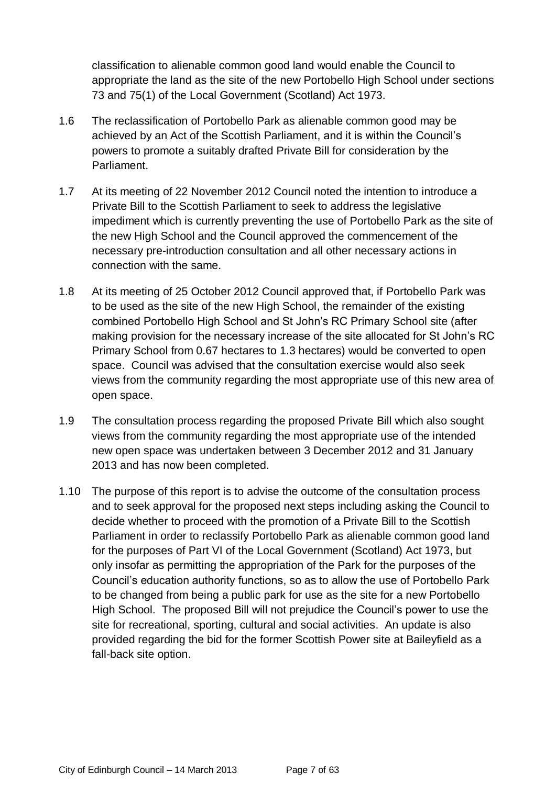classification to alienable common good land would enable the Council to appropriate the land as the site of the new Portobello High School under sections 73 and 75(1) of the Local Government (Scotland) Act 1973.

- 1.6 The reclassification of Portobello Park as alienable common good may be achieved by an Act of the Scottish Parliament, and it is within the Council's powers to promote a suitably drafted Private Bill for consideration by the Parliament.
- 1.7 At its meeting of 22 November 2012 Council noted the intention to introduce a Private Bill to the Scottish Parliament to seek to address the legislative impediment which is currently preventing the use of Portobello Park as the site of the new High School and the Council approved the commencement of the necessary pre-introduction consultation and all other necessary actions in connection with the same.
- 1.8 At its meeting of 25 October 2012 Council approved that, if Portobello Park was to be used as the site of the new High School, the remainder of the existing combined Portobello High School and St John's RC Primary School site (after making provision for the necessary increase of the site allocated for St John's RC Primary School from 0.67 hectares to 1.3 hectares) would be converted to open space. Council was advised that the consultation exercise would also seek views from the community regarding the most appropriate use of this new area of open space.
- 1.9 The consultation process regarding the proposed Private Bill which also sought views from the community regarding the most appropriate use of the intended new open space was undertaken between 3 December 2012 and 31 January 2013 and has now been completed.
- 1.10 The purpose of this report is to advise the outcome of the consultation process and to seek approval for the proposed next steps including asking the Council to decide whether to proceed with the promotion of a Private Bill to the Scottish Parliament in order to reclassify Portobello Park as alienable common good land for the purposes of Part VI of the Local Government (Scotland) Act 1973, but only insofar as permitting the appropriation of the Park for the purposes of the Council's education authority functions, so as to allow the use of Portobello Park to be changed from being a public park for use as the site for a new Portobello High School. The proposed Bill will not prejudice the Council's power to use the site for recreational, sporting, cultural and social activities. An update is also provided regarding the bid for the former Scottish Power site at Baileyfield as a fall-back site option.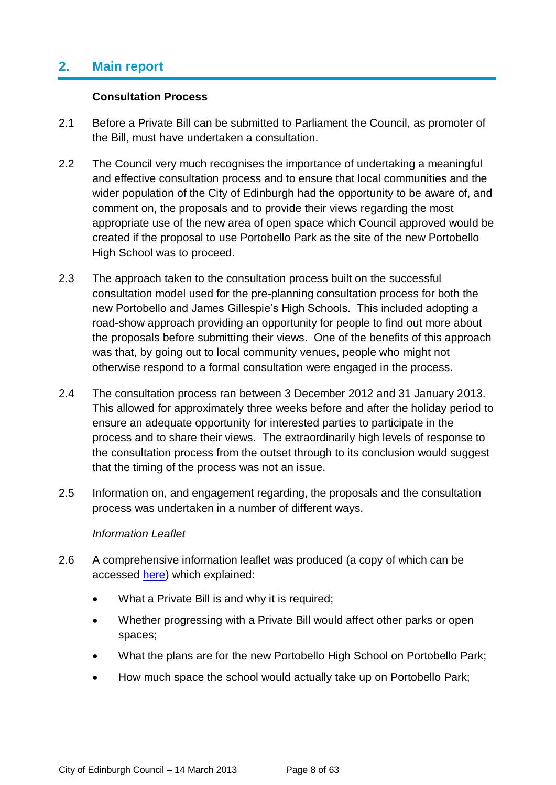# **2. Main report**

#### **Consultation Process**

- 2.1 Before a Private Bill can be submitted to Parliament the Council, as promoter of the Bill, must have undertaken a consultation.
- 2.2 The Council very much recognises the importance of undertaking a meaningful and effective consultation process and to ensure that local communities and the wider population of the City of Edinburgh had the opportunity to be aware of, and comment on, the proposals and to provide their views regarding the most appropriate use of the new area of open space which Council approved would be created if the proposal to use Portobello Park as the site of the new Portobello High School was to proceed.
- 2.3 The approach taken to the consultation process built on the successful consultation model used for the pre-planning consultation process for both the new Portobello and James Gillespie's High Schools. This included adopting a road-show approach providing an opportunity for people to find out more about the proposals before submitting their views. One of the benefits of this approach was that, by going out to local community venues, people who might not otherwise respond to a formal consultation were engaged in the process.
- 2.4 The consultation process ran between 3 December 2012 and 31 January 2013. This allowed for approximately three weeks before and after the holiday period to ensure an adequate opportunity for interested parties to participate in the process and to share their views. The extraordinarily high levels of response to the consultation process from the outset through to its conclusion would suggest that the timing of the process was not an issue.
- 2.5 Information on, and engagement regarding, the proposals and the consultation process was undertaken in a number of different ways.

#### *Information Leaflet*

- 2.6 A comprehensive information leaflet was produced (a copy of which can be accessed [here\)](http://www.edinburgh.gov.uk/download/downloads/id/9185/information_leaflet_december_2012) which explained:
	- What a Private Bill is and why it is required;
	- Whether progressing with a Private Bill would affect other parks or open spaces;
	- What the plans are for the new Portobello High School on Portobello Park;
	- How much space the school would actually take up on Portobello Park;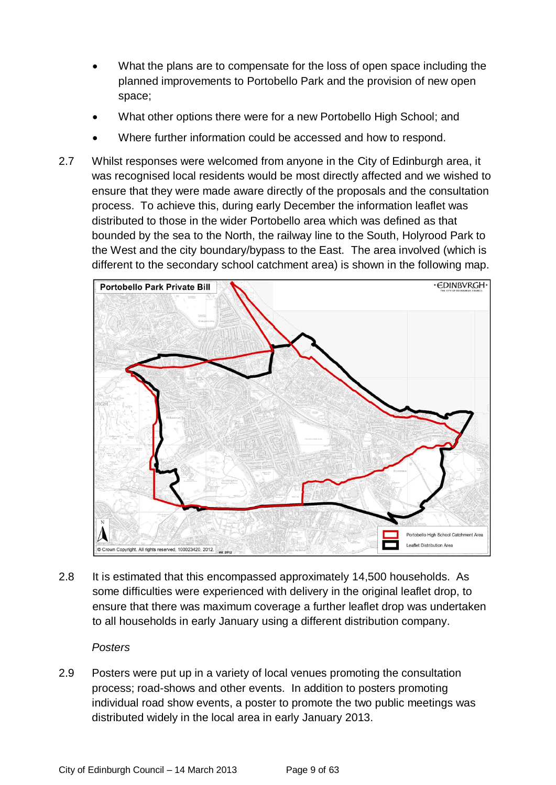- What the plans are to compensate for the loss of open space including the planned improvements to Portobello Park and the provision of new open space;
- What other options there were for a new Portobello High School; and
- Where further information could be accessed and how to respond.
- 2.7 Whilst responses were welcomed from anyone in the City of Edinburgh area, it was recognised local residents would be most directly affected and we wished to ensure that they were made aware directly of the proposals and the consultation process. To achieve this, during early December the information leaflet was distributed to those in the wider Portobello area which was defined as that bounded by the sea to the North, the railway line to the South, Holyrood Park to the West and the city boundary/bypass to the East. The area involved (which is different to the secondary school catchment area) is shown in the following map.



2.8 It is estimated that this encompassed approximately 14,500 households. As some difficulties were experienced with delivery in the original leaflet drop, to ensure that there was maximum coverage a further leaflet drop was undertaken to all households in early January using a different distribution company.

#### *Posters*

2.9 Posters were put up in a variety of local venues promoting the consultation process; road-shows and other events. In addition to posters promoting individual road show events, a poster to promote the two public meetings was distributed widely in the local area in early January 2013.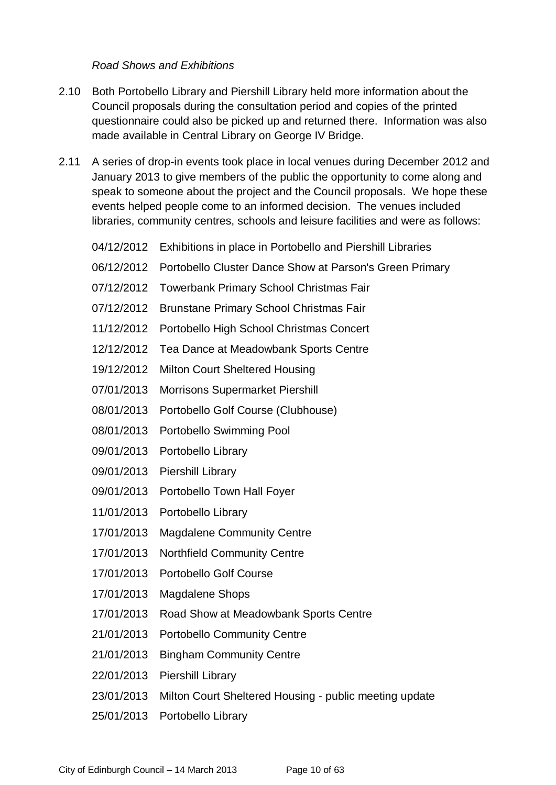*Road Shows and Exhibitions*

- 2.10 Both Portobello Library and Piershill Library held more information about the Council proposals during the consultation period and copies of the printed questionnaire could also be picked up and returned there. Information was also made available in Central Library on George IV Bridge.
- 2.11 A series of drop-in events took place in local venues during December 2012 and January 2013 to give members of the public the opportunity to come along and speak to someone about the project and the Council proposals. We hope these events helped people come to an informed decision. The venues included libraries, community centres, schools and leisure facilities and were as follows:
	- 04/12/2012 Exhibitions in place in Portobello and Piershill Libraries
	- 06/12/2012 Portobello Cluster Dance Show at Parson's Green Primary
	- 07/12/2012 Towerbank Primary School Christmas Fair
	- 07/12/2012 Brunstane Primary School Christmas Fair
	- 11/12/2012 Portobello High School Christmas Concert
	- 12/12/2012 Tea Dance at Meadowbank Sports Centre
	- 19/12/2012 Milton Court Sheltered Housing
	- 07/01/2013 Morrisons Supermarket Piershill
	- 08/01/2013 Portobello Golf Course (Clubhouse)
	- 08/01/2013 Portobello Swimming Pool
	- 09/01/2013 Portobello Library
	- 09/01/2013 Piershill Library
	- 09/01/2013 Portobello Town Hall Foyer
	- 11/01/2013 Portobello Library
	- 17/01/2013 Magdalene Community Centre
	- 17/01/2013 Northfield Community Centre
	- 17/01/2013 Portobello Golf Course
	- 17/01/2013 Magdalene Shops
	- 17/01/2013 Road Show at Meadowbank Sports Centre
	- 21/01/2013 Portobello Community Centre
	- 21/01/2013 Bingham Community Centre
	- 22/01/2013 Piershill Library
	- 23/01/2013 Milton Court Sheltered Housing public meeting update
	- 25/01/2013 Portobello Library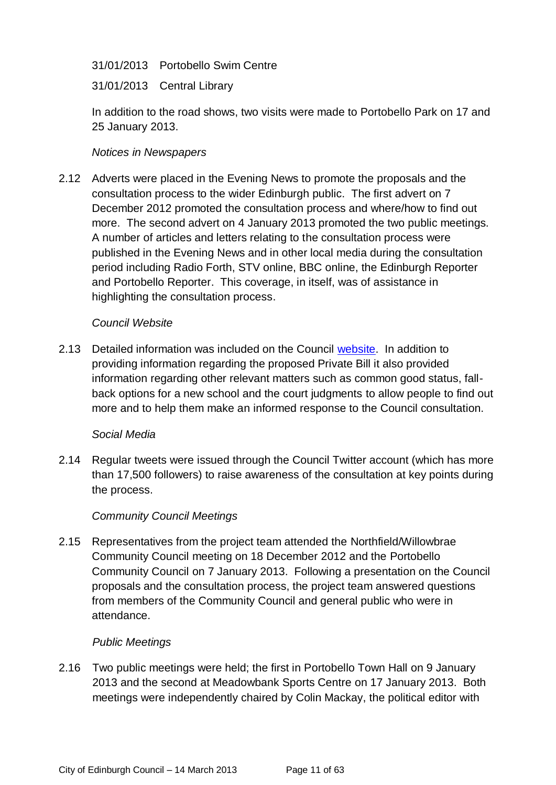31/01/2013 Portobello Swim Centre

31/01/2013 Central Library

In addition to the road shows, two visits were made to Portobello Park on 17 and 25 January 2013.

#### *Notices in Newspapers*

2.12 Adverts were placed in the Evening News to promote the proposals and the consultation process to the wider Edinburgh public. The first advert on 7 December 2012 promoted the consultation process and where/how to find out more. The second advert on 4 January 2013 promoted the two public meetings. A number of articles and letters relating to the consultation process were published in the Evening News and in other local media during the consultation period including Radio Forth, STV online, BBC online, the Edinburgh Reporter and Portobello Reporter. This coverage, in itself, was of assistance in highlighting the consultation process.

#### *Council Website*

2.13 Detailed information was included on the Council [website.](http://www.edinburgh.gov.uk/info/675/consultations_on_education/1636/new_portobello_high_school) In addition to providing information regarding the proposed Private Bill it also provided information regarding other relevant matters such as common good status, fallback options for a new school and the court judgments to allow people to find out more and to help them make an informed response to the Council consultation.

#### *Social Media*

2.14 Regular tweets were issued through the Council Twitter account (which has more than 17,500 followers) to raise awareness of the consultation at key points during the process.

#### *Community Council Meetings*

2.15 Representatives from the project team attended the Northfield/Willowbrae Community Council meeting on 18 December 2012 and the Portobello Community Council on 7 January 2013. Following a presentation on the Council proposals and the consultation process, the project team answered questions from members of the Community Council and general public who were in attendance.

#### *Public Meetings*

2.16 Two public meetings were held; the first in Portobello Town Hall on 9 January 2013 and the second at Meadowbank Sports Centre on 17 January 2013. Both meetings were independently chaired by Colin Mackay, the political editor with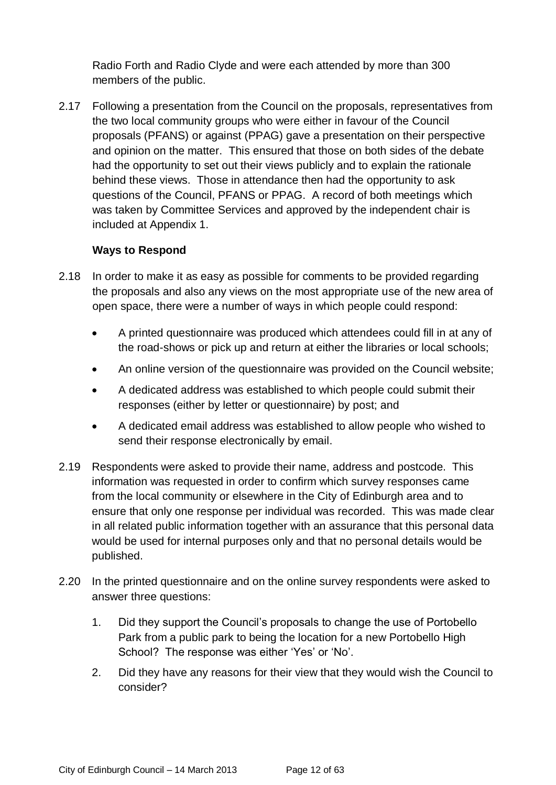Radio Forth and Radio Clyde and were each attended by more than 300 members of the public.

2.17 Following a presentation from the Council on the proposals, representatives from the two local community groups who were either in favour of the Council proposals (PFANS) or against (PPAG) gave a presentation on their perspective and opinion on the matter. This ensured that those on both sides of the debate had the opportunity to set out their views publicly and to explain the rationale behind these views. Those in attendance then had the opportunity to ask questions of the Council, PFANS or PPAG. A record of both meetings which was taken by Committee Services and approved by the independent chair is included at Appendix 1.

#### **Ways to Respond**

- 2.18 In order to make it as easy as possible for comments to be provided regarding the proposals and also any views on the most appropriate use of the new area of open space, there were a number of ways in which people could respond:
	- A printed questionnaire was produced which attendees could fill in at any of the road-shows or pick up and return at either the libraries or local schools;
	- An online version of the questionnaire was provided on the Council website;
	- A dedicated address was established to which people could submit their responses (either by letter or questionnaire) by post; and
	- A dedicated email address was established to allow people who wished to send their response electronically by email.
- 2.19 Respondents were asked to provide their name, address and postcode. This information was requested in order to confirm which survey responses came from the local community or elsewhere in the City of Edinburgh area and to ensure that only one response per individual was recorded. This was made clear in all related public information together with an assurance that this personal data would be used for internal purposes only and that no personal details would be published.
- 2.20 In the printed questionnaire and on the online survey respondents were asked to answer three questions:
	- 1. Did they support the Council's proposals to change the use of Portobello Park from a public park to being the location for a new Portobello High School? The response was either 'Yes' or 'No'.
	- 2. Did they have any reasons for their view that they would wish the Council to consider?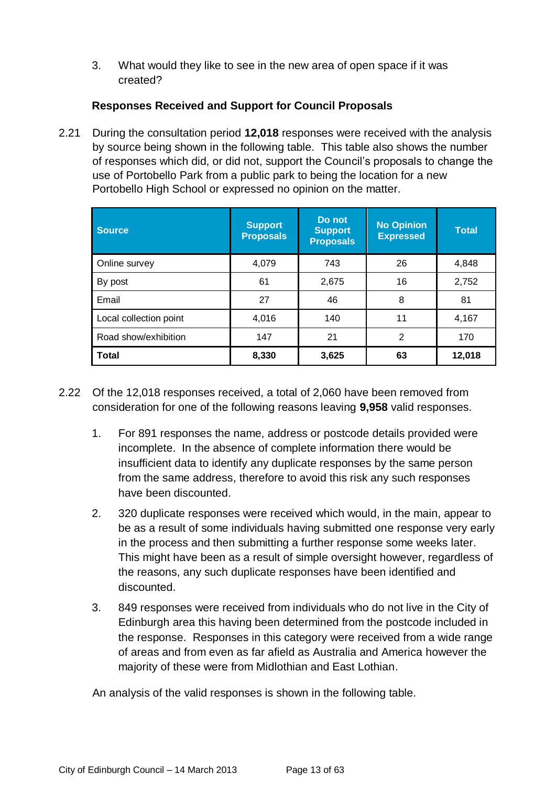3. What would they like to see in the new area of open space if it was created?

### **Responses Received and Support for Council Proposals**

2.21 During the consultation period **12,018** responses were received with the analysis by source being shown in the following table. This table also shows the number of responses which did, or did not, support the Council's proposals to change the use of Portobello Park from a public park to being the location for a new Portobello High School or expressed no opinion on the matter.

| <b>Source</b>          | <b>Support</b><br><b>Proposals</b> | Do not<br><b>Support</b><br><b>Proposals</b> | <b>No Opinion</b><br><b>Expressed</b> | <b>Total</b> |
|------------------------|------------------------------------|----------------------------------------------|---------------------------------------|--------------|
| Online survey          | 4,079                              | 743                                          | 26                                    | 4,848        |
| By post                | 61                                 | 2,675                                        | 16                                    | 2,752        |
| Email                  | 27                                 | 46                                           | 8                                     | 81           |
| Local collection point | 4,016                              | 140                                          | 11                                    | 4,167        |
| Road show/exhibition   | 147                                | 21                                           | 2                                     | 170          |
| <b>Total</b>           | 8,330                              | 3,625                                        | 63                                    | 12,018       |

- 2.22 Of the 12,018 responses received, a total of 2,060 have been removed from consideration for one of the following reasons leaving **9,958** valid responses.
	- 1. For 891 responses the name, address or postcode details provided were incomplete. In the absence of complete information there would be insufficient data to identify any duplicate responses by the same person from the same address, therefore to avoid this risk any such responses have been discounted.
	- 2. 320 duplicate responses were received which would, in the main, appear to be as a result of some individuals having submitted one response very early in the process and then submitting a further response some weeks later. This might have been as a result of simple oversight however, regardless of the reasons, any such duplicate responses have been identified and discounted.
	- 3. 849 responses were received from individuals who do not live in the City of Edinburgh area this having been determined from the postcode included in the response. Responses in this category were received from a wide range of areas and from even as far afield as Australia and America however the majority of these were from Midlothian and East Lothian.

An analysis of the valid responses is shown in the following table.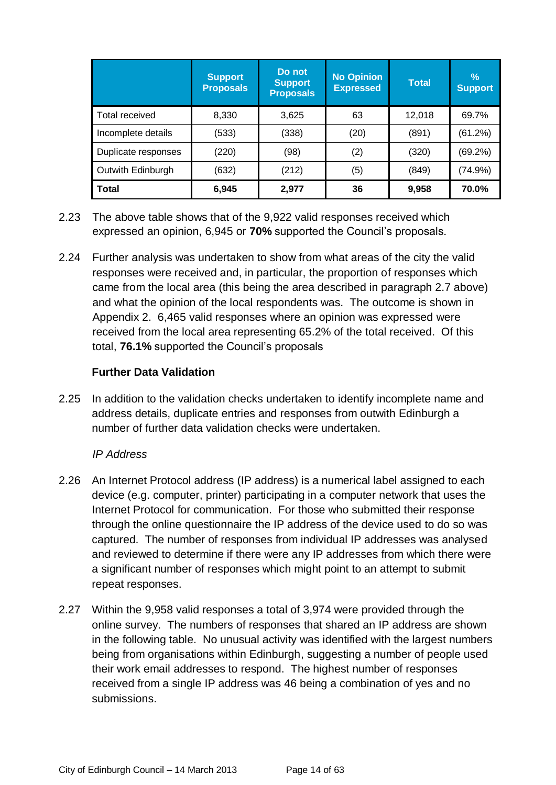|                     | <b>Support</b><br><b>Proposals</b> | Do not<br><b>Support</b><br><b>Proposals</b> | <b>No Opinion</b><br><b>Expressed</b> | <b>Total</b> | $\frac{0}{0}$<br><b>Support</b> |
|---------------------|------------------------------------|----------------------------------------------|---------------------------------------|--------------|---------------------------------|
| Total received      | 8,330                              | 3,625                                        | 63                                    | 12,018       | 69.7%                           |
| Incomplete details  | (533)                              | (338)                                        | (20)                                  | (891)        | (61.2%)                         |
| Duplicate responses | (220)                              | (98)                                         | (2)                                   | (320)        | (69.2%)                         |
| Outwith Edinburgh   | (632)                              | (212)                                        | (5)                                   | (849)        | (74.9%)                         |
| <b>Total</b>        | 6,945                              | 2,977                                        | 36                                    | 9,958        | 70.0%                           |

- 2.23 The above table shows that of the 9,922 valid responses received which expressed an opinion, 6,945 or **70%** supported the Council's proposals.
- 2.24 Further analysis was undertaken to show from what areas of the city the valid responses were received and, in particular, the proportion of responses which came from the local area (this being the area described in paragraph 2.7 above) and what the opinion of the local respondents was. The outcome is shown in Appendix 2. 6,465 valid responses where an opinion was expressed were received from the local area representing 65.2% of the total received. Of this total, **76.1%** supported the Council's proposals

# **Further Data Validation**

2.25 In addition to the validation checks undertaken to identify incomplete name and address details, duplicate entries and responses from outwith Edinburgh a number of further data validation checks were undertaken.

#### *IP Address*

- 2.26 An Internet Protocol address (IP address) is a numerical label assigned to each device (e.g. computer, printer) participating in a computer network that uses the Internet Protocol for communication. For those who submitted their response through the online questionnaire the IP address of the device used to do so was captured. The number of responses from individual IP addresses was analysed and reviewed to determine if there were any IP addresses from which there were a significant number of responses which might point to an attempt to submit repeat responses.
- 2.27 Within the 9,958 valid responses a total of 3,974 were provided through the online survey. The numbers of responses that shared an IP address are shown in the following table. No unusual activity was identified with the largest numbers being from organisations within Edinburgh, suggesting a number of people used their work email addresses to respond. The highest number of responses received from a single IP address was 46 being a combination of yes and no submissions.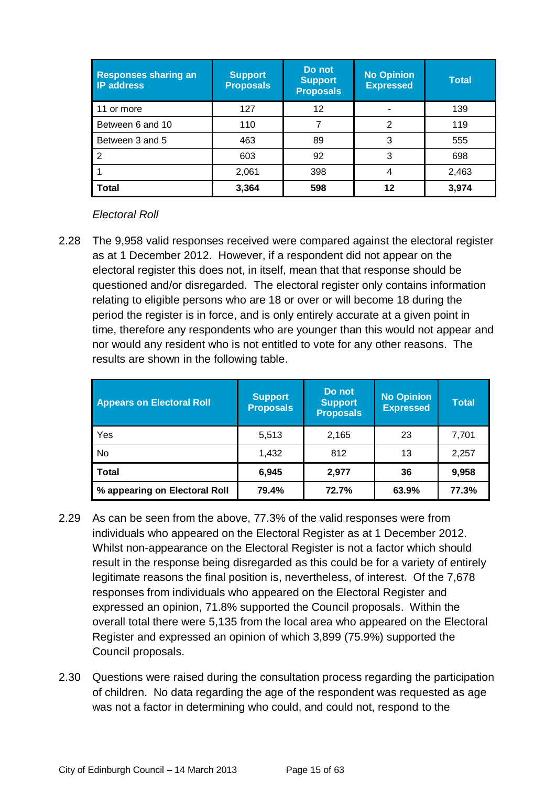| <b>Responses sharing an</b><br><b>IP address</b> | <b>Support</b><br><b>Proposals</b> | Do not<br><b>Support</b><br><b>Proposals</b> | <b>No Opinion</b><br><b>Expressed</b> | <b>Total</b> |
|--------------------------------------------------|------------------------------------|----------------------------------------------|---------------------------------------|--------------|
| 11 or more                                       | 127                                | 12                                           |                                       | 139          |
| Between 6 and 10                                 | 110                                |                                              | っ                                     | 119          |
| Between 3 and 5                                  | 463                                | 89                                           | 3                                     | 555          |
| 2                                                | 603                                | 92                                           | 3                                     | 698          |
|                                                  | 2,061                              | 398                                          |                                       | 2,463        |
| <b>Total</b>                                     | 3,364                              | 598                                          | 12                                    | 3,974        |

#### *Electoral Roll*

2.28 The 9,958 valid responses received were compared against the electoral register as at 1 December 2012. However, if a respondent did not appear on the electoral register this does not, in itself, mean that that response should be questioned and/or disregarded. The electoral register only contains information relating to eligible persons who are 18 or over or will become 18 during the period the register is in force, and is only entirely accurate at a given point in time, therefore any respondents who are younger than this would not appear and nor would any resident who is not entitled to vote for any other reasons. The results are shown in the following table.

| <b>Appears on Electoral Roll</b> | <b>Support</b><br><b>Proposals</b> | <b>Do</b> not<br><b>Support</b><br><b>Proposals</b> | <b>No Opinion</b><br><b>Expressed</b> | <b>Total</b> |
|----------------------------------|------------------------------------|-----------------------------------------------------|---------------------------------------|--------------|
| Yes                              | 5,513                              | 2,165                                               | 23                                    | 7,701        |
| No                               | 1,432                              | 812                                                 | 13                                    | 2,257        |
| <b>Total</b>                     | 6.945                              | 2,977                                               | 36                                    | 9,958        |
| % appearing on Electoral Roll    | 79.4%                              | 72.7%                                               | 63.9%                                 | 77.3%        |

- 2.29 As can be seen from the above, 77.3% of the valid responses were from individuals who appeared on the Electoral Register as at 1 December 2012. Whilst non-appearance on the Electoral Register is not a factor which should result in the response being disregarded as this could be for a variety of entirely legitimate reasons the final position is, nevertheless, of interest. Of the 7,678 responses from individuals who appeared on the Electoral Register and expressed an opinion, 71.8% supported the Council proposals. Within the overall total there were 5,135 from the local area who appeared on the Electoral Register and expressed an opinion of which 3,899 (75.9%) supported the Council proposals.
- 2.30 Questions were raised during the consultation process regarding the participation of children. No data regarding the age of the respondent was requested as age was not a factor in determining who could, and could not, respond to the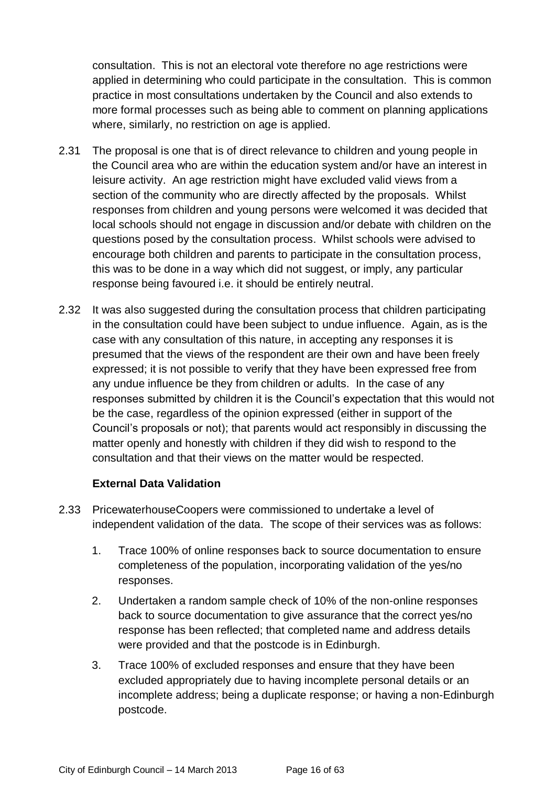consultation. This is not an electoral vote therefore no age restrictions were applied in determining who could participate in the consultation. This is common practice in most consultations undertaken by the Council and also extends to more formal processes such as being able to comment on planning applications where, similarly, no restriction on age is applied.

- 2.31 The proposal is one that is of direct relevance to children and young people in the Council area who are within the education system and/or have an interest in leisure activity. An age restriction might have excluded valid views from a section of the community who are directly affected by the proposals. Whilst responses from children and young persons were welcomed it was decided that local schools should not engage in discussion and/or debate with children on the questions posed by the consultation process. Whilst schools were advised to encourage both children and parents to participate in the consultation process, this was to be done in a way which did not suggest, or imply, any particular response being favoured i.e. it should be entirely neutral.
- 2.32 It was also suggested during the consultation process that children participating in the consultation could have been subject to undue influence. Again, as is the case with any consultation of this nature, in accepting any responses it is presumed that the views of the respondent are their own and have been freely expressed; it is not possible to verify that they have been expressed free from any undue influence be they from children or adults. In the case of any responses submitted by children it is the Council's expectation that this would not be the case, regardless of the opinion expressed (either in support of the Council's proposals or not); that parents would act responsibly in discussing the matter openly and honestly with children if they did wish to respond to the consultation and that their views on the matter would be respected.

#### **External Data Validation**

- 2.33 PricewaterhouseCoopers were commissioned to undertake a level of independent validation of the data. The scope of their services was as follows:
	- 1. Trace 100% of online responses back to source documentation to ensure completeness of the population, incorporating validation of the yes/no responses.
	- 2. Undertaken a random sample check of 10% of the non-online responses back to source documentation to give assurance that the correct yes/no response has been reflected; that completed name and address details were provided and that the postcode is in Edinburgh.
	- 3. Trace 100% of excluded responses and ensure that they have been excluded appropriately due to having incomplete personal details or an incomplete address; being a duplicate response; or having a non-Edinburgh postcode.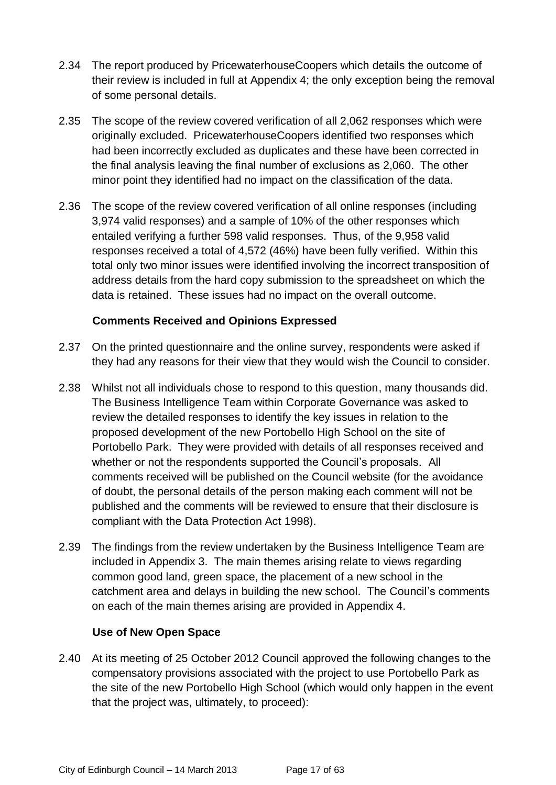- 2.34 The report produced by PricewaterhouseCoopers which details the outcome of their review is included in full at Appendix 4; the only exception being the removal of some personal details.
- 2.35 The scope of the review covered verification of all 2,062 responses which were originally excluded. PricewaterhouseCoopers identified two responses which had been incorrectly excluded as duplicates and these have been corrected in the final analysis leaving the final number of exclusions as 2,060. The other minor point they identified had no impact on the classification of the data.
- 2.36 The scope of the review covered verification of all online responses (including 3,974 valid responses) and a sample of 10% of the other responses which entailed verifying a further 598 valid responses. Thus, of the 9,958 valid responses received a total of 4,572 (46%) have been fully verified. Within this total only two minor issues were identified involving the incorrect transposition of address details from the hard copy submission to the spreadsheet on which the data is retained. These issues had no impact on the overall outcome.

#### **Comments Received and Opinions Expressed**

- 2.37 On the printed questionnaire and the online survey, respondents were asked if they had any reasons for their view that they would wish the Council to consider.
- 2.38 Whilst not all individuals chose to respond to this question, many thousands did. The Business Intelligence Team within Corporate Governance was asked to review the detailed responses to identify the key issues in relation to the proposed development of the new Portobello High School on the site of Portobello Park. They were provided with details of all responses received and whether or not the respondents supported the Council's proposals. All comments received will be published on the Council website (for the avoidance of doubt, the personal details of the person making each comment will not be published and the comments will be reviewed to ensure that their disclosure is compliant with the Data Protection Act 1998).
- 2.39 The findings from the review undertaken by the Business Intelligence Team are included in Appendix 3. The main themes arising relate to views regarding common good land, green space, the placement of a new school in the catchment area and delays in building the new school. The Council's comments on each of the main themes arising are provided in Appendix 4.

#### **Use of New Open Space**

2.40 At its meeting of 25 October 2012 Council approved the following changes to the compensatory provisions associated with the project to use Portobello Park as the site of the new Portobello High School (which would only happen in the event that the project was, ultimately, to proceed):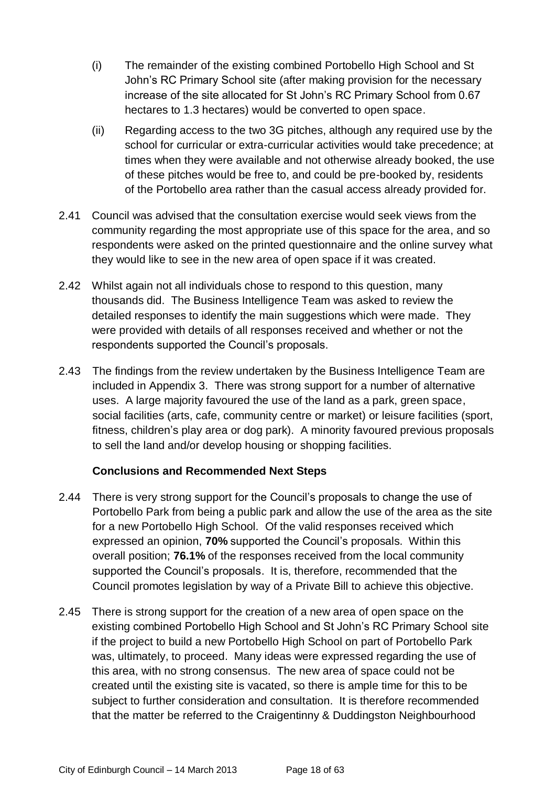- (i) The remainder of the existing combined Portobello High School and St John's RC Primary School site (after making provision for the necessary increase of the site allocated for St John's RC Primary School from 0.67 hectares to 1.3 hectares) would be converted to open space.
- (ii) Regarding access to the two 3G pitches, although any required use by the school for curricular or extra-curricular activities would take precedence; at times when they were available and not otherwise already booked, the use of these pitches would be free to, and could be pre-booked by, residents of the Portobello area rather than the casual access already provided for.
- 2.41 Council was advised that the consultation exercise would seek views from the community regarding the most appropriate use of this space for the area, and so respondents were asked on the printed questionnaire and the online survey what they would like to see in the new area of open space if it was created.
- 2.42 Whilst again not all individuals chose to respond to this question, many thousands did. The Business Intelligence Team was asked to review the detailed responses to identify the main suggestions which were made. They were provided with details of all responses received and whether or not the respondents supported the Council's proposals.
- 2.43 The findings from the review undertaken by the Business Intelligence Team are included in Appendix 3. There was strong support for a number of alternative uses. A large majority favoured the use of the land as a park, green space, social facilities (arts, cafe, community centre or market) or leisure facilities (sport, fitness, children's play area or dog park). A minority favoured previous proposals to sell the land and/or develop housing or shopping facilities.

#### **Conclusions and Recommended Next Steps**

- 2.44 There is very strong support for the Council's proposals to change the use of Portobello Park from being a public park and allow the use of the area as the site for a new Portobello High School. Of the valid responses received which expressed an opinion, **70%** supported the Council's proposals. Within this overall position; **76.1%** of the responses received from the local community supported the Council's proposals. It is, therefore, recommended that the Council promotes legislation by way of a Private Bill to achieve this objective.
- 2.45 There is strong support for the creation of a new area of open space on the existing combined Portobello High School and St John's RC Primary School site if the project to build a new Portobello High School on part of Portobello Park was, ultimately, to proceed. Many ideas were expressed regarding the use of this area, with no strong consensus. The new area of space could not be created until the existing site is vacated, so there is ample time for this to be subject to further consideration and consultation. It is therefore recommended that the matter be referred to the Craigentinny & Duddingston Neighbourhood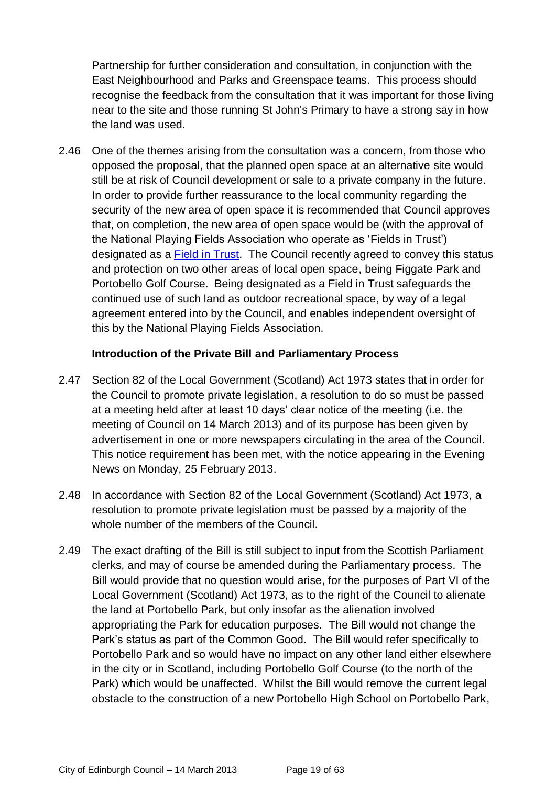Partnership for further consideration and consultation, in conjunction with the East Neighbourhood and Parks and Greenspace teams. This process should recognise the feedback from the consultation that it was important for those living near to the site and those running St John's Primary to have a strong say in how the land was used.

2.46 One of the themes arising from the consultation was a concern, from those who opposed the proposal, that the planned open space at an alternative site would still be at risk of Council development or sale to a private company in the future. In order to provide further reassurance to the local community regarding the security of the new area of open space it is recommended that Council approves that, on completion, the new area of open space would be (with the approval of the National Playing Fields Association who operate as 'Fields in Trust') designated as a **Field in Trust**. The Council recently agreed to convey this status and protection on two other areas of local open space, being Figgate Park and Portobello Golf Course. Being designated as a Field in Trust safeguards the continued use of such land as outdoor recreational space, by way of a legal agreement entered into by the Council, and enables independent oversight of this by the National Playing Fields Association.

#### **Introduction of the Private Bill and Parliamentary Process**

- 2.47 Section 82 of the Local Government (Scotland) Act 1973 states that in order for the Council to promote private legislation, a resolution to do so must be passed at a meeting held after at least 10 days' clear notice of the meeting (i.e. the meeting of Council on 14 March 2013) and of its purpose has been given by advertisement in one or more newspapers circulating in the area of the Council. This notice requirement has been met, with the notice appearing in the Evening News on Monday, 25 February 2013.
- 2.48 In accordance with Section 82 of the Local Government (Scotland) Act 1973, a resolution to promote private legislation must be passed by a majority of the whole number of the members of the Council.
- 2.49 The exact drafting of the Bill is still subject to input from the Scottish Parliament clerks, and may of course be amended during the Parliamentary process. The Bill would provide that no question would arise, for the purposes of Part VI of the Local Government (Scotland) Act 1973, as to the right of the Council to alienate the land at Portobello Park, but only insofar as the alienation involved appropriating the Park for education purposes. The Bill would not change the Park's status as part of the Common Good. The Bill would refer specifically to Portobello Park and so would have no impact on any other land either elsewhere in the city or in Scotland, including Portobello Golf Course (to the north of the Park) which would be unaffected. Whilst the Bill would remove the current legal obstacle to the construction of a new Portobello High School on Portobello Park,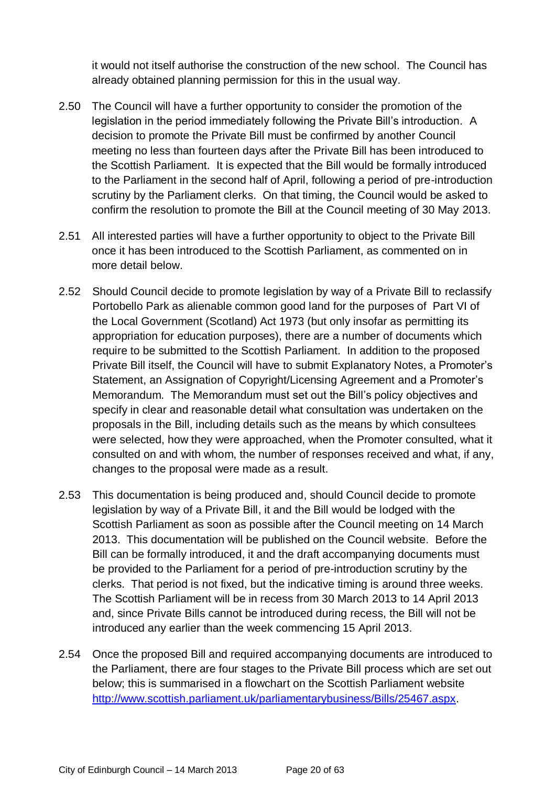it would not itself authorise the construction of the new school. The Council has already obtained planning permission for this in the usual way.

- 2.50 The Council will have a further opportunity to consider the promotion of the legislation in the period immediately following the Private Bill's introduction. A decision to promote the Private Bill must be confirmed by another Council meeting no less than fourteen days after the Private Bill has been introduced to the Scottish Parliament. It is expected that the Bill would be formally introduced to the Parliament in the second half of April, following a period of pre-introduction scrutiny by the Parliament clerks. On that timing, the Council would be asked to confirm the resolution to promote the Bill at the Council meeting of 30 May 2013.
- 2.51 All interested parties will have a further opportunity to object to the Private Bill once it has been introduced to the Scottish Parliament, as commented on in more detail below.
- 2.52 Should Council decide to promote legislation by way of a Private Bill to reclassify Portobello Park as alienable common good land for the purposes of Part VI of the Local Government (Scotland) Act 1973 (but only insofar as permitting its appropriation for education purposes), there are a number of documents which require to be submitted to the Scottish Parliament. In addition to the proposed Private Bill itself, the Council will have to submit Explanatory Notes, a Promoter's Statement, an Assignation of Copyright/Licensing Agreement and a Promoter's Memorandum. The Memorandum must set out the Bill's policy objectives and specify in clear and reasonable detail what consultation was undertaken on the proposals in the Bill, including details such as the means by which consultees were selected, how they were approached, when the Promoter consulted, what it consulted on and with whom, the number of responses received and what, if any, changes to the proposal were made as a result.
- 2.53 This documentation is being produced and, should Council decide to promote legislation by way of a Private Bill, it and the Bill would be lodged with the Scottish Parliament as soon as possible after the Council meeting on 14 March 2013. This documentation will be published on the Council website. Before the Bill can be formally introduced, it and the draft accompanying documents must be provided to the Parliament for a period of pre-introduction scrutiny by the clerks. That period is not fixed, but the indicative timing is around three weeks. The Scottish Parliament will be in recess from 30 March 2013 to 14 April 2013 and, since Private Bills cannot be introduced during recess, the Bill will not be introduced any earlier than the week commencing 15 April 2013.
- 2.54 Once the proposed Bill and required accompanying documents are introduced to the Parliament, there are four stages to the Private Bill process which are set out below; this is summarised in a flowchart on the Scottish Parliament website [http://www.scottish.parliament.uk/parliamentarybusiness/Bills/25467.aspx.](http://www.scottish.parliament.uk/parliamentarybusiness/Bills/25467.aspx)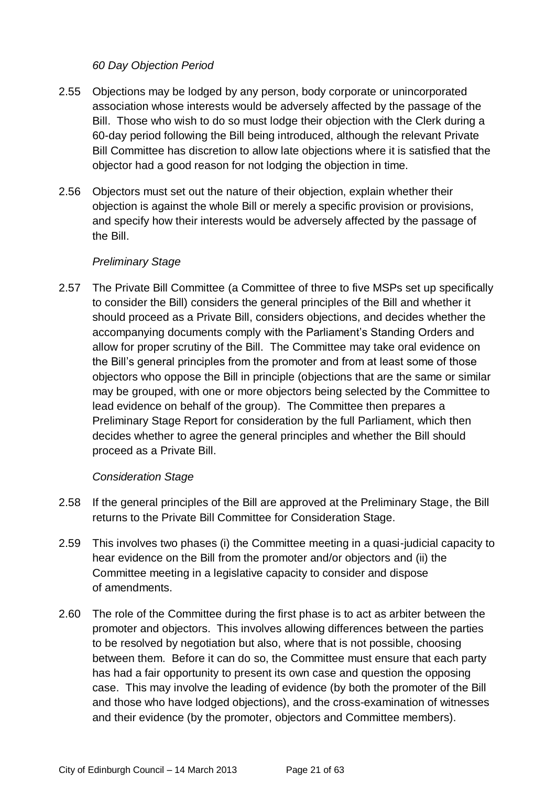#### *60 Day Objection Period*

- 2.55 Objections may be lodged by any person, body corporate or unincorporated association whose interests would be adversely affected by the passage of the Bill. Those who wish to do so must lodge their objection with the Clerk during a 60-day period following the Bill being introduced, although the relevant Private Bill Committee has discretion to allow late objections where it is satisfied that the objector had a good reason for not lodging the objection in time.
- 2.56 Objectors must set out the nature of their objection, explain whether their objection is against the whole Bill or merely a specific provision or provisions, and specify how their interests would be adversely affected by the passage of the Bill.

#### *Preliminary Stage*

2.57 The Private Bill Committee (a Committee of three to five MSPs set up specifically to consider the Bill) considers the general principles of the Bill and whether it should proceed as a Private Bill, considers objections, and decides whether the accompanying documents comply with the Parliament's Standing Orders and allow for proper scrutiny of the Bill. The Committee may take oral evidence on the Bill's general principles from the promoter and from at least some of those objectors who oppose the Bill in principle (objections that are the same or similar may be grouped, with one or more objectors being selected by the Committee to lead evidence on behalf of the group). The Committee then prepares a Preliminary Stage Report for consideration by the full Parliament, which then decides whether to agree the general principles and whether the Bill should proceed as a Private Bill.

#### *Consideration Stage*

- 2.58 If the general principles of the Bill are approved at the Preliminary Stage, the Bill returns to the Private Bill Committee for Consideration Stage.
- 2.59 This involves two phases (i) the Committee meeting in a quasi-judicial capacity to hear evidence on the Bill from the promoter and/or objectors and (ii) the Committee meeting in a legislative capacity to consider and dispose of amendments.
- 2.60 The role of the Committee during the first phase is to act as arbiter between the promoter and objectors. This involves allowing differences between the parties to be resolved by negotiation but also, where that is not possible, choosing between them. Before it can do so, the Committee must ensure that each party has had a fair opportunity to present its own case and question the opposing case. This may involve the leading of evidence (by both the promoter of the Bill and those who have lodged objections), and the cross-examination of witnesses and their evidence (by the promoter, objectors and Committee members).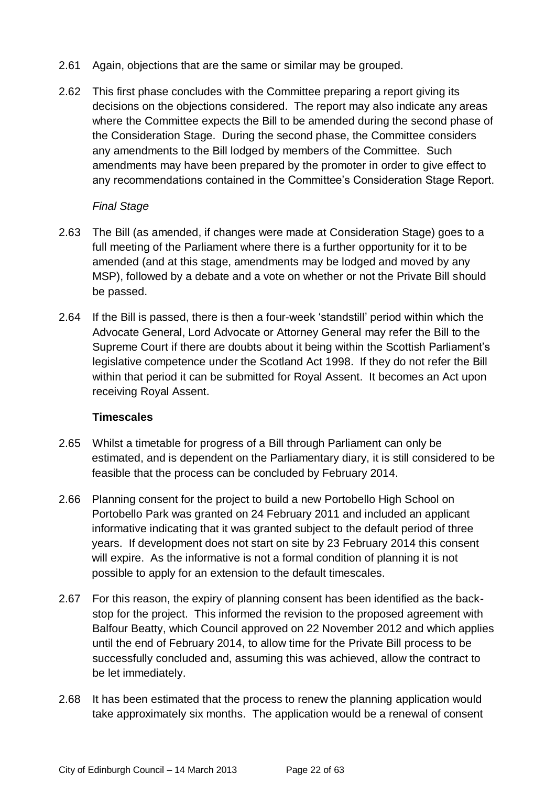- 2.61 Again, objections that are the same or similar may be grouped.
- 2.62 This first phase concludes with the Committee preparing a report giving its decisions on the objections considered. The report may also indicate any areas where the Committee expects the Bill to be amended during the second phase of the Consideration Stage. During the second phase, the Committee considers any amendments to the Bill lodged by members of the Committee. Such amendments may have been prepared by the promoter in order to give effect to any recommendations contained in the Committee's Consideration Stage Report.

#### *Final Stage*

- 2.63 The Bill (as amended, if changes were made at Consideration Stage) goes to a full meeting of the Parliament where there is a further opportunity for it to be amended (and at this stage, amendments may be lodged and moved by any MSP), followed by a debate and a vote on whether or not the Private Bill should be passed.
- 2.64 If the Bill is passed, there is then a four-week 'standstill' period within which the Advocate General, Lord Advocate or Attorney General may refer the Bill to the Supreme Court if there are doubts about it being within the Scottish Parliament's legislative competence under the Scotland Act 1998. If they do not refer the Bill within that period it can be submitted for Royal Assent. It becomes an Act upon receiving Royal Assent.

#### **Timescales**

- 2.65 Whilst a timetable for progress of a Bill through Parliament can only be estimated, and is dependent on the Parliamentary diary, it is still considered to be feasible that the process can be concluded by February 2014.
- 2.66 Planning consent for the project to build a new Portobello High School on Portobello Park was granted on 24 February 2011 and included an applicant informative indicating that it was granted subject to the default period of three years. If development does not start on site by 23 February 2014 this consent will expire. As the informative is not a formal condition of planning it is not possible to apply for an extension to the default timescales.
- 2.67 For this reason, the expiry of planning consent has been identified as the backstop for the project. This informed the revision to the proposed agreement with Balfour Beatty, which Council approved on 22 November 2012 and which applies until the end of February 2014, to allow time for the Private Bill process to be successfully concluded and, assuming this was achieved, allow the contract to be let immediately.
- 2.68 It has been estimated that the process to renew the planning application would take approximately six months. The application would be a renewal of consent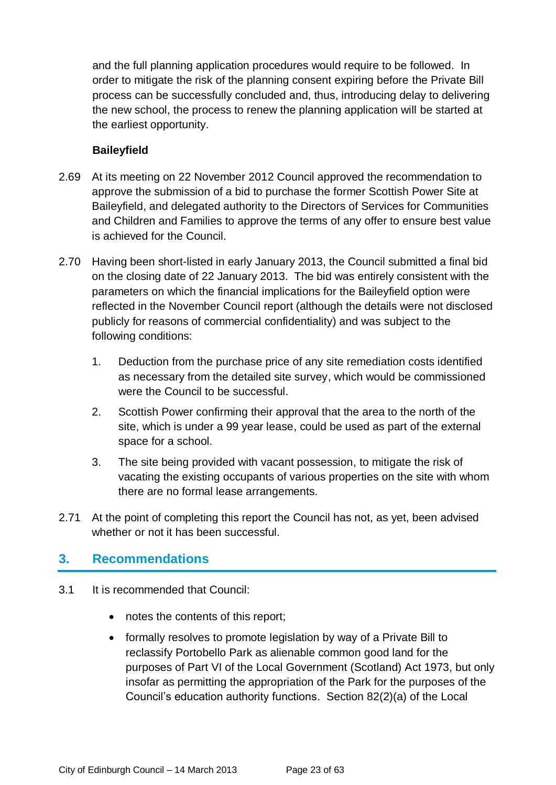and the full planning application procedures would require to be followed. In order to mitigate the risk of the planning consent expiring before the Private Bill process can be successfully concluded and, thus, introducing delay to delivering the new school, the process to renew the planning application will be started at the earliest opportunity.

#### **Baileyfield**

- 2.69 At its meeting on 22 November 2012 Council approved the recommendation to approve the submission of a bid to purchase the former Scottish Power Site at Baileyfield, and delegated authority to the Directors of Services for Communities and Children and Families to approve the terms of any offer to ensure best value is achieved for the Council.
- 2.70 Having been short-listed in early January 2013, the Council submitted a final bid on the closing date of 22 January 2013. The bid was entirely consistent with the parameters on which the financial implications for the Baileyfield option were reflected in the November Council report (although the details were not disclosed publicly for reasons of commercial confidentiality) and was subject to the following conditions:
	- 1. Deduction from the purchase price of any site remediation costs identified as necessary from the detailed site survey, which would be commissioned were the Council to be successful.
	- 2. Scottish Power confirming their approval that the area to the north of the site, which is under a 99 year lease, could be used as part of the external space for a school.
	- 3. The site being provided with vacant possession, to mitigate the risk of vacating the existing occupants of various properties on the site with whom there are no formal lease arrangements.
- 2.71 At the point of completing this report the Council has not, as yet, been advised whether or not it has been successful.

# **3. Recommendations**

- 3.1 It is recommended that Council:
	- notes the contents of this report;
	- formally resolves to promote legislation by way of a Private Bill to reclassify Portobello Park as alienable common good land for the purposes of Part VI of the Local Government (Scotland) Act 1973, but only insofar as permitting the appropriation of the Park for the purposes of the Council's education authority functions. Section 82(2)(a) of the Local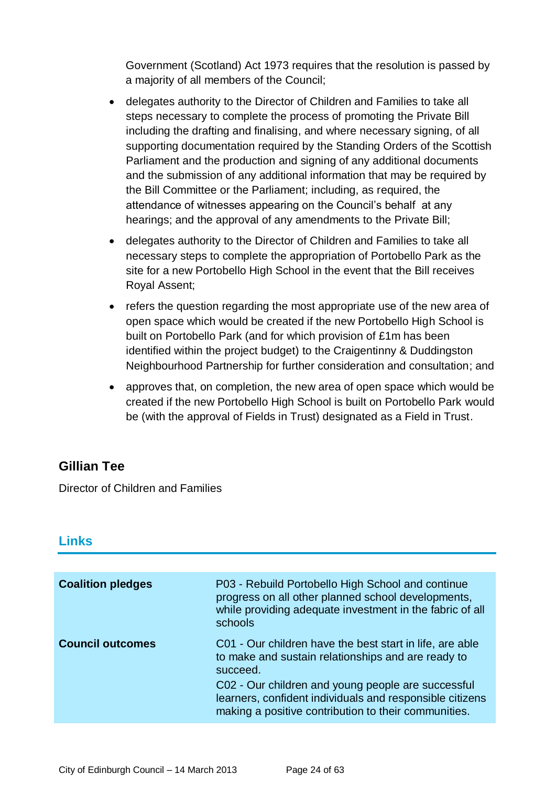Government (Scotland) Act 1973 requires that the resolution is passed by a majority of all members of the Council;

- delegates authority to the Director of Children and Families to take all steps necessary to complete the process of promoting the Private Bill including the drafting and finalising, and where necessary signing, of all supporting documentation required by the Standing Orders of the Scottish Parliament and the production and signing of any additional documents and the submission of any additional information that may be required by the Bill Committee or the Parliament; including, as required, the attendance of witnesses appearing on the Council's behalf at any hearings; and the approval of any amendments to the Private Bill;
- delegates authority to the Director of Children and Families to take all necessary steps to complete the appropriation of Portobello Park as the site for a new Portobello High School in the event that the Bill receives Royal Assent;
- refers the question regarding the most appropriate use of the new area of open space which would be created if the new Portobello High School is built on Portobello Park (and for which provision of £1m has been identified within the project budget) to the Craigentinny & Duddingston Neighbourhood Partnership for further consideration and consultation; and
- approves that, on completion, the new area of open space which would be created if the new Portobello High School is built on Portobello Park would be (with the approval of Fields in Trust) designated as a Field in Trust.

# **Gillian Tee**

Director of Children and Families

# **Links**

| <b>Coalition pledges</b> | P03 - Rebuild Portobello High School and continue<br>progress on all other planned school developments,<br>while providing adequate investment in the fabric of all<br>schools                                                                                                                       |
|--------------------------|------------------------------------------------------------------------------------------------------------------------------------------------------------------------------------------------------------------------------------------------------------------------------------------------------|
| <b>Council outcomes</b>  | C01 - Our children have the best start in life, are able<br>to make and sustain relationships and are ready to<br>succeed.<br>C02 - Our children and young people are successful<br>learners, confident individuals and responsible citizens<br>making a positive contribution to their communities. |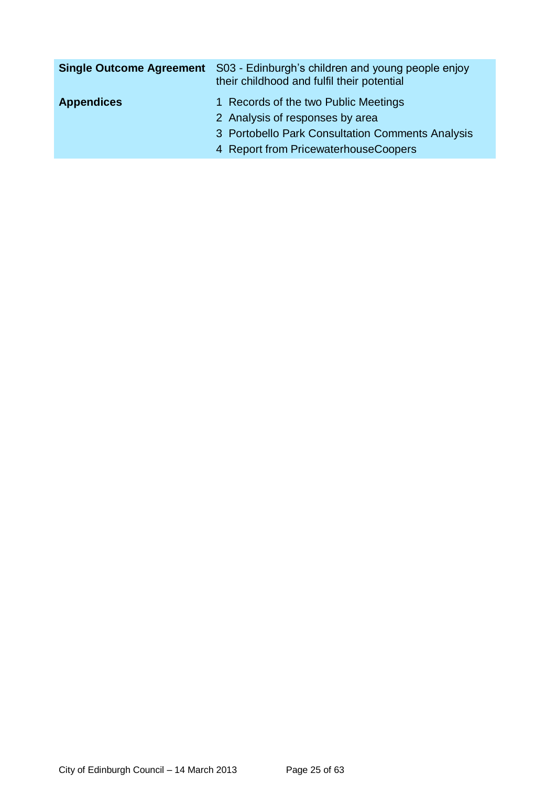|                   | <b>Single Outcome Agreement</b> S03 - Edinburgh's children and young people enjoy<br>their childhood and fulfil their potential |
|-------------------|---------------------------------------------------------------------------------------------------------------------------------|
| <b>Appendices</b> | 1 Records of the two Public Meetings<br>2 Analysis of responses by area                                                         |
|                   | 3 Portobello Park Consultation Comments Analysis<br>4 Report from PricewaterhouseCoopers                                        |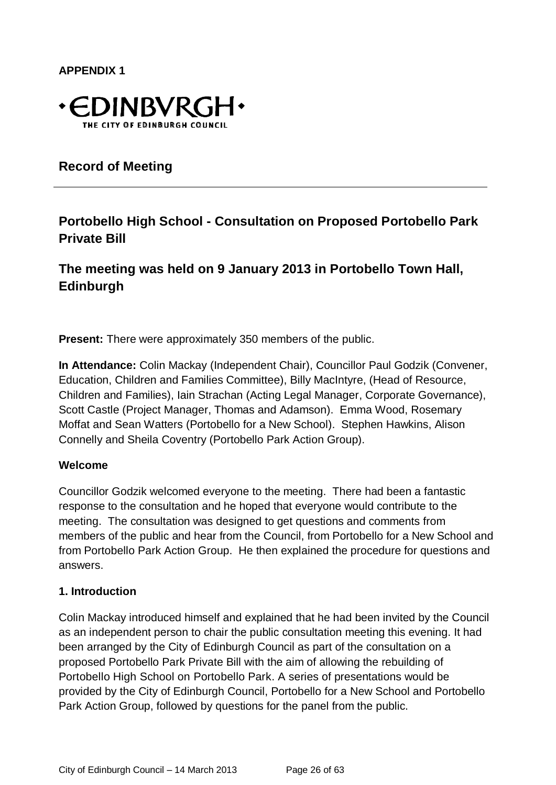**APPENDIX 1**



**Record of Meeting**

# **Portobello High School - Consultation on Proposed Portobello Park Private Bill**

**The meeting was held on 9 January 2013 in Portobello Town Hall, Edinburgh**

**Present:** There were approximately 350 members of the public.

**In Attendance:** Colin Mackay (Independent Chair), Councillor Paul Godzik (Convener, Education, Children and Families Committee), Billy MacIntyre, (Head of Resource, Children and Families), Iain Strachan (Acting Legal Manager, Corporate Governance), Scott Castle (Project Manager, Thomas and Adamson). Emma Wood, Rosemary Moffat and Sean Watters (Portobello for a New School). Stephen Hawkins, Alison Connelly and Sheila Coventry (Portobello Park Action Group).

#### **Welcome**

Councillor Godzik welcomed everyone to the meeting. There had been a fantastic response to the consultation and he hoped that everyone would contribute to the meeting. The consultation was designed to get questions and comments from members of the public and hear from the Council, from Portobello for a New School and from Portobello Park Action Group. He then explained the procedure for questions and answers.

#### **1. Introduction**

Colin Mackay introduced himself and explained that he had been invited by the Council as an independent person to chair the public consultation meeting this evening. It had been arranged by the City of Edinburgh Council as part of the consultation on a proposed Portobello Park Private Bill with the aim of allowing the rebuilding of Portobello High School on Portobello Park. A series of presentations would be provided by the City of Edinburgh Council, Portobello for a New School and Portobello Park Action Group, followed by questions for the panel from the public.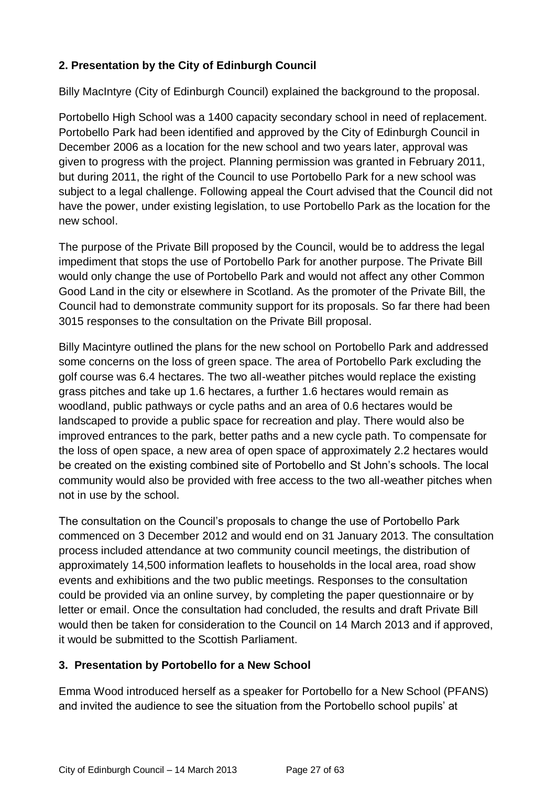# **2. Presentation by the City of Edinburgh Council**

Billy MacIntyre (City of Edinburgh Council) explained the background to the proposal.

Portobello High School was a 1400 capacity secondary school in need of replacement. Portobello Park had been identified and approved by the City of Edinburgh Council in December 2006 as a location for the new school and two years later, approval was given to progress with the project. Planning permission was granted in February 2011, but during 2011, the right of the Council to use Portobello Park for a new school was subject to a legal challenge. Following appeal the Court advised that the Council did not have the power, under existing legislation, to use Portobello Park as the location for the new school.

The purpose of the Private Bill proposed by the Council, would be to address the legal impediment that stops the use of Portobello Park for another purpose. The Private Bill would only change the use of Portobello Park and would not affect any other Common Good Land in the city or elsewhere in Scotland. As the promoter of the Private Bill, the Council had to demonstrate community support for its proposals. So far there had been 3015 responses to the consultation on the Private Bill proposal.

Billy Macintyre outlined the plans for the new school on Portobello Park and addressed some concerns on the loss of green space. The area of Portobello Park excluding the golf course was 6.4 hectares. The two all-weather pitches would replace the existing grass pitches and take up 1.6 hectares, a further 1.6 hectares would remain as woodland, public pathways or cycle paths and an area of 0.6 hectares would be landscaped to provide a public space for recreation and play. There would also be improved entrances to the park, better paths and a new cycle path. To compensate for the loss of open space, a new area of open space of approximately 2.2 hectares would be created on the existing combined site of Portobello and St John's schools. The local community would also be provided with free access to the two all-weather pitches when not in use by the school.

The consultation on the Council's proposals to change the use of Portobello Park commenced on 3 December 2012 and would end on 31 January 2013. The consultation process included attendance at two community council meetings, the distribution of approximately 14,500 information leaflets to households in the local area, road show events and exhibitions and the two public meetings. Responses to the consultation could be provided via an online survey, by completing the paper questionnaire or by letter or email. Once the consultation had concluded, the results and draft Private Bill would then be taken for consideration to the Council on 14 March 2013 and if approved, it would be submitted to the Scottish Parliament.

# **3. Presentation by Portobello for a New School**

Emma Wood introduced herself as a speaker for Portobello for a New School (PFANS) and invited the audience to see the situation from the Portobello school pupils' at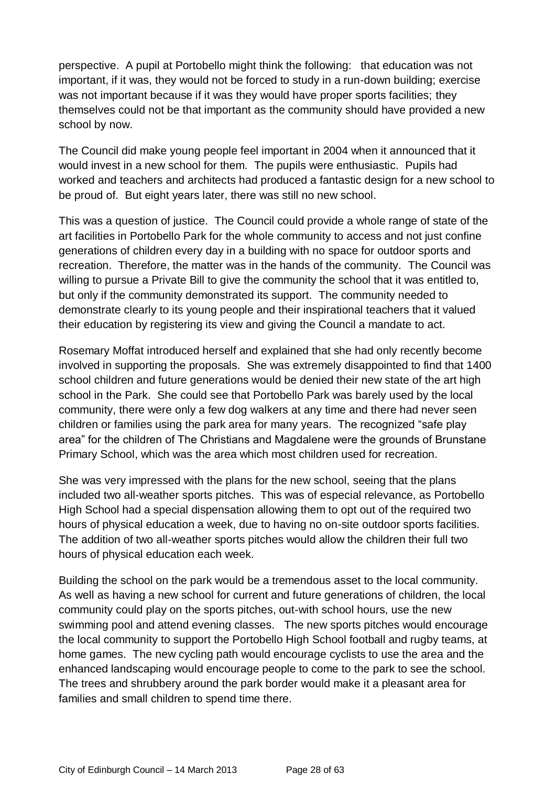perspective. A pupil at Portobello might think the following: that education was not important, if it was, they would not be forced to study in a run-down building; exercise was not important because if it was they would have proper sports facilities; they themselves could not be that important as the community should have provided a new school by now.

The Council did make young people feel important in 2004 when it announced that it would invest in a new school for them. The pupils were enthusiastic. Pupils had worked and teachers and architects had produced a fantastic design for a new school to be proud of. But eight years later, there was still no new school.

This was a question of justice. The Council could provide a whole range of state of the art facilities in Portobello Park for the whole community to access and not just confine generations of children every day in a building with no space for outdoor sports and recreation. Therefore, the matter was in the hands of the community. The Council was willing to pursue a Private Bill to give the community the school that it was entitled to, but only if the community demonstrated its support. The community needed to demonstrate clearly to its young people and their inspirational teachers that it valued their education by registering its view and giving the Council a mandate to act.

Rosemary Moffat introduced herself and explained that she had only recently become involved in supporting the proposals. She was extremely disappointed to find that 1400 school children and future generations would be denied their new state of the art high school in the Park. She could see that Portobello Park was barely used by the local community, there were only a few dog walkers at any time and there had never seen children or families using the park area for many years. The recognized "safe play area" for the children of The Christians and Magdalene were the grounds of Brunstane Primary School, which was the area which most children used for recreation.

She was very impressed with the plans for the new school, seeing that the plans included two all-weather sports pitches. This was of especial relevance, as Portobello High School had a special dispensation allowing them to opt out of the required two hours of physical education a week, due to having no on-site outdoor sports facilities. The addition of two all-weather sports pitches would allow the children their full two hours of physical education each week.

Building the school on the park would be a tremendous asset to the local community. As well as having a new school for current and future generations of children, the local community could play on the sports pitches, out-with school hours, use the new swimming pool and attend evening classes. The new sports pitches would encourage the local community to support the Portobello High School football and rugby teams, at home games. The new cycling path would encourage cyclists to use the area and the enhanced landscaping would encourage people to come to the park to see the school. The trees and shrubbery around the park border would make it a pleasant area for families and small children to spend time there.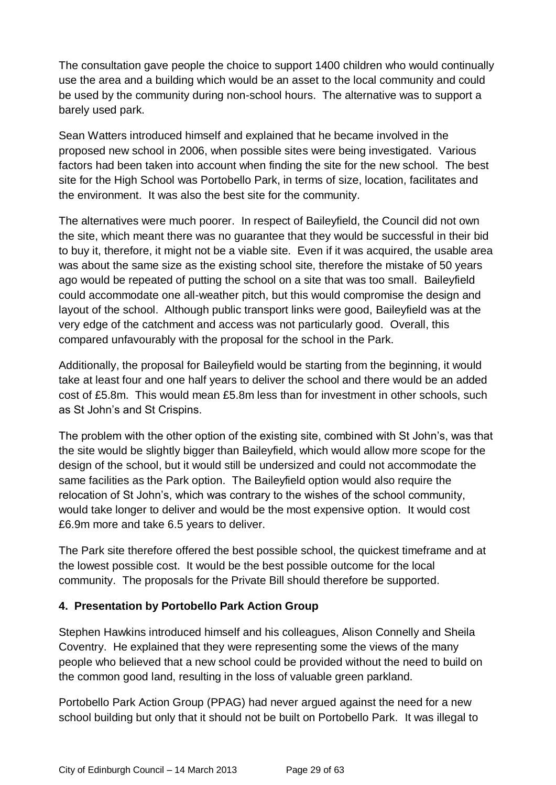The consultation gave people the choice to support 1400 children who would continually use the area and a building which would be an asset to the local community and could be used by the community during non-school hours. The alternative was to support a barely used park.

Sean Watters introduced himself and explained that he became involved in the proposed new school in 2006, when possible sites were being investigated. Various factors had been taken into account when finding the site for the new school. The best site for the High School was Portobello Park, in terms of size, location, facilitates and the environment. It was also the best site for the community.

The alternatives were much poorer. In respect of Baileyfield, the Council did not own the site, which meant there was no guarantee that they would be successful in their bid to buy it, therefore, it might not be a viable site. Even if it was acquired, the usable area was about the same size as the existing school site, therefore the mistake of 50 years ago would be repeated of putting the school on a site that was too small. Baileyfield could accommodate one all-weather pitch, but this would compromise the design and layout of the school. Although public transport links were good, Baileyfield was at the very edge of the catchment and access was not particularly good. Overall, this compared unfavourably with the proposal for the school in the Park.

Additionally, the proposal for Baileyfield would be starting from the beginning, it would take at least four and one half years to deliver the school and there would be an added cost of £5.8m. This would mean £5.8m less than for investment in other schools, such as St John's and St Crispins.

The problem with the other option of the existing site, combined with St John's, was that the site would be slightly bigger than Baileyfield, which would allow more scope for the design of the school, but it would still be undersized and could not accommodate the same facilities as the Park option. The Baileyfield option would also require the relocation of St John's, which was contrary to the wishes of the school community, would take longer to deliver and would be the most expensive option. It would cost £6.9m more and take 6.5 years to deliver.

The Park site therefore offered the best possible school, the quickest timeframe and at the lowest possible cost. It would be the best possible outcome for the local community. The proposals for the Private Bill should therefore be supported.

#### **4. Presentation by Portobello Park Action Group**

Stephen Hawkins introduced himself and his colleagues, Alison Connelly and Sheila Coventry. He explained that they were representing some the views of the many people who believed that a new school could be provided without the need to build on the common good land, resulting in the loss of valuable green parkland.

Portobello Park Action Group (PPAG) had never argued against the need for a new school building but only that it should not be built on Portobello Park. It was illegal to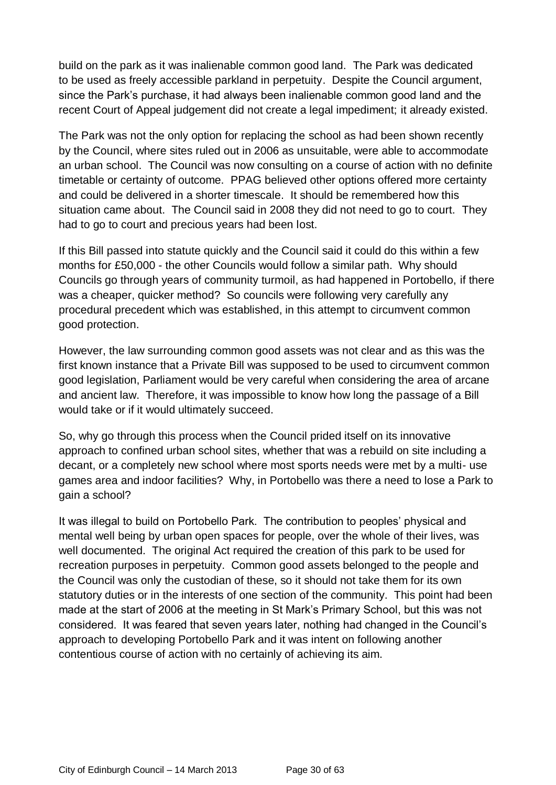build on the park as it was inalienable common good land. The Park was dedicated to be used as freely accessible parkland in perpetuity. Despite the Council argument, since the Park's purchase, it had always been inalienable common good land and the recent Court of Appeal judgement did not create a legal impediment; it already existed.

The Park was not the only option for replacing the school as had been shown recently by the Council, where sites ruled out in 2006 as unsuitable, were able to accommodate an urban school. The Council was now consulting on a course of action with no definite timetable or certainty of outcome. PPAG believed other options offered more certainty and could be delivered in a shorter timescale. It should be remembered how this situation came about. The Council said in 2008 they did not need to go to court. They had to go to court and precious years had been lost.

If this Bill passed into statute quickly and the Council said it could do this within a few months for £50,000 - the other Councils would follow a similar path. Why should Councils go through years of community turmoil, as had happened in Portobello, if there was a cheaper, quicker method? So councils were following very carefully any procedural precedent which was established, in this attempt to circumvent common good protection.

However, the law surrounding common good assets was not clear and as this was the first known instance that a Private Bill was supposed to be used to circumvent common good legislation, Parliament would be very careful when considering the area of arcane and ancient law. Therefore, it was impossible to know how long the passage of a Bill would take or if it would ultimately succeed.

So, why go through this process when the Council prided itself on its innovative approach to confined urban school sites, whether that was a rebuild on site including a decant, or a completely new school where most sports needs were met by a multi- use games area and indoor facilities? Why, in Portobello was there a need to lose a Park to gain a school?

It was illegal to build on Portobello Park. The contribution to peoples' physical and mental well being by urban open spaces for people, over the whole of their lives, was well documented. The original Act required the creation of this park to be used for recreation purposes in perpetuity. Common good assets belonged to the people and the Council was only the custodian of these, so it should not take them for its own statutory duties or in the interests of one section of the community. This point had been made at the start of 2006 at the meeting in St Mark's Primary School, but this was not considered. It was feared that seven years later, nothing had changed in the Council's approach to developing Portobello Park and it was intent on following another contentious course of action with no certainly of achieving its aim.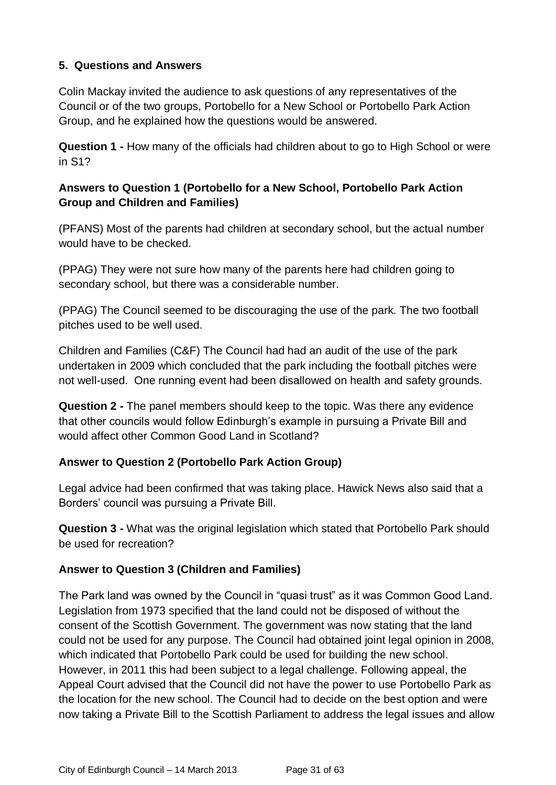# **5. Questions and Answers**

Colin Mackay invited the audience to ask questions of any representatives of the Council or of the two groups, Portobello for a New School or Portobello Park Action Group, and he explained how the questions would be answered.

**Question 1 -** How many of the officials had children about to go to High School or were in S1?

# **Answers to Question 1 (Portobello for a New School, Portobello Park Action Group and Children and Families)**

(PFANS) Most of the parents had children at secondary school, but the actual number would have to be checked.

(PPAG) They were not sure how many of the parents here had children going to secondary school, but there was a considerable number.

(PPAG) The Council seemed to be discouraging the use of the park. The two football pitches used to be well used.

Children and Families (C&F) The Council had had an audit of the use of the park undertaken in 2009 which concluded that the park including the football pitches were not well-used. One running event had been disallowed on health and safety grounds.

**Question 2 -** The panel members should keep to the topic. Was there any evidence that other councils would follow Edinburgh's example in pursuing a Private Bill and would affect other Common Good Land in Scotland?

# **Answer to Question 2 (Portobello Park Action Group)**

Legal advice had been confirmed that was taking place. Hawick News also said that a Borders' council was pursuing a Private Bill.

**Question 3 -** What was the original legislation which stated that Portobello Park should be used for recreation?

#### **Answer to Question 3 (Children and Families)**

The Park land was owned by the Council in "quasi trust" as it was Common Good Land. Legislation from 1973 specified that the land could not be disposed of without the consent of the Scottish Government. The government was now stating that the land could not be used for any purpose. The Council had obtained joint legal opinion in 2008, which indicated that Portobello Park could be used for building the new school. However, in 2011 this had been subject to a legal challenge. Following appeal, the Appeal Court advised that the Council did not have the power to use Portobello Park as the location for the new school. The Council had to decide on the best option and were now taking a Private Bill to the Scottish Parliament to address the legal issues and allow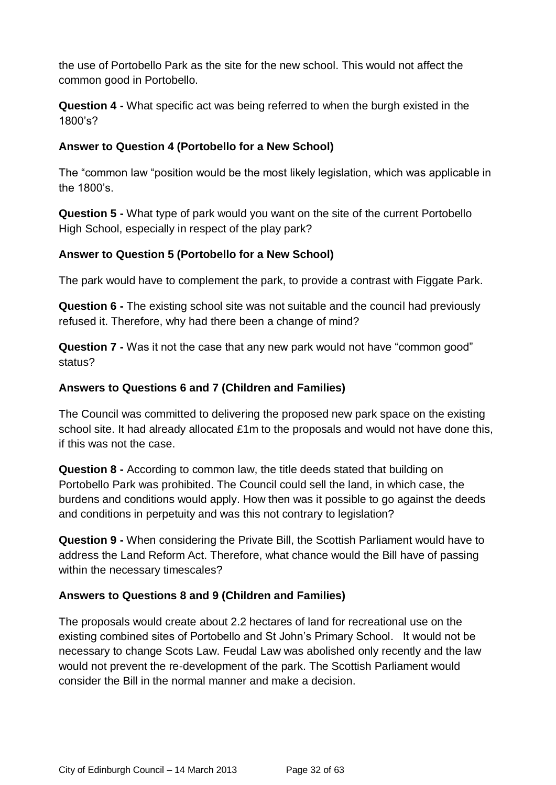the use of Portobello Park as the site for the new school. This would not affect the common good in Portobello.

**Question 4 -** What specific act was being referred to when the burgh existed in the 1800's?

# **Answer to Question 4 (Portobello for a New School)**

The "common law "position would be the most likely legislation, which was applicable in the 1800's.

**Question 5 -** What type of park would you want on the site of the current Portobello High School, especially in respect of the play park?

# **Answer to Question 5 (Portobello for a New School)**

The park would have to complement the park, to provide a contrast with Figgate Park.

**Question 6 -** The existing school site was not suitable and the council had previously refused it. Therefore, why had there been a change of mind?

**Question 7 -** Was it not the case that any new park would not have "common good" status?

### **Answers to Questions 6 and 7 (Children and Families)**

The Council was committed to delivering the proposed new park space on the existing school site. It had already allocated £1m to the proposals and would not have done this, if this was not the case.

**Question 8 -** According to common law, the title deeds stated that building on Portobello Park was prohibited. The Council could sell the land, in which case, the burdens and conditions would apply. How then was it possible to go against the deeds and conditions in perpetuity and was this not contrary to legislation?

**Question 9 -** When considering the Private Bill, the Scottish Parliament would have to address the Land Reform Act. Therefore, what chance would the Bill have of passing within the necessary timescales?

#### **Answers to Questions 8 and 9 (Children and Families)**

The proposals would create about 2.2 hectares of land for recreational use on the existing combined sites of Portobello and St John's Primary School. It would not be necessary to change Scots Law. Feudal Law was abolished only recently and the law would not prevent the re-development of the park. The Scottish Parliament would consider the Bill in the normal manner and make a decision.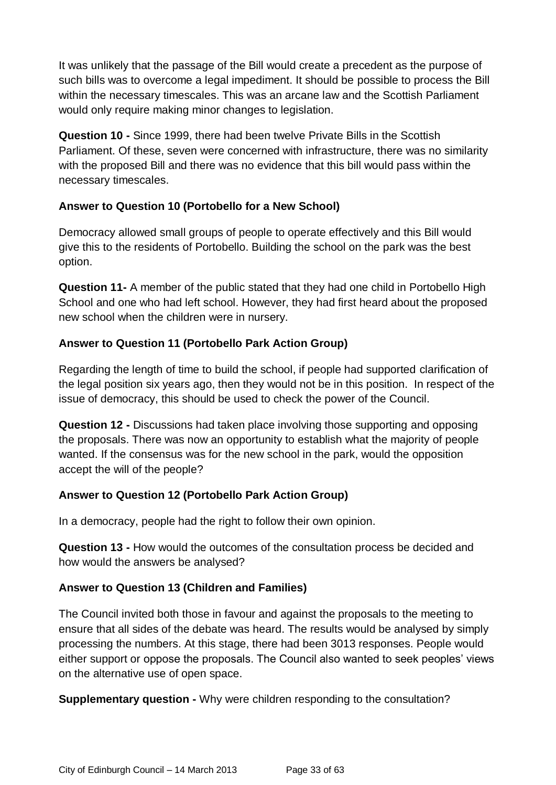It was unlikely that the passage of the Bill would create a precedent as the purpose of such bills was to overcome a legal impediment. It should be possible to process the Bill within the necessary timescales. This was an arcane law and the Scottish Parliament would only require making minor changes to legislation.

**Question 10 -** Since 1999, there had been twelve Private Bills in the Scottish Parliament. Of these, seven were concerned with infrastructure, there was no similarity with the proposed Bill and there was no evidence that this bill would pass within the necessary timescales.

#### **Answer to Question 10 (Portobello for a New School)**

Democracy allowed small groups of people to operate effectively and this Bill would give this to the residents of Portobello. Building the school on the park was the best option.

**Question 11-** A member of the public stated that they had one child in Portobello High School and one who had left school. However, they had first heard about the proposed new school when the children were in nursery.

# **Answer to Question 11 (Portobello Park Action Group)**

Regarding the length of time to build the school, if people had supported clarification of the legal position six years ago, then they would not be in this position. In respect of the issue of democracy, this should be used to check the power of the Council.

**Question 12 -** Discussions had taken place involving those supporting and opposing the proposals. There was now an opportunity to establish what the majority of people wanted. If the consensus was for the new school in the park, would the opposition accept the will of the people?

#### **Answer to Question 12 (Portobello Park Action Group)**

In a democracy, people had the right to follow their own opinion.

**Question 13 -** How would the outcomes of the consultation process be decided and how would the answers be analysed?

#### **Answer to Question 13 (Children and Families)**

The Council invited both those in favour and against the proposals to the meeting to ensure that all sides of the debate was heard. The results would be analysed by simply processing the numbers. At this stage, there had been 3013 responses. People would either support or oppose the proposals. The Council also wanted to seek peoples' views on the alternative use of open space.

**Supplementary question -** Why were children responding to the consultation?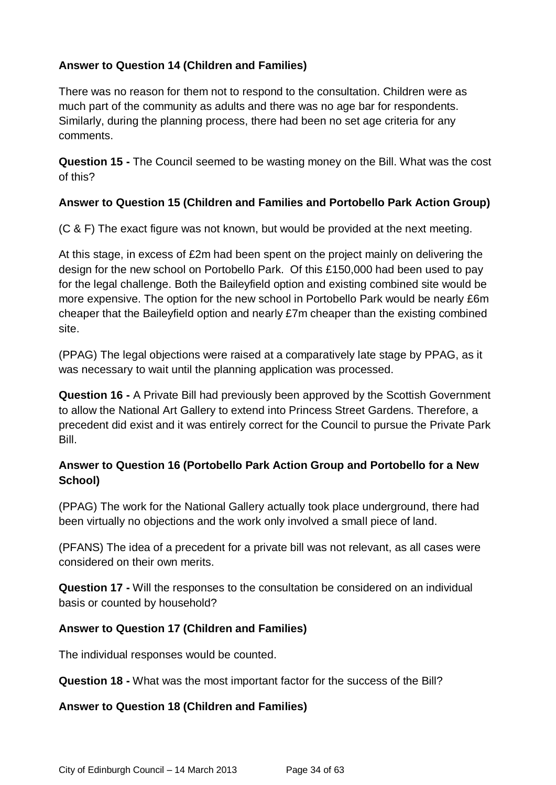# **Answer to Question 14 (Children and Families)**

There was no reason for them not to respond to the consultation. Children were as much part of the community as adults and there was no age bar for respondents. Similarly, during the planning process, there had been no set age criteria for any comments.

**Question 15 -** The Council seemed to be wasting money on the Bill. What was the cost of this?

#### **Answer to Question 15 (Children and Families and Portobello Park Action Group)**

(C & F) The exact figure was not known, but would be provided at the next meeting.

At this stage, in excess of £2m had been spent on the project mainly on delivering the design for the new school on Portobello Park. Of this £150,000 had been used to pay for the legal challenge. Both the Baileyfield option and existing combined site would be more expensive. The option for the new school in Portobello Park would be nearly £6m cheaper that the Baileyfield option and nearly £7m cheaper than the existing combined site.

(PPAG) The legal objections were raised at a comparatively late stage by PPAG, as it was necessary to wait until the planning application was processed.

**Question 16 -** A Private Bill had previously been approved by the Scottish Government to allow the National Art Gallery to extend into Princess Street Gardens. Therefore, a precedent did exist and it was entirely correct for the Council to pursue the Private Park Bill.

# **Answer to Question 16 (Portobello Park Action Group and Portobello for a New School)**

(PPAG) The work for the National Gallery actually took place underground, there had been virtually no objections and the work only involved a small piece of land.

(PFANS) The idea of a precedent for a private bill was not relevant, as all cases were considered on their own merits.

**Question 17 -** Will the responses to the consultation be considered on an individual basis or counted by household?

#### **Answer to Question 17 (Children and Families)**

The individual responses would be counted.

**Question 18 -** What was the most important factor for the success of the Bill?

#### **Answer to Question 18 (Children and Families)**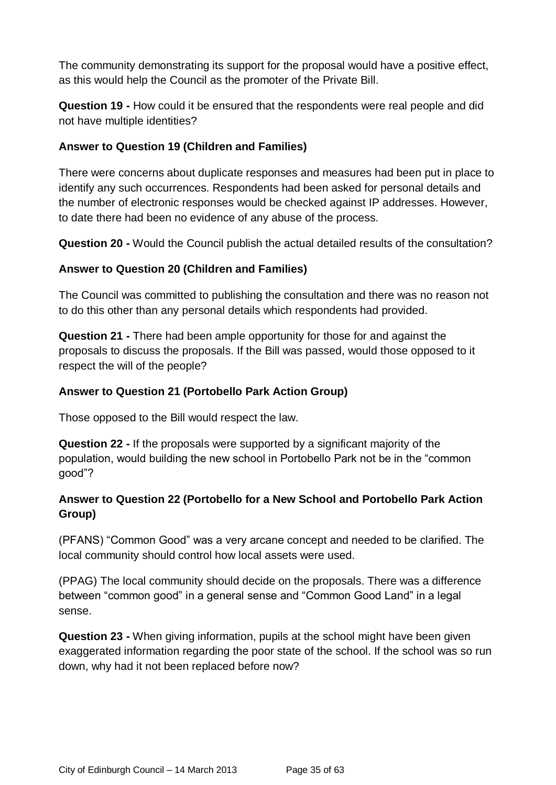The community demonstrating its support for the proposal would have a positive effect, as this would help the Council as the promoter of the Private Bill.

**Question 19 -** How could it be ensured that the respondents were real people and did not have multiple identities?

# **Answer to Question 19 (Children and Families)**

There were concerns about duplicate responses and measures had been put in place to identify any such occurrences. Respondents had been asked for personal details and the number of electronic responses would be checked against IP addresses. However, to date there had been no evidence of any abuse of the process.

**Question 20 -** Would the Council publish the actual detailed results of the consultation?

# **Answer to Question 20 (Children and Families)**

The Council was committed to publishing the consultation and there was no reason not to do this other than any personal details which respondents had provided.

**Question 21 -** There had been ample opportunity for those for and against the proposals to discuss the proposals. If the Bill was passed, would those opposed to it respect the will of the people?

# **Answer to Question 21 (Portobello Park Action Group)**

Those opposed to the Bill would respect the law.

**Question 22 -** If the proposals were supported by a significant majority of the population, would building the new school in Portobello Park not be in the "common good"?

# **Answer to Question 22 (Portobello for a New School and Portobello Park Action Group)**

(PFANS) "Common Good" was a very arcane concept and needed to be clarified. The local community should control how local assets were used.

(PPAG) The local community should decide on the proposals. There was a difference between "common good" in a general sense and "Common Good Land" in a legal sense.

**Question 23 -** When giving information, pupils at the school might have been given exaggerated information regarding the poor state of the school. If the school was so run down, why had it not been replaced before now?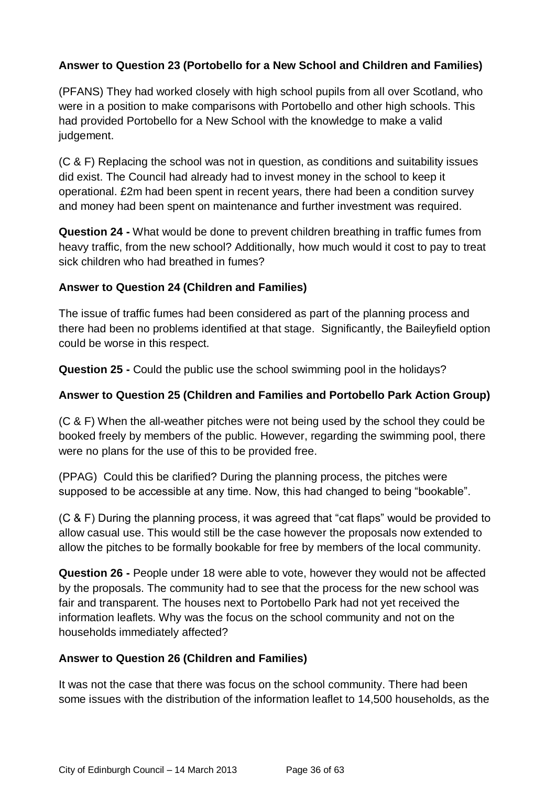# **Answer to Question 23 (Portobello for a New School and Children and Families)**

(PFANS) They had worked closely with high school pupils from all over Scotland, who were in a position to make comparisons with Portobello and other high schools. This had provided Portobello for a New School with the knowledge to make a valid judgement.

(C & F) Replacing the school was not in question, as conditions and suitability issues did exist. The Council had already had to invest money in the school to keep it operational. £2m had been spent in recent years, there had been a condition survey and money had been spent on maintenance and further investment was required.

**Question 24 -** What would be done to prevent children breathing in traffic fumes from heavy traffic, from the new school? Additionally, how much would it cost to pay to treat sick children who had breathed in fumes?

#### **Answer to Question 24 (Children and Families)**

The issue of traffic fumes had been considered as part of the planning process and there had been no problems identified at that stage. Significantly, the Baileyfield option could be worse in this respect.

**Question 25 -** Could the public use the school swimming pool in the holidays?

#### **Answer to Question 25 (Children and Families and Portobello Park Action Group)**

(C & F) When the all-weather pitches were not being used by the school they could be booked freely by members of the public. However, regarding the swimming pool, there were no plans for the use of this to be provided free.

(PPAG) Could this be clarified? During the planning process, the pitches were supposed to be accessible at any time. Now, this had changed to being "bookable".

(C & F) During the planning process, it was agreed that "cat flaps" would be provided to allow casual use. This would still be the case however the proposals now extended to allow the pitches to be formally bookable for free by members of the local community.

**Question 26 -** People under 18 were able to vote, however they would not be affected by the proposals. The community had to see that the process for the new school was fair and transparent. The houses next to Portobello Park had not yet received the information leaflets. Why was the focus on the school community and not on the households immediately affected?

#### **Answer to Question 26 (Children and Families)**

It was not the case that there was focus on the school community. There had been some issues with the distribution of the information leaflet to 14,500 households, as the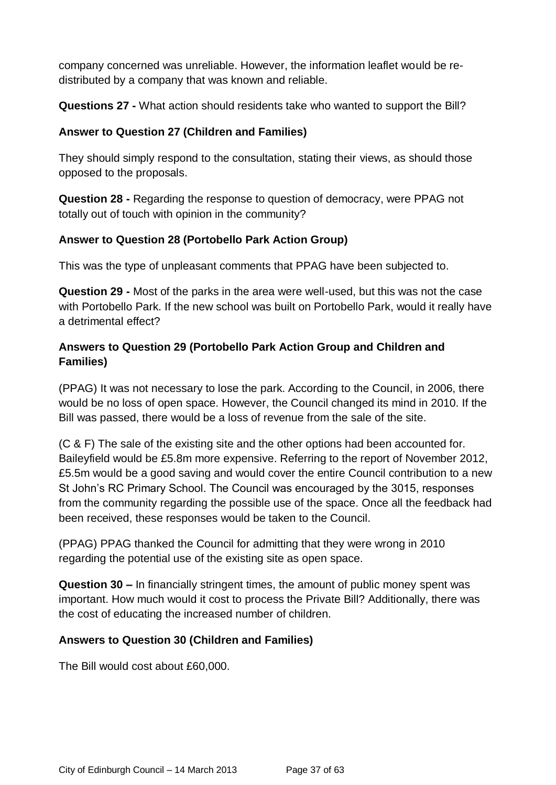company concerned was unreliable. However, the information leaflet would be redistributed by a company that was known and reliable.

**Questions 27 -** What action should residents take who wanted to support the Bill?

### **Answer to Question 27 (Children and Families)**

They should simply respond to the consultation, stating their views, as should those opposed to the proposals.

**Question 28 -** Regarding the response to question of democracy, were PPAG not totally out of touch with opinion in the community?

#### **Answer to Question 28 (Portobello Park Action Group)**

This was the type of unpleasant comments that PPAG have been subjected to.

**Question 29 -** Most of the parks in the area were well-used, but this was not the case with Portobello Park. If the new school was built on Portobello Park, would it really have a detrimental effect?

## **Answers to Question 29 (Portobello Park Action Group and Children and Families)**

(PPAG) It was not necessary to lose the park. According to the Council, in 2006, there would be no loss of open space. However, the Council changed its mind in 2010. If the Bill was passed, there would be a loss of revenue from the sale of the site.

(C & F) The sale of the existing site and the other options had been accounted for. Baileyfield would be £5.8m more expensive. Referring to the report of November 2012, £5.5m would be a good saving and would cover the entire Council contribution to a new St John's RC Primary School. The Council was encouraged by the 3015, responses from the community regarding the possible use of the space. Once all the feedback had been received, these responses would be taken to the Council.

(PPAG) PPAG thanked the Council for admitting that they were wrong in 2010 regarding the potential use of the existing site as open space.

**Question 30 –** In financially stringent times, the amount of public money spent was important. How much would it cost to process the Private Bill? Additionally, there was the cost of educating the increased number of children.

## **Answers to Question 30 (Children and Families)**

The Bill would cost about £60,000.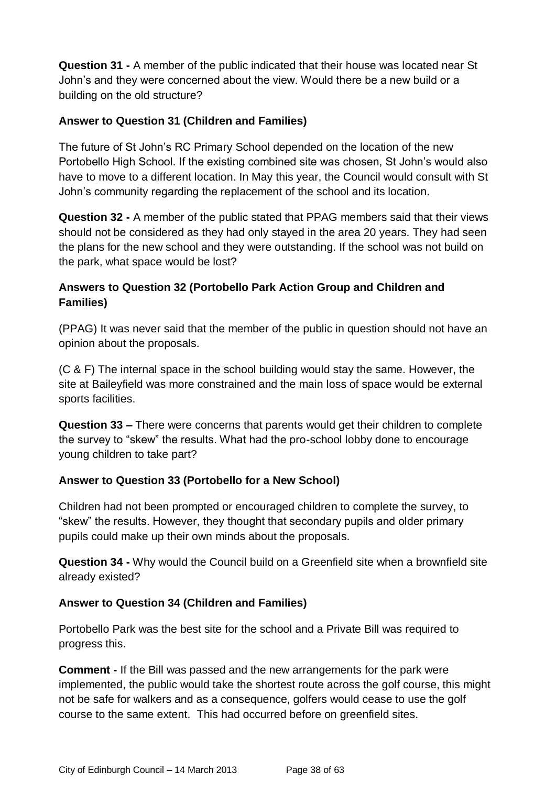**Question 31 -** A member of the public indicated that their house was located near St John's and they were concerned about the view. Would there be a new build or a building on the old structure?

## **Answer to Question 31 (Children and Families)**

The future of St John's RC Primary School depended on the location of the new Portobello High School. If the existing combined site was chosen, St John's would also have to move to a different location. In May this year, the Council would consult with St John's community regarding the replacement of the school and its location.

**Question 32 -** A member of the public stated that PPAG members said that their views should not be considered as they had only stayed in the area 20 years. They had seen the plans for the new school and they were outstanding. If the school was not build on the park, what space would be lost?

## **Answers to Question 32 (Portobello Park Action Group and Children and Families)**

(PPAG) It was never said that the member of the public in question should not have an opinion about the proposals.

(C & F) The internal space in the school building would stay the same. However, the site at Baileyfield was more constrained and the main loss of space would be external sports facilities.

**Question 33 –** There were concerns that parents would get their children to complete the survey to "skew" the results. What had the pro-school lobby done to encourage young children to take part?

## **Answer to Question 33 (Portobello for a New School)**

Children had not been prompted or encouraged children to complete the survey, to "skew" the results. However, they thought that secondary pupils and older primary pupils could make up their own minds about the proposals.

**Question 34 -** Why would the Council build on a Greenfield site when a brownfield site already existed?

## **Answer to Question 34 (Children and Families)**

Portobello Park was the best site for the school and a Private Bill was required to progress this.

**Comment -** If the Bill was passed and the new arrangements for the park were implemented, the public would take the shortest route across the golf course, this might not be safe for walkers and as a consequence, golfers would cease to use the golf course to the same extent. This had occurred before on greenfield sites.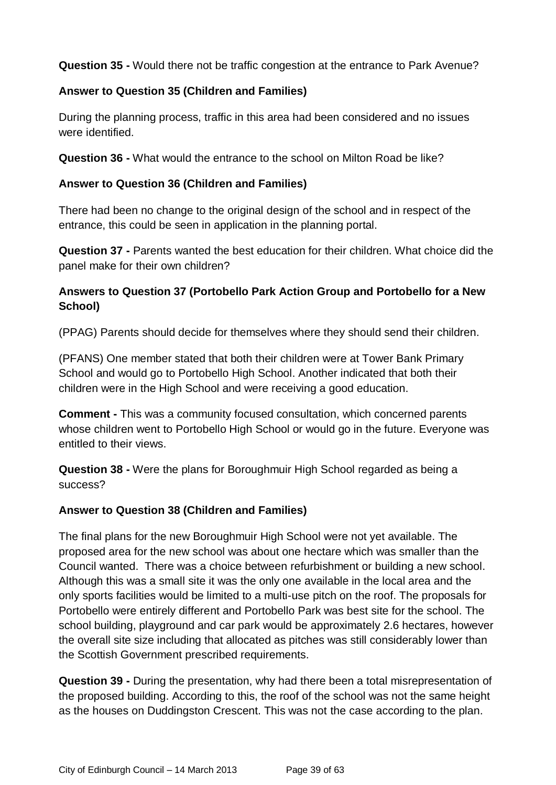**Question 35 -** Would there not be traffic congestion at the entrance to Park Avenue?

## **Answer to Question 35 (Children and Families)**

During the planning process, traffic in this area had been considered and no issues were identified.

**Question 36 -** What would the entrance to the school on Milton Road be like?

## **Answer to Question 36 (Children and Families)**

There had been no change to the original design of the school and in respect of the entrance, this could be seen in application in the planning portal.

**Question 37 -** Parents wanted the best education for their children. What choice did the panel make for their own children?

## **Answers to Question 37 (Portobello Park Action Group and Portobello for a New School)**

(PPAG) Parents should decide for themselves where they should send their children.

(PFANS) One member stated that both their children were at Tower Bank Primary School and would go to Portobello High School. Another indicated that both their children were in the High School and were receiving a good education.

**Comment -** This was a community focused consultation, which concerned parents whose children went to Portobello High School or would go in the future. Everyone was entitled to their views.

**Question 38 -** Were the plans for Boroughmuir High School regarded as being a success?

## **Answer to Question 38 (Children and Families)**

The final plans for the new Boroughmuir High School were not yet available. The proposed area for the new school was about one hectare which was smaller than the Council wanted. There was a choice between refurbishment or building a new school. Although this was a small site it was the only one available in the local area and the only sports facilities would be limited to a multi-use pitch on the roof. The proposals for Portobello were entirely different and Portobello Park was best site for the school. The school building, playground and car park would be approximately 2.6 hectares, however the overall site size including that allocated as pitches was still considerably lower than the Scottish Government prescribed requirements.

**Question 39 -** During the presentation, why had there been a total misrepresentation of the proposed building. According to this, the roof of the school was not the same height as the houses on Duddingston Crescent. This was not the case according to the plan.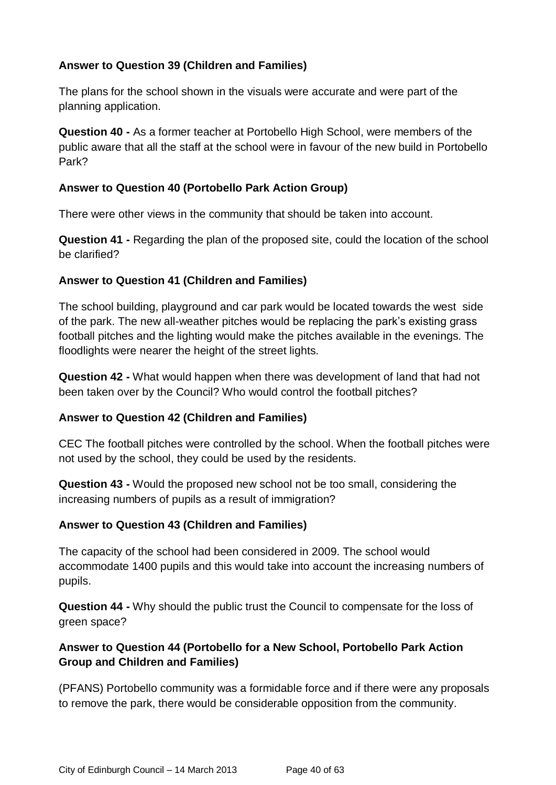## **Answer to Question 39 (Children and Families)**

The plans for the school shown in the visuals were accurate and were part of the planning application.

**Question 40 -** As a former teacher at Portobello High School, were members of the public aware that all the staff at the school were in favour of the new build in Portobello Park?

## **Answer to Question 40 (Portobello Park Action Group)**

There were other views in the community that should be taken into account.

**Question 41 -** Regarding the plan of the proposed site, could the location of the school be clarified?

## **Answer to Question 41 (Children and Families)**

The school building, playground and car park would be located towards the west side of the park. The new all-weather pitches would be replacing the park's existing grass football pitches and the lighting would make the pitches available in the evenings. The floodlights were nearer the height of the street lights.

**Question 42 -** What would happen when there was development of land that had not been taken over by the Council? Who would control the football pitches?

## **Answer to Question 42 (Children and Families)**

CEC The football pitches were controlled by the school. When the football pitches were not used by the school, they could be used by the residents.

**Question 43 -** Would the proposed new school not be too small, considering the increasing numbers of pupils as a result of immigration?

## **Answer to Question 43 (Children and Families)**

The capacity of the school had been considered in 2009. The school would accommodate 1400 pupils and this would take into account the increasing numbers of pupils.

**Question 44 -** Why should the public trust the Council to compensate for the loss of green space?

## **Answer to Question 44 (Portobello for a New School, Portobello Park Action Group and Children and Families)**

(PFANS) Portobello community was a formidable force and if there were any proposals to remove the park, there would be considerable opposition from the community.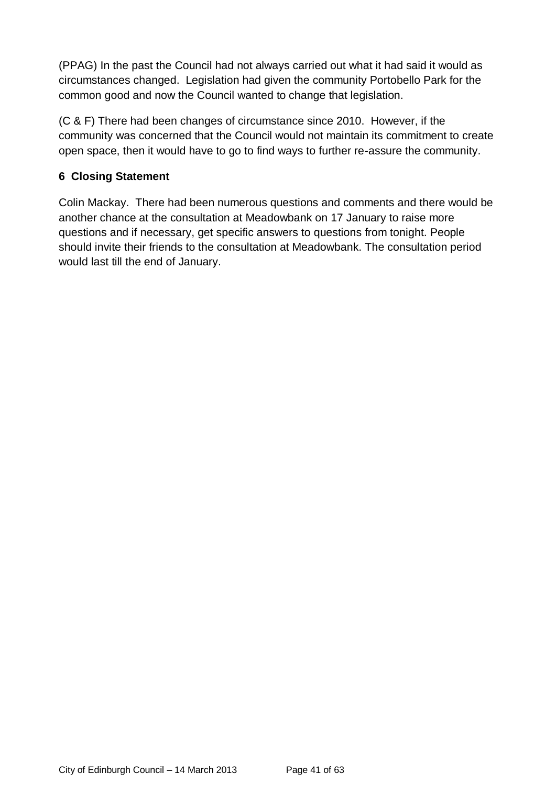(PPAG) In the past the Council had not always carried out what it had said it would as circumstances changed. Legislation had given the community Portobello Park for the common good and now the Council wanted to change that legislation.

(C & F) There had been changes of circumstance since 2010. However, if the community was concerned that the Council would not maintain its commitment to create open space, then it would have to go to find ways to further re-assure the community.

## **6 Closing Statement**

Colin Mackay. There had been numerous questions and comments and there would be another chance at the consultation at Meadowbank on 17 January to raise more questions and if necessary, get specific answers to questions from tonight. People should invite their friends to the consultation at Meadowbank. The consultation period would last till the end of January.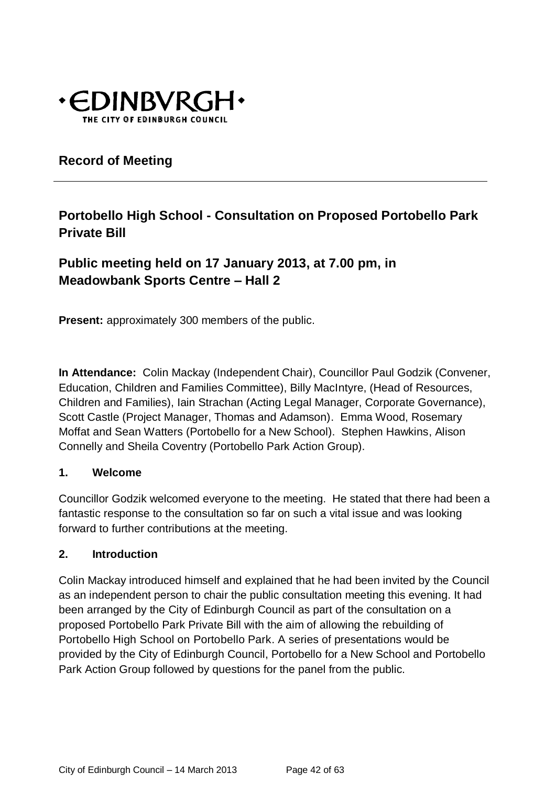

## **Record of Meeting**

## **Portobello High School - Consultation on Proposed Portobello Park Private Bill**

**Public meeting held on 17 January 2013, at 7.00 pm, in Meadowbank Sports Centre – Hall 2**

**Present:** approximately 300 members of the public.

**In Attendance:** Colin Mackay (Independent Chair), Councillor Paul Godzik (Convener, Education, Children and Families Committee), Billy MacIntyre, (Head of Resources, Children and Families), Iain Strachan (Acting Legal Manager, Corporate Governance), Scott Castle (Project Manager, Thomas and Adamson). Emma Wood, Rosemary Moffat and Sean Watters (Portobello for a New School). Stephen Hawkins, Alison Connelly and Sheila Coventry (Portobello Park Action Group).

## **1. Welcome**

Councillor Godzik welcomed everyone to the meeting. He stated that there had been a fantastic response to the consultation so far on such a vital issue and was looking forward to further contributions at the meeting.

## **2. Introduction**

Colin Mackay introduced himself and explained that he had been invited by the Council as an independent person to chair the public consultation meeting this evening. It had been arranged by the City of Edinburgh Council as part of the consultation on a proposed Portobello Park Private Bill with the aim of allowing the rebuilding of Portobello High School on Portobello Park. A series of presentations would be provided by the City of Edinburgh Council, Portobello for a New School and Portobello Park Action Group followed by questions for the panel from the public.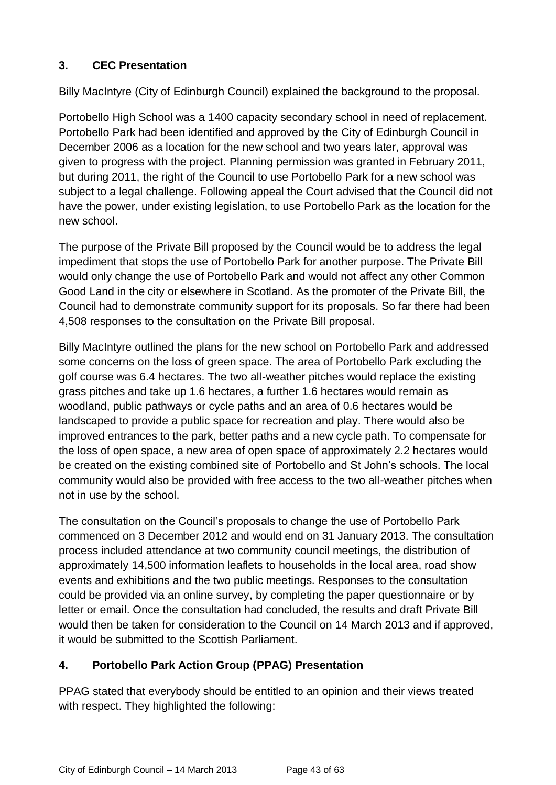## **3. CEC Presentation**

Billy MacIntyre (City of Edinburgh Council) explained the background to the proposal.

Portobello High School was a 1400 capacity secondary school in need of replacement. Portobello Park had been identified and approved by the City of Edinburgh Council in December 2006 as a location for the new school and two years later, approval was given to progress with the project. Planning permission was granted in February 2011, but during 2011, the right of the Council to use Portobello Park for a new school was subject to a legal challenge. Following appeal the Court advised that the Council did not have the power, under existing legislation, to use Portobello Park as the location for the new school.

The purpose of the Private Bill proposed by the Council would be to address the legal impediment that stops the use of Portobello Park for another purpose. The Private Bill would only change the use of Portobello Park and would not affect any other Common Good Land in the city or elsewhere in Scotland. As the promoter of the Private Bill, the Council had to demonstrate community support for its proposals. So far there had been 4,508 responses to the consultation on the Private Bill proposal.

Billy MacIntyre outlined the plans for the new school on Portobello Park and addressed some concerns on the loss of green space. The area of Portobello Park excluding the golf course was 6.4 hectares. The two all-weather pitches would replace the existing grass pitches and take up 1.6 hectares, a further 1.6 hectares would remain as woodland, public pathways or cycle paths and an area of 0.6 hectares would be landscaped to provide a public space for recreation and play. There would also be improved entrances to the park, better paths and a new cycle path. To compensate for the loss of open space, a new area of open space of approximately 2.2 hectares would be created on the existing combined site of Portobello and St John's schools. The local community would also be provided with free access to the two all-weather pitches when not in use by the school.

The consultation on the Council's proposals to change the use of Portobello Park commenced on 3 December 2012 and would end on 31 January 2013. The consultation process included attendance at two community council meetings, the distribution of approximately 14,500 information leaflets to households in the local area, road show events and exhibitions and the two public meetings. Responses to the consultation could be provided via an online survey, by completing the paper questionnaire or by letter or email. Once the consultation had concluded, the results and draft Private Bill would then be taken for consideration to the Council on 14 March 2013 and if approved, it would be submitted to the Scottish Parliament.

## **4. Portobello Park Action Group (PPAG) Presentation**

PPAG stated that everybody should be entitled to an opinion and their views treated with respect. They highlighted the following: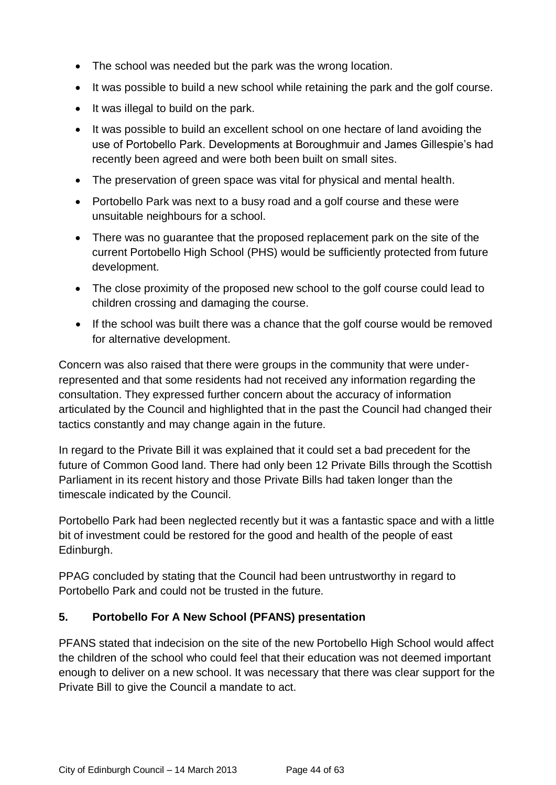- The school was needed but the park was the wrong location.
- It was possible to build a new school while retaining the park and the golf course.
- $\bullet$  It was illegal to build on the park.
- It was possible to build an excellent school on one hectare of land avoiding the use of Portobello Park. Developments at Boroughmuir and James Gillespie's had recently been agreed and were both been built on small sites.
- The preservation of green space was vital for physical and mental health.
- Portobello Park was next to a busy road and a golf course and these were unsuitable neighbours for a school.
- There was no guarantee that the proposed replacement park on the site of the current Portobello High School (PHS) would be sufficiently protected from future development.
- The close proximity of the proposed new school to the golf course could lead to children crossing and damaging the course.
- If the school was built there was a chance that the golf course would be removed for alternative development.

Concern was also raised that there were groups in the community that were underrepresented and that some residents had not received any information regarding the consultation. They expressed further concern about the accuracy of information articulated by the Council and highlighted that in the past the Council had changed their tactics constantly and may change again in the future.

In regard to the Private Bill it was explained that it could set a bad precedent for the future of Common Good land. There had only been 12 Private Bills through the Scottish Parliament in its recent history and those Private Bills had taken longer than the timescale indicated by the Council.

Portobello Park had been neglected recently but it was a fantastic space and with a little bit of investment could be restored for the good and health of the people of east Edinburgh.

PPAG concluded by stating that the Council had been untrustworthy in regard to Portobello Park and could not be trusted in the future.

## **5. Portobello For A New School (PFANS) presentation**

PFANS stated that indecision on the site of the new Portobello High School would affect the children of the school who could feel that their education was not deemed important enough to deliver on a new school. It was necessary that there was clear support for the Private Bill to give the Council a mandate to act.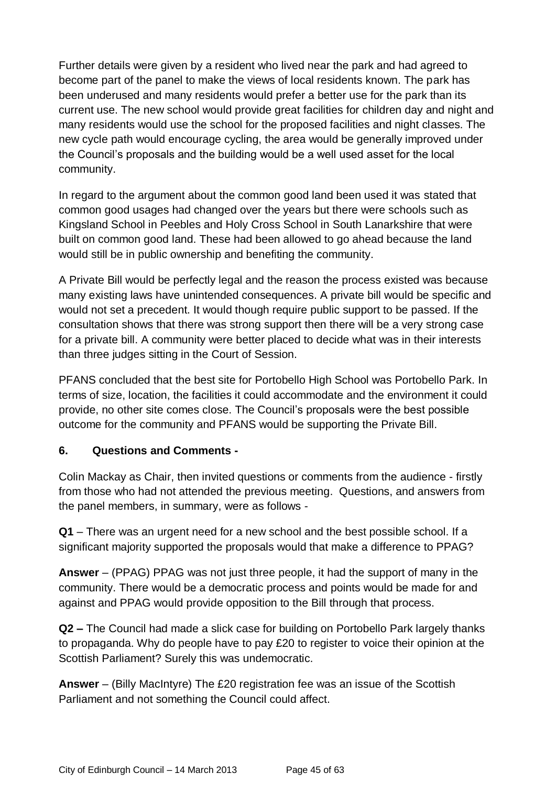Further details were given by a resident who lived near the park and had agreed to become part of the panel to make the views of local residents known. The park has been underused and many residents would prefer a better use for the park than its current use. The new school would provide great facilities for children day and night and many residents would use the school for the proposed facilities and night classes. The new cycle path would encourage cycling, the area would be generally improved under the Council's proposals and the building would be a well used asset for the local community.

In regard to the argument about the common good land been used it was stated that common good usages had changed over the years but there were schools such as Kingsland School in Peebles and Holy Cross School in South Lanarkshire that were built on common good land. These had been allowed to go ahead because the land would still be in public ownership and benefiting the community.

A Private Bill would be perfectly legal and the reason the process existed was because many existing laws have unintended consequences. A private bill would be specific and would not set a precedent. It would though require public support to be passed. If the consultation shows that there was strong support then there will be a very strong case for a private bill. A community were better placed to decide what was in their interests than three judges sitting in the Court of Session.

PFANS concluded that the best site for Portobello High School was Portobello Park. In terms of size, location, the facilities it could accommodate and the environment it could provide, no other site comes close. The Council's proposals were the best possible outcome for the community and PFANS would be supporting the Private Bill.

## **6. Questions and Comments -**

Colin Mackay as Chair, then invited questions or comments from the audience - firstly from those who had not attended the previous meeting. Questions, and answers from the panel members, in summary, were as follows -

**Q1** – There was an urgent need for a new school and the best possible school. If a significant majority supported the proposals would that make a difference to PPAG?

**Answer** – (PPAG) PPAG was not just three people, it had the support of many in the community. There would be a democratic process and points would be made for and against and PPAG would provide opposition to the Bill through that process.

**Q2 –** The Council had made a slick case for building on Portobello Park largely thanks to propaganda. Why do people have to pay £20 to register to voice their opinion at the Scottish Parliament? Surely this was undemocratic.

**Answer** – (Billy MacIntyre) The £20 registration fee was an issue of the Scottish Parliament and not something the Council could affect.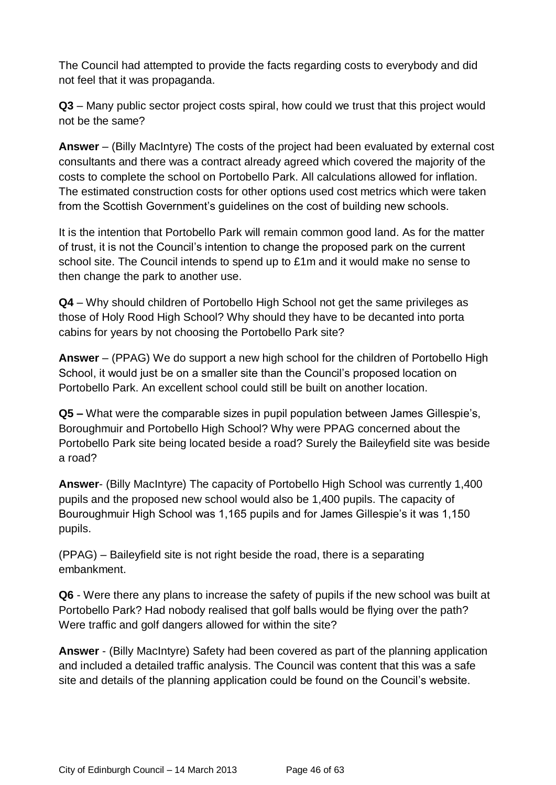The Council had attempted to provide the facts regarding costs to everybody and did not feel that it was propaganda.

**Q3** – Many public sector project costs spiral, how could we trust that this project would not be the same?

**Answer** – (Billy MacIntyre) The costs of the project had been evaluated by external cost consultants and there was a contract already agreed which covered the majority of the costs to complete the school on Portobello Park. All calculations allowed for inflation. The estimated construction costs for other options used cost metrics which were taken from the Scottish Government's guidelines on the cost of building new schools.

It is the intention that Portobello Park will remain common good land. As for the matter of trust, it is not the Council's intention to change the proposed park on the current school site. The Council intends to spend up to £1m and it would make no sense to then change the park to another use.

**Q4** – Why should children of Portobello High School not get the same privileges as those of Holy Rood High School? Why should they have to be decanted into porta cabins for years by not choosing the Portobello Park site?

**Answer** – (PPAG) We do support a new high school for the children of Portobello High School, it would just be on a smaller site than the Council's proposed location on Portobello Park. An excellent school could still be built on another location.

**Q5 –** What were the comparable sizes in pupil population between James Gillespie's, Boroughmuir and Portobello High School? Why were PPAG concerned about the Portobello Park site being located beside a road? Surely the Baileyfield site was beside a road?

**Answer**- (Billy MacIntyre) The capacity of Portobello High School was currently 1,400 pupils and the proposed new school would also be 1,400 pupils. The capacity of Bouroughmuir High School was 1,165 pupils and for James Gillespie's it was 1,150 pupils.

(PPAG) – Baileyfield site is not right beside the road, there is a separating embankment.

**Q6** - Were there any plans to increase the safety of pupils if the new school was built at Portobello Park? Had nobody realised that golf balls would be flying over the path? Were traffic and golf dangers allowed for within the site?

**Answer** - (Billy MacIntyre) Safety had been covered as part of the planning application and included a detailed traffic analysis. The Council was content that this was a safe site and details of the planning application could be found on the Council's website.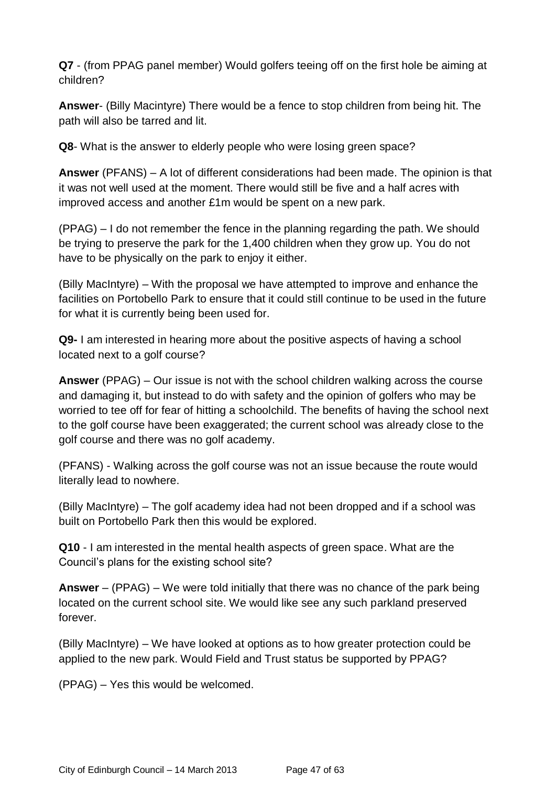**Q7** - (from PPAG panel member) Would golfers teeing off on the first hole be aiming at children?

**Answer**- (Billy Macintyre) There would be a fence to stop children from being hit. The path will also be tarred and lit.

**Q8**- What is the answer to elderly people who were losing green space?

**Answer** (PFANS) – A lot of different considerations had been made. The opinion is that it was not well used at the moment. There would still be five and a half acres with improved access and another £1m would be spent on a new park.

(PPAG) – I do not remember the fence in the planning regarding the path. We should be trying to preserve the park for the 1,400 children when they grow up. You do not have to be physically on the park to enjoy it either.

(Billy MacIntyre) – With the proposal we have attempted to improve and enhance the facilities on Portobello Park to ensure that it could still continue to be used in the future for what it is currently being been used for.

**Q9-** I am interested in hearing more about the positive aspects of having a school located next to a golf course?

**Answer** (PPAG) – Our issue is not with the school children walking across the course and damaging it, but instead to do with safety and the opinion of golfers who may be worried to tee off for fear of hitting a schoolchild. The benefits of having the school next to the golf course have been exaggerated; the current school was already close to the golf course and there was no golf academy.

(PFANS) - Walking across the golf course was not an issue because the route would literally lead to nowhere.

(Billy MacIntyre) – The golf academy idea had not been dropped and if a school was built on Portobello Park then this would be explored.

**Q10** - I am interested in the mental health aspects of green space. What are the Council's plans for the existing school site?

**Answer** – (PPAG) – We were told initially that there was no chance of the park being located on the current school site. We would like see any such parkland preserved forever.

(Billy MacIntyre) – We have looked at options as to how greater protection could be applied to the new park. Would Field and Trust status be supported by PPAG?

(PPAG) – Yes this would be welcomed.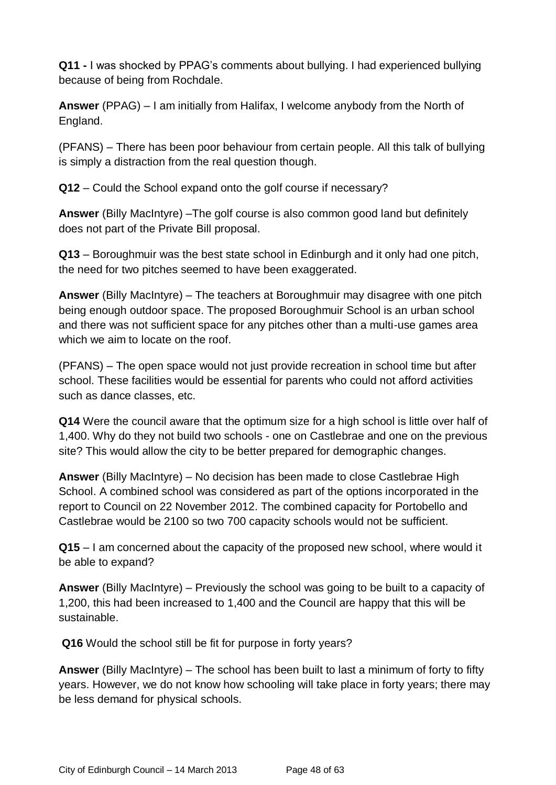**Q11 -** I was shocked by PPAG's comments about bullying. I had experienced bullying because of being from Rochdale.

**Answer** (PPAG) – I am initially from Halifax, I welcome anybody from the North of England.

(PFANS) – There has been poor behaviour from certain people. All this talk of bullying is simply a distraction from the real question though.

**Q12** – Could the School expand onto the golf course if necessary?

**Answer** (Billy MacIntyre) –The golf course is also common good land but definitely does not part of the Private Bill proposal.

**Q13** – Boroughmuir was the best state school in Edinburgh and it only had one pitch, the need for two pitches seemed to have been exaggerated.

**Answer** (Billy MacIntyre) – The teachers at Boroughmuir may disagree with one pitch being enough outdoor space. The proposed Boroughmuir School is an urban school and there was not sufficient space for any pitches other than a multi-use games area which we aim to locate on the roof.

(PFANS) – The open space would not just provide recreation in school time but after school. These facilities would be essential for parents who could not afford activities such as dance classes, etc.

**Q14** Were the council aware that the optimum size for a high school is little over half of 1,400. Why do they not build two schools - one on Castlebrae and one on the previous site? This would allow the city to be better prepared for demographic changes.

**Answer** (Billy MacIntyre) – No decision has been made to close Castlebrae High School. A combined school was considered as part of the options incorporated in the report to Council on 22 November 2012. The combined capacity for Portobello and Castlebrae would be 2100 so two 700 capacity schools would not be sufficient.

**Q15** – I am concerned about the capacity of the proposed new school, where would it be able to expand?

**Answer** (Billy MacIntyre) – Previously the school was going to be built to a capacity of 1,200, this had been increased to 1,400 and the Council are happy that this will be sustainable.

**Q16** Would the school still be fit for purpose in forty years?

**Answer** (Billy MacIntyre) – The school has been built to last a minimum of forty to fifty years. However, we do not know how schooling will take place in forty years; there may be less demand for physical schools.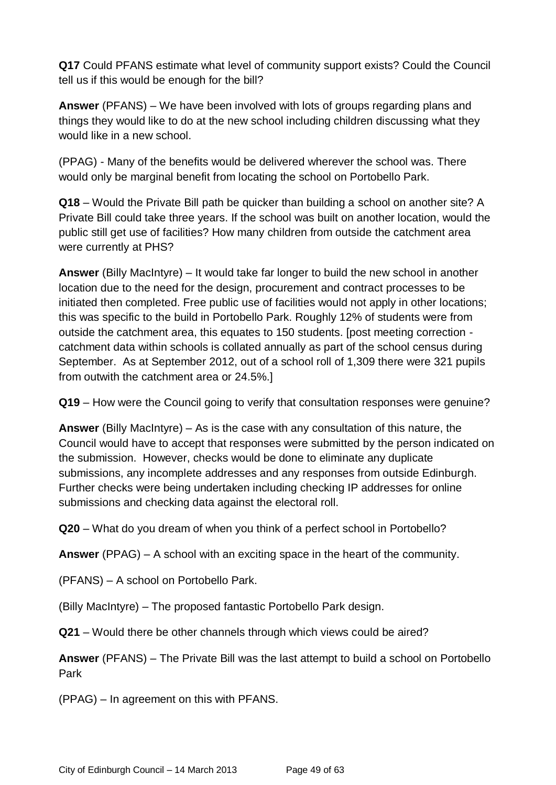**Q17** Could PFANS estimate what level of community support exists? Could the Council tell us if this would be enough for the bill?

**Answer** (PFANS) – We have been involved with lots of groups regarding plans and things they would like to do at the new school including children discussing what they would like in a new school.

(PPAG) - Many of the benefits would be delivered wherever the school was. There would only be marginal benefit from locating the school on Portobello Park.

**Q18** – Would the Private Bill path be quicker than building a school on another site? A Private Bill could take three years. If the school was built on another location, would the public still get use of facilities? How many children from outside the catchment area were currently at PHS?

**Answer** (Billy MacIntyre) – It would take far longer to build the new school in another location due to the need for the design, procurement and contract processes to be initiated then completed. Free public use of facilities would not apply in other locations; this was specific to the build in Portobello Park. Roughly 12% of students were from outside the catchment area, this equates to 150 students. [post meeting correction catchment data within schools is collated annually as part of the school census during September. As at September 2012, out of a school roll of 1,309 there were 321 pupils from outwith the catchment area or 24.5%.]

**Q19** – How were the Council going to verify that consultation responses were genuine?

**Answer** (Billy MacIntyre) – As is the case with any consultation of this nature, the Council would have to accept that responses were submitted by the person indicated on the submission. However, checks would be done to eliminate any duplicate submissions, any incomplete addresses and any responses from outside Edinburgh. Further checks were being undertaken including checking IP addresses for online submissions and checking data against the electoral roll.

**Q20** – What do you dream of when you think of a perfect school in Portobello?

**Answer** (PPAG) – A school with an exciting space in the heart of the community.

(PFANS) – A school on Portobello Park.

(Billy MacIntyre) – The proposed fantastic Portobello Park design.

**Q21** – Would there be other channels through which views could be aired?

**Answer** (PFANS) – The Private Bill was the last attempt to build a school on Portobello Park

(PPAG) – In agreement on this with PFANS.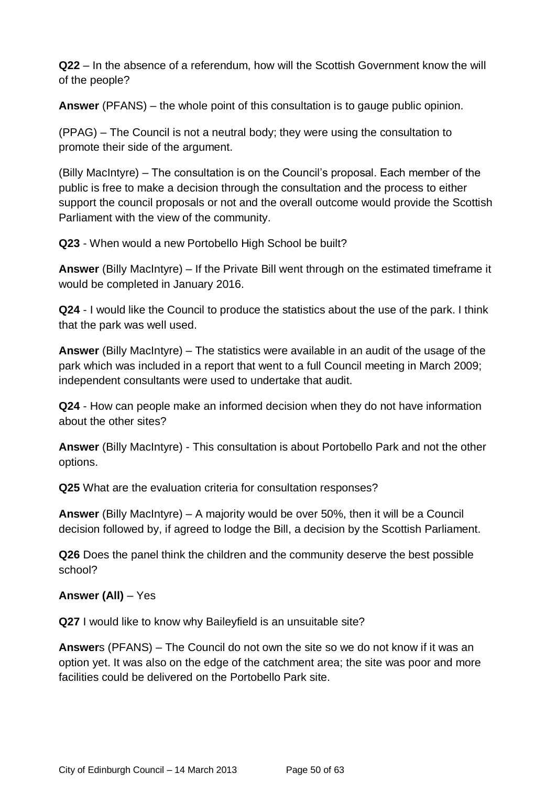**Q22** – In the absence of a referendum, how will the Scottish Government know the will of the people?

**Answer** (PFANS) – the whole point of this consultation is to gauge public opinion.

(PPAG) – The Council is not a neutral body; they were using the consultation to promote their side of the argument.

(Billy MacIntyre) – The consultation is on the Council's proposal. Each member of the public is free to make a decision through the consultation and the process to either support the council proposals or not and the overall outcome would provide the Scottish Parliament with the view of the community.

**Q23** - When would a new Portobello High School be built?

**Answer** (Billy MacIntyre) – If the Private Bill went through on the estimated timeframe it would be completed in January 2016.

**Q24** - I would like the Council to produce the statistics about the use of the park. I think that the park was well used.

**Answer** (Billy MacIntyre) – The statistics were available in an audit of the usage of the park which was included in a report that went to a full Council meeting in March 2009; independent consultants were used to undertake that audit.

**Q24** - How can people make an informed decision when they do not have information about the other sites?

**Answer** (Billy MacIntyre) - This consultation is about Portobello Park and not the other options.

**Q25** What are the evaluation criteria for consultation responses?

**Answer** (Billy MacIntyre) – A majority would be over 50%, then it will be a Council decision followed by, if agreed to lodge the Bill, a decision by the Scottish Parliament.

**Q26** Does the panel think the children and the community deserve the best possible school?

## **Answer (All)** – Yes

**Q27** I would like to know why Baileyfield is an unsuitable site?

**Answer**s (PFANS) – The Council do not own the site so we do not know if it was an option yet. It was also on the edge of the catchment area; the site was poor and more facilities could be delivered on the Portobello Park site.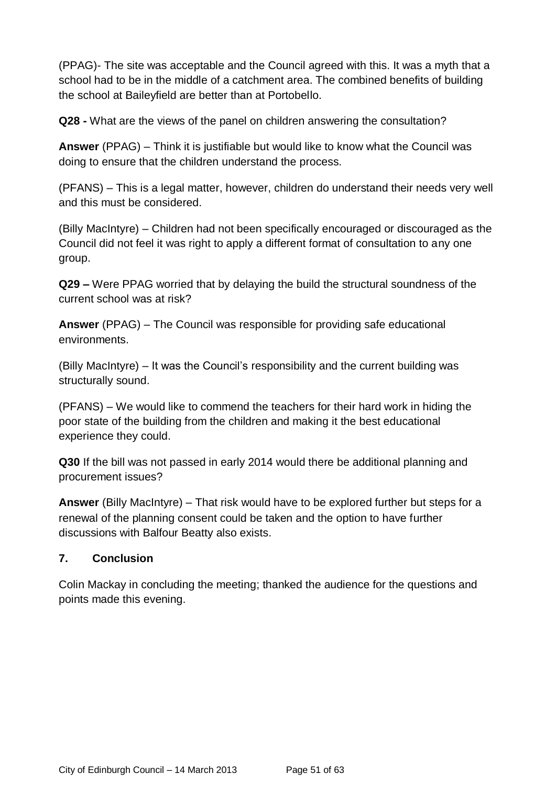(PPAG)- The site was acceptable and the Council agreed with this. It was a myth that a school had to be in the middle of a catchment area. The combined benefits of building the school at Baileyfield are better than at Portobello.

**Q28 -** What are the views of the panel on children answering the consultation?

**Answer** (PPAG) – Think it is justifiable but would like to know what the Council was doing to ensure that the children understand the process.

(PFANS) – This is a legal matter, however, children do understand their needs very well and this must be considered.

(Billy MacIntyre) – Children had not been specifically encouraged or discouraged as the Council did not feel it was right to apply a different format of consultation to any one group.

**Q29 –** Were PPAG worried that by delaying the build the structural soundness of the current school was at risk?

**Answer** (PPAG) – The Council was responsible for providing safe educational environments.

(Billy MacIntyre) – It was the Council's responsibility and the current building was structurally sound.

(PFANS) – We would like to commend the teachers for their hard work in hiding the poor state of the building from the children and making it the best educational experience they could.

**Q30** If the bill was not passed in early 2014 would there be additional planning and procurement issues?

**Answer** (Billy MacIntyre) – That risk would have to be explored further but steps for a renewal of the planning consent could be taken and the option to have further discussions with Balfour Beatty also exists.

## **7. Conclusion**

Colin Mackay in concluding the meeting; thanked the audience for the questions and points made this evening.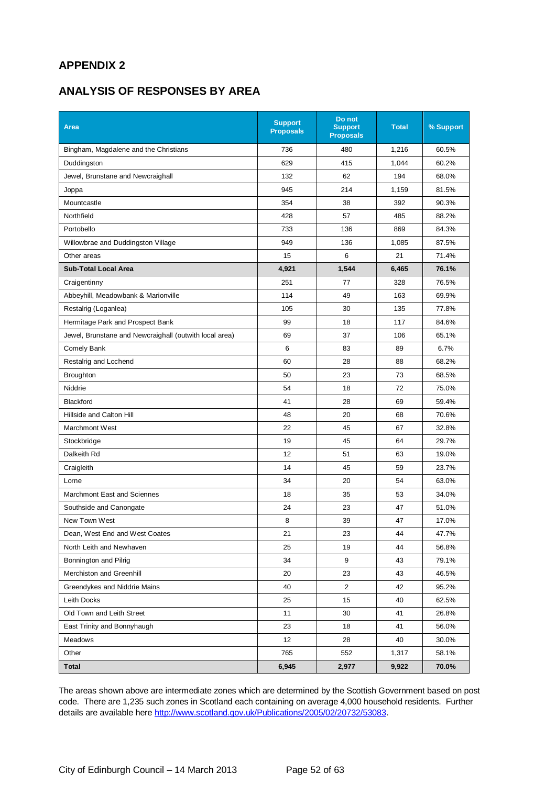## **APPENDIX 2**

## **ANALYSIS OF RESPONSES BY AREA**

| <b>Area</b>                                            | <b>Support</b><br><b>Proposals</b> | Do not<br><b>Support</b><br><b>Proposals</b> | <b>Total</b> | % Support |
|--------------------------------------------------------|------------------------------------|----------------------------------------------|--------------|-----------|
| Bingham, Magdalene and the Christians                  | 736                                | 480                                          | 1,216        | 60.5%     |
| Duddingston                                            | 629                                | 415                                          | 1,044        | 60.2%     |
| Jewel, Brunstane and Newcraighall                      | 132                                | 62                                           | 194          | 68.0%     |
| Joppa                                                  | 945                                | 214                                          | 1,159        | 81.5%     |
| Mountcastle                                            | 354                                | 38                                           | 392          | 90.3%     |
| Northfield                                             | 428                                | 57                                           | 485          | 88.2%     |
| Portobello                                             | 733                                | 136                                          | 869          | 84.3%     |
| Willowbrae and Duddingston Village                     | 949                                | 136                                          | 1,085        | 87.5%     |
| Other areas                                            | 15                                 | 6                                            | 21           | 71.4%     |
| <b>Sub-Total Local Area</b>                            | 4,921                              | 1,544                                        | 6,465        | 76.1%     |
| Craigentinny                                           | 251                                | 77                                           | 328          | 76.5%     |
| Abbeyhill, Meadowbank & Marionville                    | 114                                | 49                                           | 163          | 69.9%     |
| Restalrig (Loganlea)                                   | 105                                | 30                                           | 135          | 77.8%     |
| Hermitage Park and Prospect Bank                       | 99                                 | 18                                           | 117          | 84.6%     |
| Jewel, Brunstane and Newcraighall (outwith local area) | 69                                 | 37                                           | 106          | 65.1%     |
| Comely Bank                                            | 6                                  | 83                                           | 89           | 6.7%      |
| Restalrig and Lochend                                  | 60                                 | 28                                           | 88           | 68.2%     |
| <b>Broughton</b>                                       | 50                                 | 23                                           | 73           | 68.5%     |
| Niddrie                                                | 54                                 | 18                                           | 72           | 75.0%     |
| Blackford                                              | 41                                 | 28                                           | 69           | 59.4%     |
| Hillside and Calton Hill                               | 48                                 | 20                                           | 68           | 70.6%     |
| Marchmont West                                         | 22                                 | 45                                           | 67           | 32.8%     |
| Stockbridge                                            | 19                                 | 45                                           | 64           | 29.7%     |
| Dalkeith Rd                                            | 12                                 | 51                                           | 63           | 19.0%     |
| Craigleith                                             | 14                                 | 45                                           | 59           | 23.7%     |
| Lorne                                                  | 34                                 | 20                                           | 54           | 63.0%     |
| Marchmont East and Sciennes                            | 18                                 | 35                                           | 53           | 34.0%     |
| Southside and Canongate                                | 24                                 | 23                                           | 47           | 51.0%     |
| New Town West                                          | 8                                  | 39                                           | 47           | 17.0%     |
| Dean, West End and West Coates                         | 21                                 | 23                                           | 44           | 47.7%     |
| North Leith and Newhaven                               | 25                                 | 19                                           | 44           | 56.8%     |
| Bonnington and Pilrig                                  | 34                                 | 9                                            | 43           | 79.1%     |
| Merchiston and Greenhill                               | 20                                 | 23                                           | 43           | 46.5%     |
| Greendykes and Niddrie Mains                           | 40                                 | 2                                            | 42           | 95.2%     |
| Leith Docks                                            | 25                                 | 15                                           | 40           | 62.5%     |
| Old Town and Leith Street                              | 11                                 | 30                                           | 41           | 26.8%     |
| East Trinity and Bonnyhaugh                            | 23                                 | 18                                           | 41           | 56.0%     |
| Meadows                                                | 12                                 | 28                                           | 40           | 30.0%     |
| Other                                                  | 765                                | 552                                          | 1,317        | 58.1%     |
| Total                                                  | 6,945                              | 2,977                                        | 9,922        | 70.0%     |

The areas shown above are intermediate zones which are determined by the Scottish Government based on post code. There are 1,235 such zones in Scotland each containing on average 4,000 household residents. Further details are available her[e http://www.scotland.gov.uk/Publications/2005/02/20732/53083.](http://www.scotland.gov.uk/Publications/2005/02/20732/53083)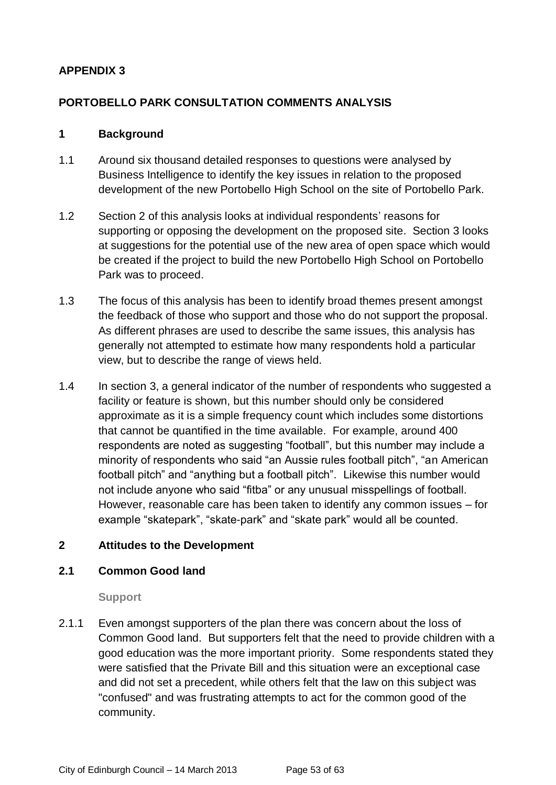## **APPENDIX 3**

## **PORTOBELLO PARK CONSULTATION COMMENTS ANALYSIS**

#### **1 Background**

- 1.1 Around six thousand detailed responses to questions were analysed by Business Intelligence to identify the key issues in relation to the proposed development of the new Portobello High School on the site of Portobello Park.
- 1.2 Section 2 of this analysis looks at individual respondents' reasons for supporting or opposing the development on the proposed site. Section 3 looks at suggestions for the potential use of the new area of open space which would be created if the project to build the new Portobello High School on Portobello Park was to proceed.
- 1.3 The focus of this analysis has been to identify broad themes present amongst the feedback of those who support and those who do not support the proposal. As different phrases are used to describe the same issues, this analysis has generally not attempted to estimate how many respondents hold a particular view, but to describe the range of views held.
- 1.4 In section 3, a general indicator of the number of respondents who suggested a facility or feature is shown, but this number should only be considered approximate as it is a simple frequency count which includes some distortions that cannot be quantified in the time available. For example, around 400 respondents are noted as suggesting "football", but this number may include a minority of respondents who said "an Aussie rules football pitch", "an American football pitch" and "anything but a football pitch". Likewise this number would not include anyone who said "fitba" or any unusual misspellings of football. However, reasonable care has been taken to identify any common issues – for example "skatepark", "skate-park" and "skate park" would all be counted.

#### **2 Attitudes to the Development**

#### **2.1 Common Good land**

**Support**

2.1.1 Even amongst supporters of the plan there was concern about the loss of Common Good land. But supporters felt that the need to provide children with a good education was the more important priority. Some respondents stated they were satisfied that the Private Bill and this situation were an exceptional case and did not set a precedent, while others felt that the law on this subject was "confused" and was frustrating attempts to act for the common good of the community.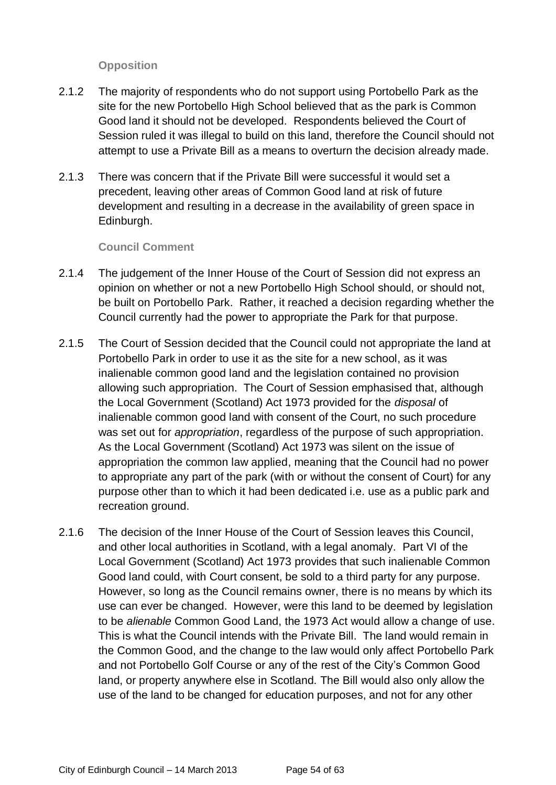#### **Opposition**

- 2.1.2 The majority of respondents who do not support using Portobello Park as the site for the new Portobello High School believed that as the park is Common Good land it should not be developed. Respondents believed the Court of Session ruled it was illegal to build on this land, therefore the Council should not attempt to use a Private Bill as a means to overturn the decision already made.
- 2.1.3 There was concern that if the Private Bill were successful it would set a precedent, leaving other areas of Common Good land at risk of future development and resulting in a decrease in the availability of green space in Edinburgh.

#### **Council Comment**

- 2.1.4 The judgement of the Inner House of the Court of Session did not express an opinion on whether or not a new Portobello High School should, or should not, be built on Portobello Park. Rather, it reached a decision regarding whether the Council currently had the power to appropriate the Park for that purpose.
- 2.1.5 The Court of Session decided that the Council could not appropriate the land at Portobello Park in order to use it as the site for a new school, as it was inalienable common good land and the legislation contained no provision allowing such appropriation. The Court of Session emphasised that, although the Local Government (Scotland) Act 1973 provided for the *disposal* of inalienable common good land with consent of the Court, no such procedure was set out for *appropriation*, regardless of the purpose of such appropriation. As the Local Government (Scotland) Act 1973 was silent on the issue of appropriation the common law applied, meaning that the Council had no power to appropriate any part of the park (with or without the consent of Court) for any purpose other than to which it had been dedicated i.e. use as a public park and recreation ground.
- 2.1.6 The decision of the Inner House of the Court of Session leaves this Council, and other local authorities in Scotland, with a legal anomaly. Part VI of the Local Government (Scotland) Act 1973 provides that such inalienable Common Good land could, with Court consent, be sold to a third party for any purpose. However, so long as the Council remains owner, there is no means by which its use can ever be changed. However, were this land to be deemed by legislation to be *alienable* Common Good Land, the 1973 Act would allow a change of use. This is what the Council intends with the Private Bill. The land would remain in the Common Good, and the change to the law would only affect Portobello Park and not Portobello Golf Course or any of the rest of the City's Common Good land, or property anywhere else in Scotland. The Bill would also only allow the use of the land to be changed for education purposes, and not for any other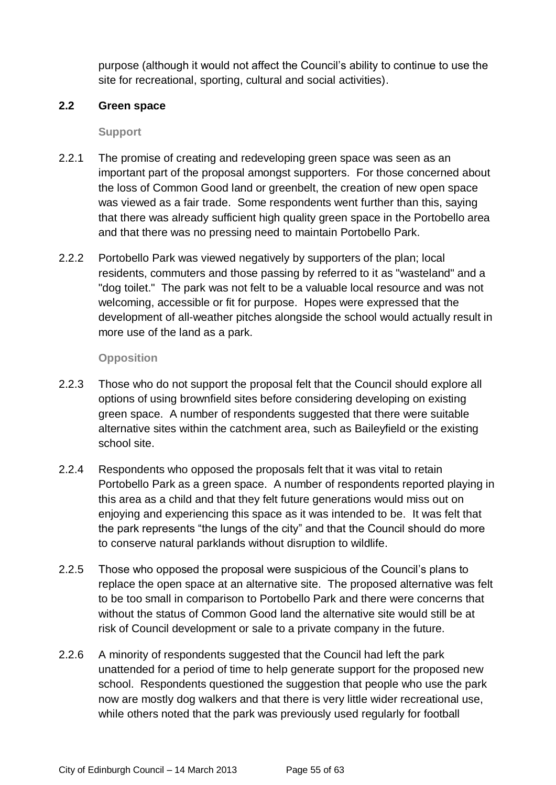purpose (although it would not affect the Council's ability to continue to use the site for recreational, sporting, cultural and social activities).

#### **2.2 Green space**

**Support**

- 2.2.1 The promise of creating and redeveloping green space was seen as an important part of the proposal amongst supporters. For those concerned about the loss of Common Good land or greenbelt, the creation of new open space was viewed as a fair trade. Some respondents went further than this, saying that there was already sufficient high quality green space in the Portobello area and that there was no pressing need to maintain Portobello Park.
- 2.2.2 Portobello Park was viewed negatively by supporters of the plan; local residents, commuters and those passing by referred to it as "wasteland" and a "dog toilet." The park was not felt to be a valuable local resource and was not welcoming, accessible or fit for purpose. Hopes were expressed that the development of all-weather pitches alongside the school would actually result in more use of the land as a park.

## **Opposition**

- 2.2.3 Those who do not support the proposal felt that the Council should explore all options of using brownfield sites before considering developing on existing green space. A number of respondents suggested that there were suitable alternative sites within the catchment area, such as Baileyfield or the existing school site.
- 2.2.4 Respondents who opposed the proposals felt that it was vital to retain Portobello Park as a green space. A number of respondents reported playing in this area as a child and that they felt future generations would miss out on enjoying and experiencing this space as it was intended to be. It was felt that the park represents "the lungs of the city" and that the Council should do more to conserve natural parklands without disruption to wildlife.
- 2.2.5 Those who opposed the proposal were suspicious of the Council's plans to replace the open space at an alternative site. The proposed alternative was felt to be too small in comparison to Portobello Park and there were concerns that without the status of Common Good land the alternative site would still be at risk of Council development or sale to a private company in the future.
- 2.2.6 A minority of respondents suggested that the Council had left the park unattended for a period of time to help generate support for the proposed new school. Respondents questioned the suggestion that people who use the park now are mostly dog walkers and that there is very little wider recreational use, while others noted that the park was previously used regularly for football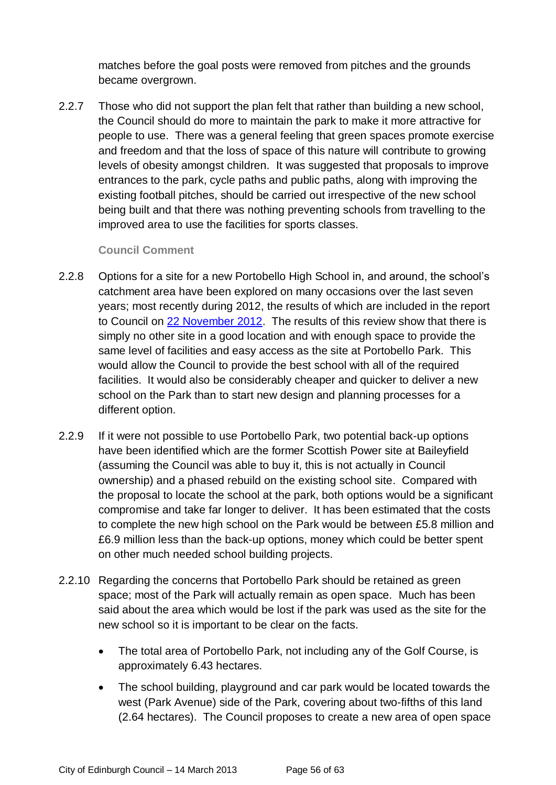matches before the goal posts were removed from pitches and the grounds became overgrown.

2.2.7 Those who did not support the plan felt that rather than building a new school, the Council should do more to maintain the park to make it more attractive for people to use. There was a general feeling that green spaces promote exercise and freedom and that the loss of space of this nature will contribute to growing levels of obesity amongst children. It was suggested that proposals to improve entrances to the park, cycle paths and public paths, along with improving the existing football pitches, should be carried out irrespective of the new school being built and that there was nothing preventing schools from travelling to the improved area to use the facilities for sports classes.

#### **Council Comment**

- 2.2.8 Options for a site for a new Portobello High School in, and around, the school's catchment area have been explored on many occasions over the last seven years; most recently during 2012, the results of which are included in the report to Council on [22 November 2012.](http://www.edinburgh.gov.uk/download/meetings/id/37233/item_no_81-the_new_portobello_high_school_and_new_st_johns_rc_primary_school) The results of this review show that there is simply no other site in a good location and with enough space to provide the same level of facilities and easy access as the site at Portobello Park. This would allow the Council to provide the best school with all of the required facilities. It would also be considerably cheaper and quicker to deliver a new school on the Park than to start new design and planning processes for a different option.
- 2.2.9 If it were not possible to use Portobello Park, two potential back-up options have been identified which are the former Scottish Power site at Baileyfield (assuming the Council was able to buy it, this is not actually in Council ownership) and a phased rebuild on the existing school site. Compared with the proposal to locate the school at the park, both options would be a significant compromise and take far longer to deliver. It has been estimated that the costs to complete the new high school on the Park would be between £5.8 million and £6.9 million less than the back-up options, money which could be better spent on other much needed school building projects.
- 2.2.10 Regarding the concerns that Portobello Park should be retained as green space; most of the Park will actually remain as open space. Much has been said about the area which would be lost if the park was used as the site for the new school so it is important to be clear on the facts.
	- The total area of Portobello Park, not including any of the Golf Course, is approximately 6.43 hectares.
	- The school building, playground and car park would be located towards the west (Park Avenue) side of the Park, covering about two-fifths of this land (2.64 hectares). The Council proposes to create a new area of open space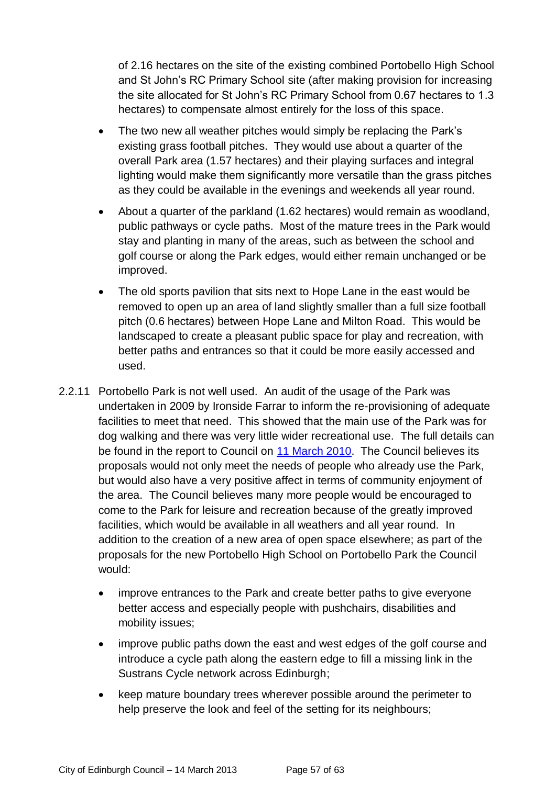of 2.16 hectares on the site of the existing combined Portobello High School and St John's RC Primary School site (after making provision for increasing the site allocated for St John's RC Primary School from 0.67 hectares to 1.3 hectares) to compensate almost entirely for the loss of this space.

- The two new all weather pitches would simply be replacing the Park's existing grass football pitches. They would use about a quarter of the overall Park area (1.57 hectares) and their playing surfaces and integral lighting would make them significantly more versatile than the grass pitches as they could be available in the evenings and weekends all year round.
- About a quarter of the parkland (1.62 hectares) would remain as woodland, public pathways or cycle paths. Most of the mature trees in the Park would stay and planting in many of the areas, such as between the school and golf course or along the Park edges, would either remain unchanged or be improved.
- The old sports pavilion that sits next to Hope Lane in the east would be removed to open up an area of land slightly smaller than a full size football pitch (0.6 hectares) between Hope Lane and Milton Road. This would be landscaped to create a pleasant public space for play and recreation, with better paths and entrances so that it could be more easily accessed and used.
- 2.2.11 Portobello Park is not well used. An audit of the usage of the Park was undertaken in 2009 by Ironside Farrar to inform the re-provisioning of adequate facilities to meet that need. This showed that the main use of the Park was for dog walking and there was very little wider recreational use. The full details can be found in the report to Council on [11 March 2010.](http://www.edinburgh.gov.uk/download/meetings/id/11484/portobello_high_school) The Council believes its proposals would not only meet the needs of people who already use the Park, but would also have a very positive affect in terms of community enjoyment of the area. The Council believes many more people would be encouraged to come to the Park for leisure and recreation because of the greatly improved facilities, which would be available in all weathers and all year round. In addition to the creation of a new area of open space elsewhere; as part of the proposals for the new Portobello High School on Portobello Park the Council would:
	- improve entrances to the Park and create better paths to give everyone better access and especially people with pushchairs, disabilities and mobility issues;
	- improve public paths down the east and west edges of the golf course and introduce a cycle path along the eastern edge to fill a missing link in the Sustrans Cycle network across Edinburgh;
	- keep mature boundary trees wherever possible around the perimeter to help preserve the look and feel of the setting for its neighbours;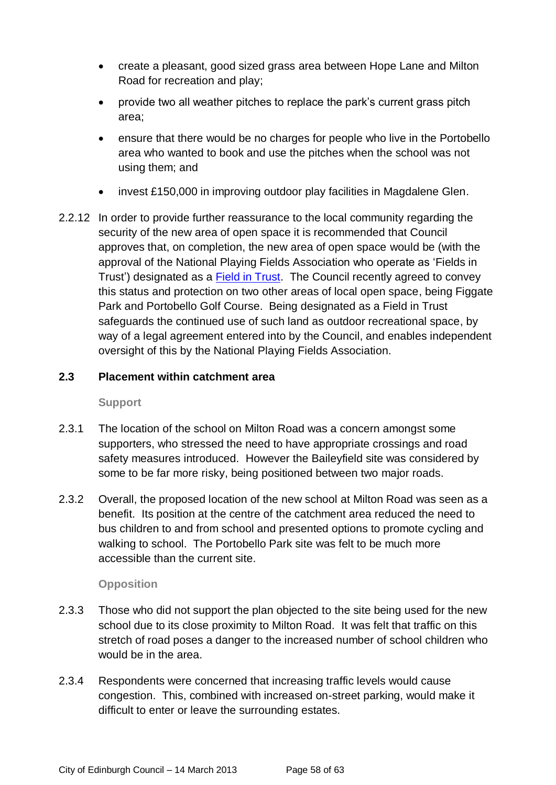- create a pleasant, good sized grass area between Hope Lane and Milton Road for recreation and play;
- provide two all weather pitches to replace the park's current grass pitch area;
- ensure that there would be no charges for people who live in the Portobello area who wanted to book and use the pitches when the school was not using them; and
- invest £150,000 in improving outdoor play facilities in Magdalene Glen.
- 2.2.12 In order to provide further reassurance to the local community regarding the security of the new area of open space it is recommended that Council approves that, on completion, the new area of open space would be (with the approval of the National Playing Fields Association who operate as 'Fields in Trust') designated as a [Field in Trust.](http://www.fieldsintrust.org/Default.aspx) The Council recently agreed to convey this status and protection on two other areas of local open space, being Figgate Park and Portobello Golf Course. Being designated as a Field in Trust safeguards the continued use of such land as outdoor recreational space, by way of a legal agreement entered into by the Council, and enables independent oversight of this by the National Playing Fields Association.

#### **2.3 Placement within catchment area**

#### **Support**

- 2.3.1 The location of the school on Milton Road was a concern amongst some supporters, who stressed the need to have appropriate crossings and road safety measures introduced. However the Baileyfield site was considered by some to be far more risky, being positioned between two major roads.
- 2.3.2 Overall, the proposed location of the new school at Milton Road was seen as a benefit. Its position at the centre of the catchment area reduced the need to bus children to and from school and presented options to promote cycling and walking to school. The Portobello Park site was felt to be much more accessible than the current site.

#### **Opposition**

- 2.3.3 Those who did not support the plan objected to the site being used for the new school due to its close proximity to Milton Road. It was felt that traffic on this stretch of road poses a danger to the increased number of school children who would be in the area.
- 2.3.4 Respondents were concerned that increasing traffic levels would cause congestion. This, combined with increased on-street parking, would make it difficult to enter or leave the surrounding estates.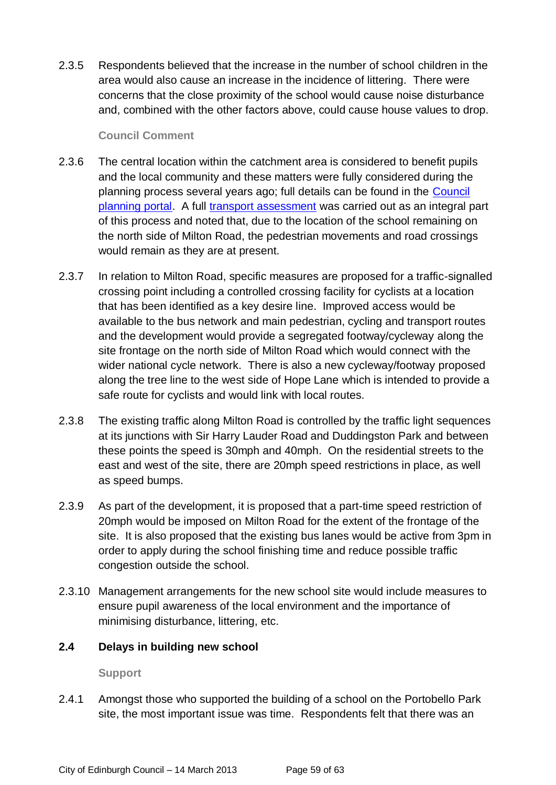2.3.5 Respondents believed that the increase in the number of school children in the area would also cause an increase in the incidence of littering. There were concerns that the close proximity of the school would cause noise disturbance and, combined with the other factors above, could cause house values to drop.

#### **Council Comment**

- 2.3.6 The central location within the catchment area is considered to benefit pupils and the local community and these matters were fully considered during the planning process several years ago; full details can be found in the [Council](https://citydev-portal.edinburgh.gov.uk/idoxpa-web/simpleSearchResults.do;jsessionid=2E5B250AADDDFC7B989E46D472E3AF27?action=firstPage)  [planning portal.](https://citydev-portal.edinburgh.gov.uk/idoxpa-web/simpleSearchResults.do;jsessionid=2E5B250AADDDFC7B989E46D472E3AF27?action=firstPage) A full transport [assessment](https://citydev-portal.edinburgh.gov.uk/idoxpa-web/files/51833962F2331BF8BABB5947D64433C0/pdf/10_02830_FUL-TRANSPORT_ASSESSMENT-1080019.pdf) was carried out as an integral part of this process and noted that, due to the location of the school remaining on the north side of Milton Road, the pedestrian movements and road crossings would remain as they are at present.
- 2.3.7 In relation to Milton Road, specific measures are proposed for a traffic-signalled crossing point including a controlled crossing facility for cyclists at a location that has been identified as a key desire line. Improved access would be available to the bus network and main pedestrian, cycling and transport routes and the development would provide a segregated footway/cycleway along the site frontage on the north side of Milton Road which would connect with the wider national cycle network. There is also a new cycleway/footway proposed along the tree line to the west side of Hope Lane which is intended to provide a safe route for cyclists and would link with local routes.
- 2.3.8 The existing traffic along Milton Road is controlled by the traffic light sequences at its junctions with Sir Harry Lauder Road and Duddingston Park and between these points the speed is 30mph and 40mph. On the residential streets to the east and west of the site, there are 20mph speed restrictions in place, as well as speed bumps.
- 2.3.9 As part of the development, it is proposed that a part-time speed restriction of 20mph would be imposed on Milton Road for the extent of the frontage of the site. It is also proposed that the existing bus lanes would be active from 3pm in order to apply during the school finishing time and reduce possible traffic congestion outside the school.
- 2.3.10 Management arrangements for the new school site would include measures to ensure pupil awareness of the local environment and the importance of minimising disturbance, littering, etc.

#### **2.4 Delays in building new school**

#### **Support**

2.4.1 Amongst those who supported the building of a school on the Portobello Park site, the most important issue was time. Respondents felt that there was an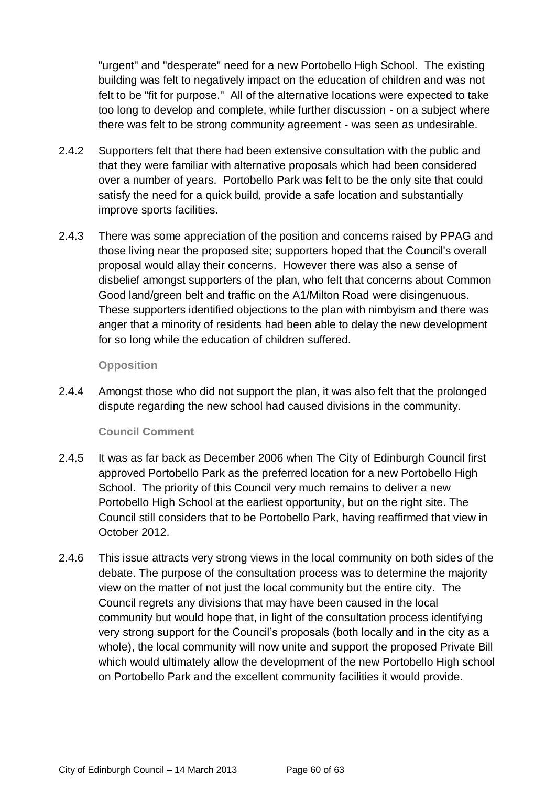"urgent" and "desperate" need for a new Portobello High School. The existing building was felt to negatively impact on the education of children and was not felt to be "fit for purpose." All of the alternative locations were expected to take too long to develop and complete, while further discussion - on a subject where there was felt to be strong community agreement - was seen as undesirable.

- 2.4.2 Supporters felt that there had been extensive consultation with the public and that they were familiar with alternative proposals which had been considered over a number of years. Portobello Park was felt to be the only site that could satisfy the need for a quick build, provide a safe location and substantially improve sports facilities.
- 2.4.3 There was some appreciation of the position and concerns raised by PPAG and those living near the proposed site; supporters hoped that the Council's overall proposal would allay their concerns. However there was also a sense of disbelief amongst supporters of the plan, who felt that concerns about Common Good land/green belt and traffic on the A1/Milton Road were disingenuous. These supporters identified objections to the plan with nimbyism and there was anger that a minority of residents had been able to delay the new development for so long while the education of children suffered.

#### **Opposition**

2.4.4 Amongst those who did not support the plan, it was also felt that the prolonged dispute regarding the new school had caused divisions in the community.

#### **Council Comment**

- 2.4.5 It was as far back as December 2006 when The City of Edinburgh Council first approved Portobello Park as the preferred location for a new Portobello High School. The priority of this Council very much remains to deliver a new Portobello High School at the earliest opportunity, but on the right site. The Council still considers that to be Portobello Park, having reaffirmed that view in October 2012.
- 2.4.6 This issue attracts very strong views in the local community on both sides of the debate. The purpose of the consultation process was to determine the majority view on the matter of not just the local community but the entire city. The Council regrets any divisions that may have been caused in the local community but would hope that, in light of the consultation process identifying very strong support for the Council's proposals (both locally and in the city as a whole), the local community will now unite and support the proposed Private Bill which would ultimately allow the development of the new Portobello High school on Portobello Park and the excellent community facilities it would provide.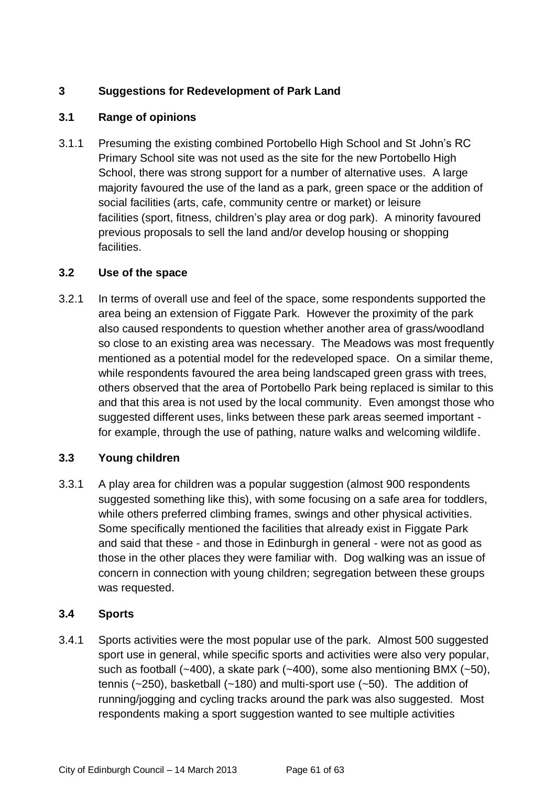## **3 Suggestions for Redevelopment of Park Land**

## **3.1 Range of opinions**

3.1.1 Presuming the existing combined Portobello High School and St John's RC Primary School site was not used as the site for the new Portobello High School, there was strong support for a number of alternative uses. A large majority favoured the use of the land as a park, green space or the addition of social facilities (arts, cafe, community centre or market) or leisure facilities (sport, fitness, children's play area or dog park). A minority favoured previous proposals to sell the land and/or develop housing or shopping facilities.

## **3.2 Use of the space**

3.2.1 In terms of overall use and feel of the space, some respondents supported the area being an extension of Figgate Park. However the proximity of the park also caused respondents to question whether another area of grass/woodland so close to an existing area was necessary. The Meadows was most frequently mentioned as a potential model for the redeveloped space. On a similar theme, while respondents favoured the area being landscaped green grass with trees, others observed that the area of Portobello Park being replaced is similar to this and that this area is not used by the local community. Even amongst those who suggested different uses, links between these park areas seemed important for example, through the use of pathing, nature walks and welcoming wildlife.

## **3.3 Young children**

3.3.1 A play area for children was a popular suggestion (almost 900 respondents suggested something like this), with some focusing on a safe area for toddlers, while others preferred climbing frames, swings and other physical activities. Some specifically mentioned the facilities that already exist in Figgate Park and said that these - and those in Edinburgh in general - were not as good as those in the other places they were familiar with. Dog walking was an issue of concern in connection with young children; segregation between these groups was requested.

## **3.4 Sports**

3.4.1 Sports activities were the most popular use of the park. Almost 500 suggested sport use in general, while specific sports and activities were also very popular, such as football  $(-400)$ , a skate park  $(-400)$ , some also mentioning BMX  $(-50)$ , tennis ( $\sim$ 250), basketball ( $\sim$ 180) and multi-sport use ( $\sim$ 50). The addition of running/jogging and cycling tracks around the park was also suggested. Most respondents making a sport suggestion wanted to see multiple activities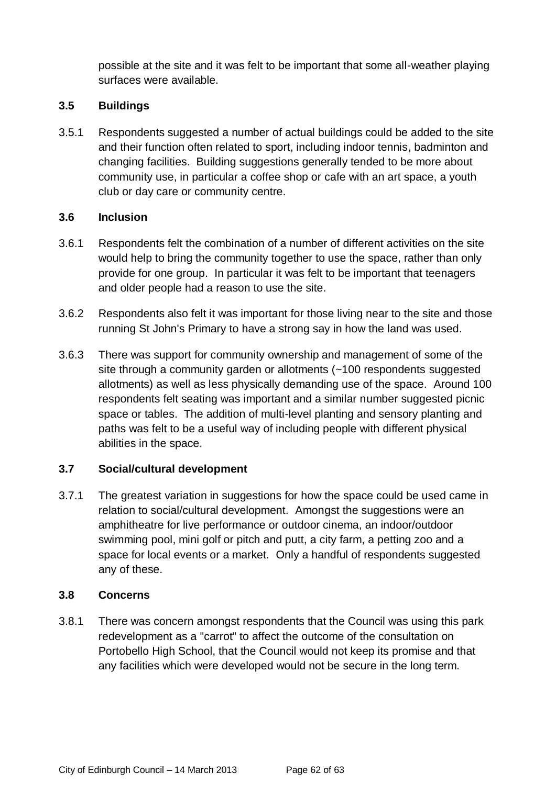possible at the site and it was felt to be important that some all-weather playing surfaces were available.

## **3.5 Buildings**

3.5.1 Respondents suggested a number of actual buildings could be added to the site and their function often related to sport, including indoor tennis, badminton and changing facilities. Building suggestions generally tended to be more about community use, in particular a coffee shop or cafe with an art space, a youth club or day care or community centre.

#### **3.6 Inclusion**

- 3.6.1 Respondents felt the combination of a number of different activities on the site would help to bring the community together to use the space, rather than only provide for one group. In particular it was felt to be important that teenagers and older people had a reason to use the site.
- 3.6.2 Respondents also felt it was important for those living near to the site and those running St John's Primary to have a strong say in how the land was used.
- 3.6.3 There was support for community ownership and management of some of the site through a community garden or allotments (~100 respondents suggested allotments) as well as less physically demanding use of the space. Around 100 respondents felt seating was important and a similar number suggested picnic space or tables. The addition of multi-level planting and sensory planting and paths was felt to be a useful way of including people with different physical abilities in the space.

## **3.7 Social/cultural development**

3.7.1 The greatest variation in suggestions for how the space could be used came in relation to social/cultural development. Amongst the suggestions were an amphitheatre for live performance or outdoor cinema, an indoor/outdoor swimming pool, mini golf or pitch and putt, a city farm, a petting zoo and a space for local events or a market. Only a handful of respondents suggested any of these.

#### **3.8 Concerns**

3.8.1 There was concern amongst respondents that the Council was using this park redevelopment as a "carrot" to affect the outcome of the consultation on Portobello High School, that the Council would not keep its promise and that any facilities which were developed would not be secure in the long term.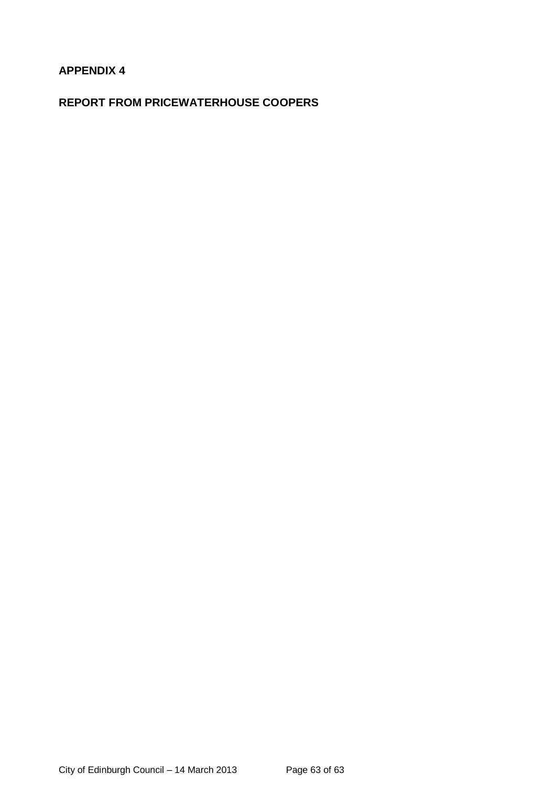## **APPENDIX 4**

## **REPORT FROM PRICEWATERHOUSE COOPERS**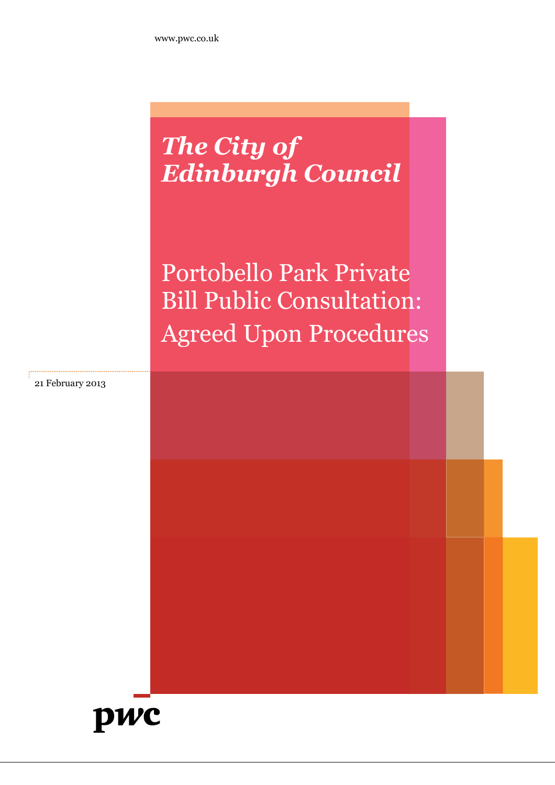## *The City of Edinburgh Council*

Portobello Park Private Bill Public Consultation: Agreed Upon Procedures

21 February 2013

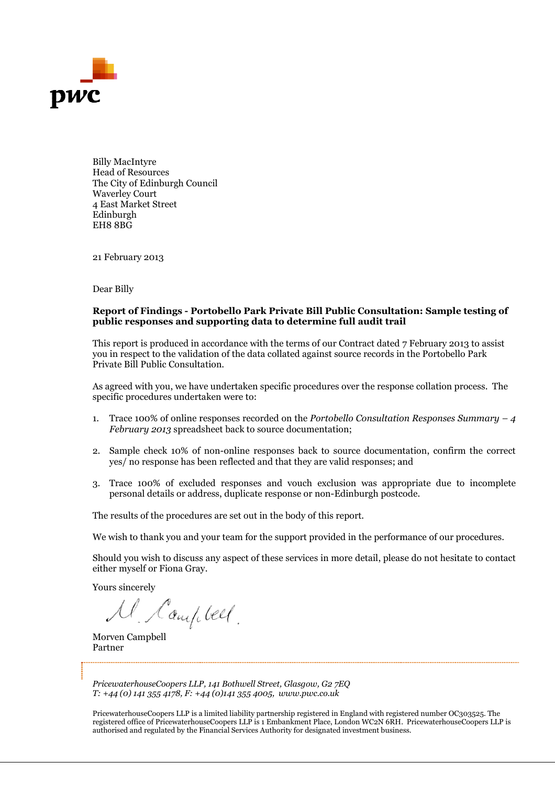

Billy MacIntyre Head of Resources The City of Edinburgh Council Waverley Court 4 East Market Street Edinburgh EH8 8BG

21 February 2013

Dear Billy

#### **Report of Findings - Portobello public responses and supporting data to determine full audit trail**

This report is produced in accordance with the terms of our Contract dated 7 February 2013 to assist you in respect to the validation of the data collated against source records in the Portobello Park Private Bill Public Consultation. **Findings - Portobello Park Private Bill Public Consultation: Sample testing of**<br>**Enolings - Portobello Park Private Bill Public Consultation: Sample testing of**<br>tis produced in accordance with the terms of our Contract d of Findings - Portobello Park Private Bill Public Consultation: Sample testing oor<br>exponses and supporting data to determine full audit trail<br>ort is produced in accordance with the terms of our Contract dated 7 February 2

Private Bill Public Consultation.<br>As agreed with you, we have undertaken specific procedures over the response collation process. The specific procedures undertaken were to:

- 1. Trace 100% of online responses recorded on the *Portobello Consultation Responses Summary 4* February 2013 spreadsheet back to source documentation;
- 2. Sample check 10% of non-online responses back to source documentation, confirm the correct yes/ no response has been reflected and that they are valid responses; and
- yes/ no response has been reflected and that they are valid responses; and<br>3. Trace 100% of excluded responses and vouch exclusion was appropriate due to incomplete personal details or address, duplicate response or non-Edinburgh postcode.

The results of the procedures are set out in the body of this report.

We wish to thank you and your team for the support provided in the performance of our procedures. personal details or address, duplicate response or non-Edinburgh postcode.<br>The results of the procedures are set out in the body of this report.<br>We wish to thank you and your team for the support provided in the performanc

either myself or Fiona Gray.

Yours sincerely

Morven Campbell Partner

*PricewaterhouseCoopers LLP, 141 Bothwell Street, Glasgow, G2 7EQ T: +44 (0) 141 355 4178, F: +44 (0)141 355 4005, www.pwc.co.uk*

PricewaterhouseCoopers LLP is a limited liability partnership registered in England with registered number OC303525. The registered office of PricewaterhouseCoopers LLP is 1 Embankment Place, London WC2N 6RH. PricewaterhouseCoopers LLP is authorised and regulated by the Financial Services Authority for designated investment business.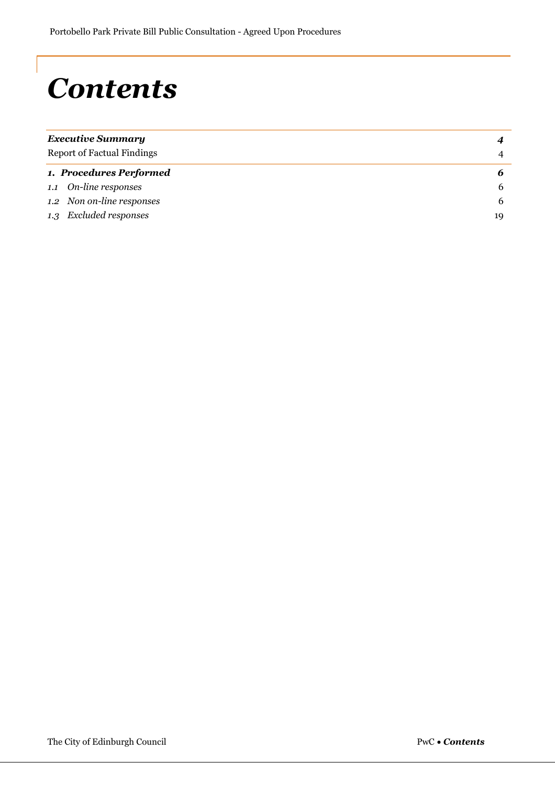# *Contents*

| <b>Executive Summary</b><br><b>Report of Factual Findings</b> |    |
|---------------------------------------------------------------|----|
|                                                               |    |
| 1. Procedures Performed                                       |    |
| 1.1 On-line responses                                         | b  |
| 1.2 Non on-line responses                                     | b  |
| 1.3 Excluded responses                                        | 19 |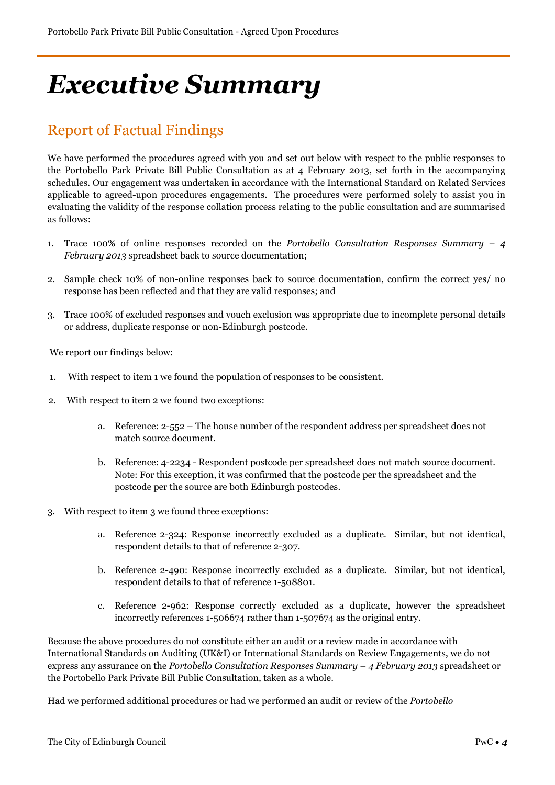# *Executive Summary*

## Report of Factual Findings

We have performed the procedures agreed with you and set out below with respect to the public responses to the Portobello Park Private Bill Public Consultation as at 4 February 2013, set forth in the accompanying schedules. Our engagement was undertaken in accordance with the International Standard on Related Services applicable to agreed-upon procedures engagements. The procedures were performed solely to assist you in evaluating the validity of the response collation process relating to the public consultation and are summarised as follows:

- 1. Trace 100% of online responses recorded on the *Portobello Consultation Responses Summary 4 February 2013* spreadsheet back to source documentation;
- 2. Sample check 10% of non-online responses back to source documentation, confirm the correct yes/ no response has been reflected and that they are valid responses; and
- 3. Trace 100% of excluded responses and vouch exclusion was appropriate due to incomplete personal details or address, duplicate response or non-Edinburgh postcode.

We report our findings below:

- 1. With respect to item 1 we found the population of responses to be consistent.
- 2. With respect to item 2 we found two exceptions:
	- a. Reference: 2-552 The house number of the respondent address per spreadsheet does not match source document.
	- b. Reference: 4-2234 Respondent postcode per spreadsheet does not match source document. Note: For this exception, it was confirmed that the postcode per the spreadsheet and the postcode per the source are both Edinburgh postcodes.
- 3. With respect to item 3 we found three exceptions:
	- a. Reference 2-324: Response incorrectly excluded as a duplicate. Similar, but not identical, respondent details to that of reference 2-307.
	- b. Reference 2-490: Response incorrectly excluded as a duplicate. Similar, but not identical, respondent details to that of reference 1-508801.
	- c. Reference 2-962: Response correctly excluded as a duplicate, however the spreadsheet incorrectly references 1-506674 rather than 1-507674 as the original entry.

Because the above procedures do not constitute either an audit or a review made in accordance with International Standards on Auditing (UK&I) or International Standards on Review Engagements, we do not express any assurance on the *Portobello Consultation Responses Summary – 4 February 2013* spreadsheet or the Portobello Park Private Bill Public Consultation, taken as a whole.

Had we performed additional procedures or had we performed an audit or review of the *Portobello*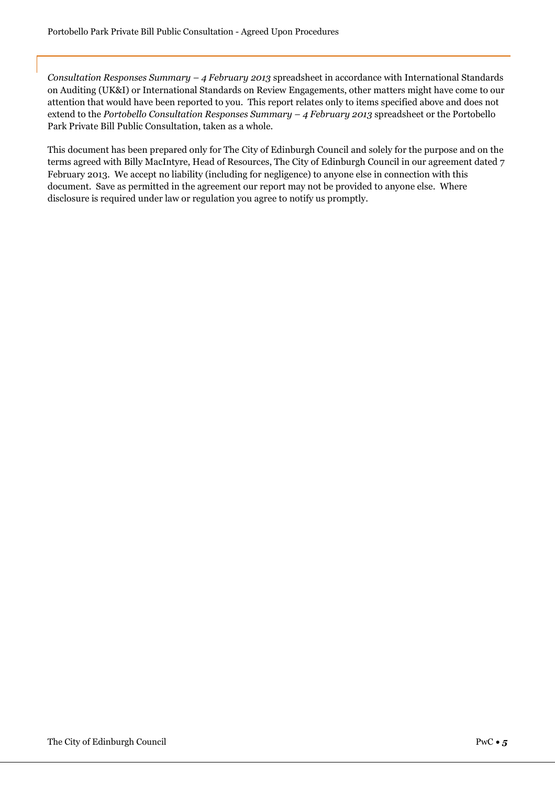*Consultation Responses Summary – 4 February 2013* spreadsheet in accordance with International Standards on Auditing (UK&I) or International Standards on Review Engagements, other matters might have come to our attention that would have been reported to you. This report relates only to items specified above and does not extend to the *Portobello Consultation Responses Summary – 4 February 2013* spreadsheet or the Portobello Park Private Bill Public Consultation, taken as a whole.

This document has been prepared only for The City of Edinburgh Council and solely for the purpose and on the terms agreed with Billy MacIntyre, Head of Resources, The City of Edinburgh Council in our agreement dated 7 February 2013. We accept no liability (including for negligence) to anyone else in connection with this document. Save as permitted in the agreement our report may not be provided to anyone else. Where disclosure is required under law or regulation you agree to notify us promptly.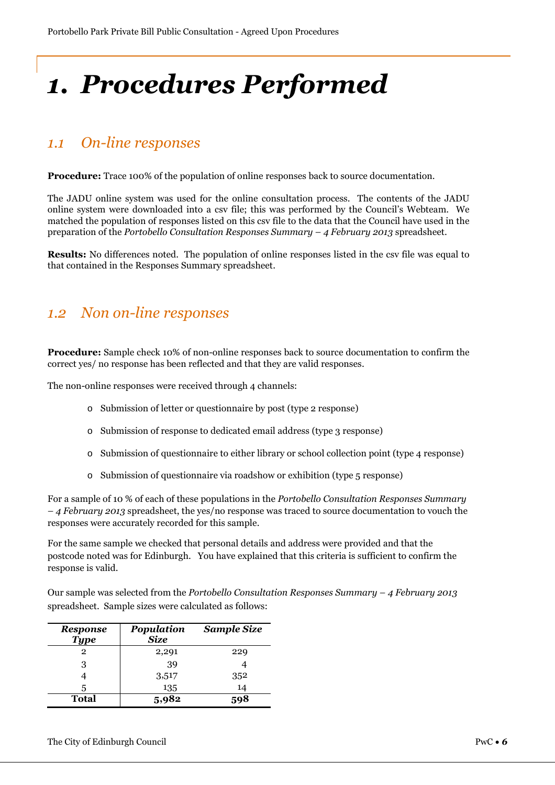# *1. Procedures Performed*

## *1.1 On-line responses*

**Procedure:** Trace 100% of the population of online responses back to source documentation.

The JADU online system was used for the online consultation process. The contents of the JADU online system were downloaded into a csv file; this was performed by the Council's Webteam. We matched the population of responses listed on this csv file to the data that the Council have used in the preparation of the *Portobello Consultation Responses Summary – 4 February 2013* spreadsheet.

**Results:** No differences noted. The population of online responses listed in the csv file was equal to that contained in the Responses Summary spreadsheet.

## *1.2 Non on-line responses*

**Procedure:** Sample check 10% of non-online responses back to source documentation to confirm the correct yes/ no response has been reflected and that they are valid responses.

The non-online responses were received through 4 channels:

- o Submission of letter or questionnaire by post (type 2 response)
- o Submission of response to dedicated email address (type 3 response)
- o Submission of questionnaire to either library or school collection point (type 4 response)
- o Submission of questionnaire via roadshow or exhibition (type 5 response)

For a sample of 10 % of each of these populations in the *Portobello Consultation Responses Summary – 4 February 2013* spreadsheet, the yes/no response was traced to source documentation to vouch the responses were accurately recorded for this sample.

For the same sample we checked that personal details and address were provided and that the postcode noted was for Edinburgh. You have explained that this criteria is sufficient to confirm the response is valid.

Our sample was selected from the *Portobello Consultation Responses Summary – 4 February 2013* spreadsheet. Sample sizes were calculated as follows:

| <b>Response</b><br><b>Type</b> | Population<br><b>Size</b> | <b>Sample Size</b> |
|--------------------------------|---------------------------|--------------------|
| 2                              | 2,291                     | 229                |
| 3                              | 39                        |                    |
|                                | 3,517                     | 352                |
| 5                              | 135                       | 14                 |
| <b>Total</b>                   | 5,982                     |                    |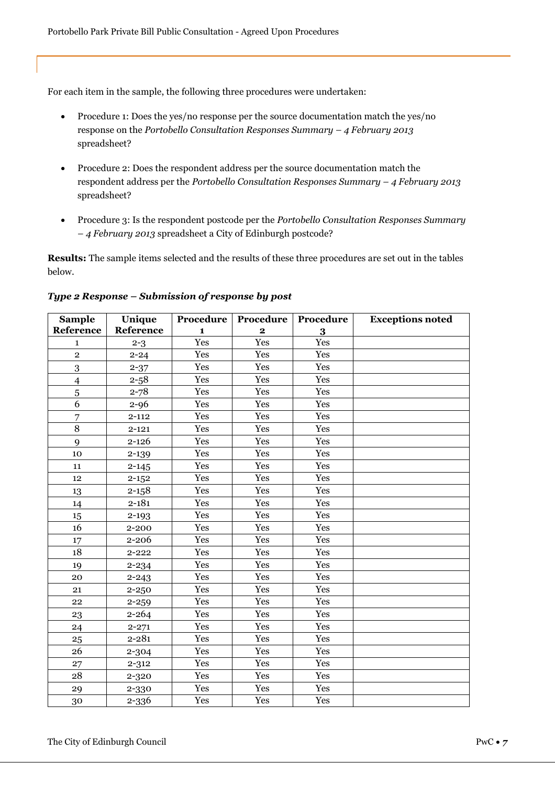For each item in the sample, the following three procedures were undertaken:

- Procedure 1: Does the yes/no response per the source documentation match the yes/no response on the *Portobello Consultation Responses Summary – 4 February 2013* spreadsheet?
- Procedure 2: Does the respondent address per the source documentation match the respondent address per the *Portobello Consultation Responses Summary – 4 February 2013* spreadsheet?
- Procedure 3: Is the respondent postcode per the *Portobello Consultation Responses Summary – 4 February 2013* spreadsheet a City of Edinburgh postcode?

**Results:** The sample items selected and the results of these three procedures are set out in the tables below.

| <b>Sample</b>  | Unique    | Procedure    | Procedure   | Procedure | <b>Exceptions noted</b> |
|----------------|-----------|--------------|-------------|-----------|-------------------------|
| Reference      | Reference | $\mathbf{1}$ | $\mathbf 2$ | 3         |                         |
| $\mathbf{1}$   | $2 - 3$   | Yes          | Yes         | Yes       |                         |
| $\overline{2}$ | $2 - 24$  | Yes          | Yes         | Yes       |                         |
| 3              | $2 - 37$  | Yes          | Yes         | Yes       |                         |
| $\overline{4}$ | $2 - 58$  | Yes          | Yes         | Yes       |                         |
| 5              | $2 - 78$  | Yes          | Yes         | Yes       |                         |
| $\overline{6}$ | $2 - 96$  | Yes          | Yes         | Yes       |                         |
| 7              | $2 - 112$ | Yes          | Yes         | Yes       |                         |
| 8              | $2 - 121$ | Yes          | Yes         | Yes       |                         |
| 9              | $2 - 126$ | Yes          | Yes         | Yes       |                         |
| 10             | $2 - 139$ | Yes          | Yes         | Yes       |                         |
| 11             | $2 - 145$ | Yes          | Yes         | Yes       |                         |
| 12             | $2 - 152$ | Yes          | Yes         | Yes       |                         |
| 13             | $2 - 158$ | Yes          | Yes         | Yes       |                         |
| 14             | $2 - 181$ | Yes          | Yes         | Yes       |                         |
| 15             | $2 - 193$ | Yes          | Yes         | Yes       |                         |
| 16             | 2-200     | Yes          | Yes         | Yes       |                         |
| 17             | 2-206     | Yes          | Yes         | Yes       |                         |
| 18             | $2 - 222$ | Yes          | Yes         | Yes       |                         |
| 19             | $2 - 234$ | Yes          | Yes         | Yes       |                         |
| 20             | $2 - 243$ | Yes          | Yes         | Yes       |                         |
| 21             | $2 - 250$ | Yes          | Yes         | Yes       |                         |
| 22             | $2 - 259$ | Yes          | Yes         | Yes       |                         |
| 23             | $2 - 264$ | Yes          | Yes         | Yes       |                         |
| 24             | $2 - 271$ | Yes          | Yes         | Yes       |                         |
| 25             | $2 - 281$ | Yes          | Yes         | Yes       |                         |
| 26             | $2 - 304$ | Yes          | Yes         | Yes       |                         |
| 27             | $2 - 312$ | Yes          | Yes         | Yes       |                         |
| 28             | 2-320     | Yes          | Yes         | Yes       |                         |
| 29             | 2-330     | Yes          | Yes         | Yes       |                         |
| 30             | 2-336     | Yes          | Yes         | Yes       |                         |

*Type 2 Response – Submission of response by post*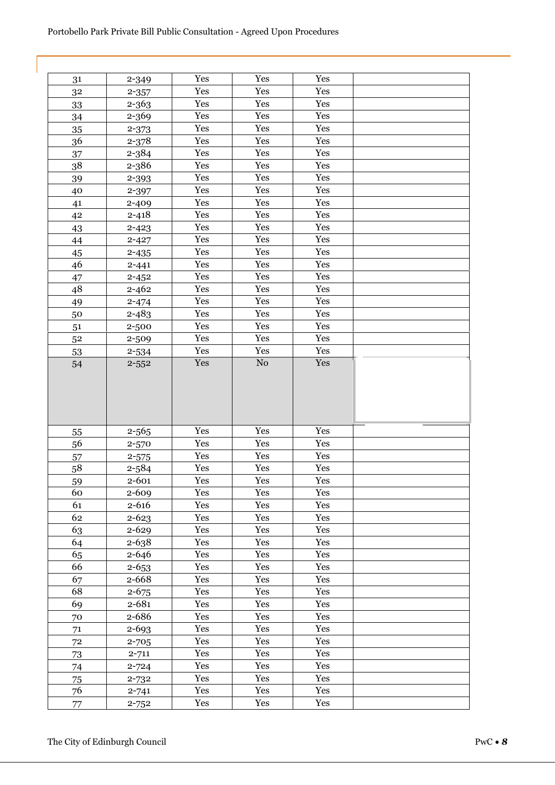| 31       | 2-349                  | Yes        | Yes        | Yes        |  |
|----------|------------------------|------------|------------|------------|--|
| 32       | $2 - 357$              | Yes        | Yes        | Yes        |  |
| 33       | $2 - 363$              | Yes        | Yes        | Yes        |  |
| 34       | 2-369                  | Yes        | Yes        | Yes        |  |
| 35       | $2 - 373$              | Yes        | Yes        | Yes        |  |
| 36       | $2 - 378$              | Yes        | Yes        | Yes        |  |
| 37       | 2-384                  | Yes        | Yes        | Yes        |  |
| 38       | 2-386                  | Yes        | Yes        | Yes        |  |
| 39       | 2-393                  | Yes        | Yes        | Yes        |  |
| 40       | 2-397                  | Yes        | Yes        | Yes        |  |
| 41       | 2-409                  | Yes        | Yes        | Yes        |  |
| 42       | $2 - 418$              | Yes        | Yes        | Yes        |  |
| 43       | $2 - 423$              | Yes        | Yes        | Yes        |  |
| 44       | $2 - 427$              | Yes        | Yes        | Yes        |  |
| 45       | $2 - 435$              | Yes        | Yes        | Yes        |  |
| 46       | $2 - 441$              | Yes        | Yes        | Yes        |  |
| 47       | $2 - 452$              | Yes        | Yes        | Yes        |  |
| 48       | $2 - 462$              | Yes        | Yes        | Yes        |  |
| 49       | $2 - 474$              | Yes        | Yes        | Yes        |  |
| 50       | $2 - 483$              | Yes        | Yes        | Yes        |  |
| 51       | 2-500                  | Yes        | Yes        | Yes        |  |
| 52       | 2-509                  | Yes        | Yes        | Yes        |  |
| 53       | 2-534                  | Yes        | Yes        | Yes        |  |
| 54       | $2 - 552$              | Yes        | ${\rm No}$ | Yes        |  |
|          |                        |            |            |            |  |
|          |                        |            |            |            |  |
|          | $2 - 565$              | Yes        | Yes        | Yes        |  |
| 55<br>56 | $2 - 570$              | Yes        | Yes        | Yes        |  |
| 57       | $2 - 575$              | Yes        | Yes        | Yes        |  |
| 58       | $2 - 584$              | Yes        | Yes        | Yes        |  |
| 59       | 2-601                  | Yes        | Yes        | Yes        |  |
| 60       | 2-609                  | Yes        | Yes        | Yes        |  |
| 61       | $2 - 616$              | Yes        | Yes        | Yes        |  |
| 62       | $2 - 623$              | Yes        | Yes        | Yes        |  |
| 63       | 2-629                  | Yes        | Yes        | Yes        |  |
| 64       | 2-638                  | Yes        | Yes        | Yes        |  |
| 65       | 2-646                  | Yes        | Yes        | Yes        |  |
| 66       | $2 - 653$              | Yes        | Yes        | Yes        |  |
| 67       | 2-668                  | Yes        | Yes        | Yes        |  |
| 68       | $2 - 675$              | Yes        | Yes        | Yes        |  |
| 69       | $2 - 681$              | Yes        | Yes        | Yes        |  |
| 70       | 2-686                  | Yes        | Yes        | Yes        |  |
| 71       | 2-693                  | Yes        | Yes        | Yes        |  |
| $72\,$   | 2-705                  | Yes        | Yes        | Yes        |  |
| 73       | $2 - 711$              | Yes        | Yes        | Yes        |  |
| 74       | $2 - 724$              | Yes        | Yes        | Yes        |  |
| 75       | 2-732                  | Yes        | Yes        | Yes        |  |
| 76<br>77 | $2 - 741$<br>$2 - 752$ | Yes<br>Yes | Yes<br>Yes | Yes<br>Yes |  |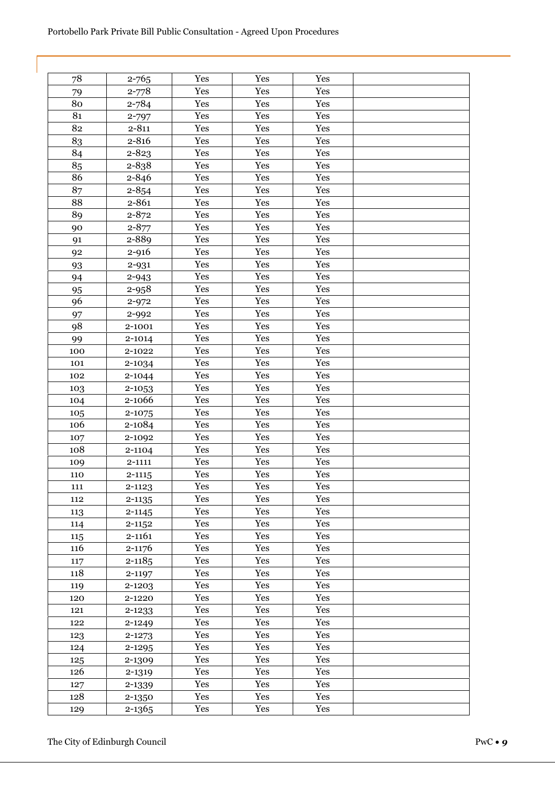| 78  | $2 - 765$  | Yes | Yes | Yes |  |
|-----|------------|-----|-----|-----|--|
| 79  | $2 - 778$  | Yes | Yes | Yes |  |
| 80  | $2 - 784$  | Yes | Yes | Yes |  |
| 81  | 2-797      | Yes | Yes | Yes |  |
| 82  | $2 - 811$  | Yes | Yes | Yes |  |
| 83  | $2 - 816$  | Yes | Yes | Yes |  |
| 84  | 2-823      | Yes | Yes | Yes |  |
| 85  | 2-838      | Yes | Yes | Yes |  |
| 86  | 2-846      | Yes | Yes | Yes |  |
| 87  | $2 - 854$  | Yes | Yes | Yes |  |
| 88  | 2-861      | Yes | Yes | Yes |  |
| 89  | $2 - 872$  | Yes | Yes | Yes |  |
| 90  | $2 - 877$  | Yes | Yes | Yes |  |
| 91  | 2-889      | Yes | Yes | Yes |  |
| 92  | 2-916      | Yes | Yes | Yes |  |
| 93  | 2-931      | Yes | Yes | Yes |  |
| 94  | 2-943      | Yes | Yes | Yes |  |
| 95  | 2-958      | Yes | Yes | Yes |  |
| 96  | $2 - 972$  | Yes | Yes | Yes |  |
| 97  | 2-992      | Yes | Yes | Yes |  |
| 98  | 2-1001     | Yes | Yes | Yes |  |
| 99  | 2-1014     | Yes | Yes | Yes |  |
| 100 | 2-1022     | Yes | Yes | Yes |  |
| 101 | 2-1034     | Yes | Yes | Yes |  |
| 102 | 2-1044     | Yes | Yes | Yes |  |
| 103 | 2-1053     | Yes | Yes | Yes |  |
| 104 | 2-1066     | Yes | Yes | Yes |  |
| 105 | 2-1075     | Yes | Yes | Yes |  |
| 106 | 2-1084     | Yes | Yes | Yes |  |
| 107 | 2-1092     | Yes | Yes | Yes |  |
| 108 | 2-1104     | Yes | Yes | Yes |  |
| 109 | 2-1111     | Yes | Yes | Yes |  |
| 110 | $2 - 1115$ | Yes | Yes | Yes |  |
| 111 | $2 - 1123$ | Yes | Yes | Yes |  |
| 112 | $2 - 1135$ | Yes | Yes | Yes |  |
| 113 | $2 - 1145$ | Yes | Yes | Yes |  |
| 114 | $2 - 1152$ | Yes | Yes | Yes |  |
| 115 | 2-1161     | Yes | Yes | Yes |  |
| 116 | 2-1176     | Yes | Yes | Yes |  |
| 117 | $2 - 1185$ | Yes | Yes | Yes |  |
| 118 | 2-1197     | Yes | Yes | Yes |  |
| 119 | 2-1203     | Yes | Yes | Yes |  |
| 120 | 2-1220     | Yes | Yes | Yes |  |
| 121 | 2-1233     | Yes | Yes | Yes |  |
| 122 | 2-1249     | Yes | Yes | Yes |  |
| 123 | 2-1273     | Yes | Yes | Yes |  |
| 124 | 2-1295     | Yes | Yes | Yes |  |
| 125 | 2-1309     | Yes | Yes | Yes |  |
| 126 | 2-1319     | Yes | Yes | Yes |  |
| 127 | 2-1339     | Yes | Yes | Yes |  |
| 128 | 2-1350     | Yes | Yes | Yes |  |
| 129 | 2-1365     | Yes | Yes | Yes |  |
|     |            |     |     |     |  |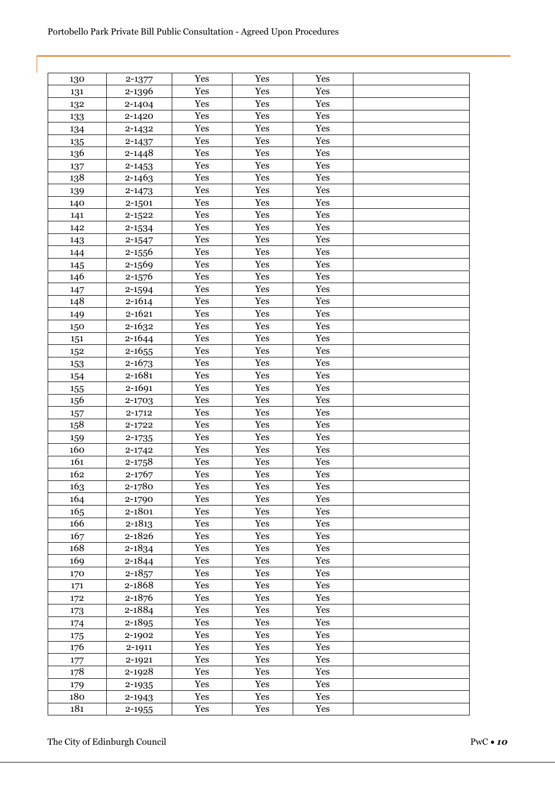| 130 | 2-1377     | Yes | Yes | Yes |  |
|-----|------------|-----|-----|-----|--|
| 131 | 2-1396     | Yes | Yes | Yes |  |
| 132 | 2-1404     | Yes | Yes | Yes |  |
| 133 | 2-1420     | Yes | Yes | Yes |  |
| 134 | 2-1432     | Yes | Yes | Yes |  |
| 135 | 2-1437     | Yes | Yes | Yes |  |
| 136 | 2-1448     | Yes | Yes | Yes |  |
| 137 | $2 - 1453$ | Yes | Yes | Yes |  |
| 138 | 2-1463     | Yes | Yes | Yes |  |
| 139 | 2-1473     | Yes | Yes | Yes |  |
| 140 | 2-1501     | Yes | Yes | Yes |  |
| 141 | 2-1522     | Yes | Yes | Yes |  |
| 142 | 2-1534     | Yes | Yes | Yes |  |
| 143 | 2-1547     | Yes | Yes | Yes |  |
| 144 | 2-1556     | Yes | Yes | Yes |  |
| 145 | 2-1569     | Yes | Yes | Yes |  |
| 146 | 2-1576     | Yes | Yes | Yes |  |
| 147 | 2-1594     | Yes | Yes | Yes |  |
| 148 | 2-1614     | Yes | Yes | Yes |  |
| 149 | 2-1621     | Yes | Yes | Yes |  |
| 150 | 2-1632     | Yes | Yes | Yes |  |
| 151 | 2-1644     | Yes | Yes | Yes |  |
| 152 | $2 - 1655$ | Yes | Yes | Yes |  |
| 153 | 2-1673     | Yes | Yes | Yes |  |
| 154 | 2-1681     | Yes | Yes | Yes |  |
| 155 | 2-1691     | Yes | Yes | Yes |  |
| 156 | 2-1703     | Yes | Yes | Yes |  |
| 157 | 2-1712     | Yes | Yes | Yes |  |
| 158 | 2-1722     | Yes | Yes | Yes |  |
| 159 | 2-1735     | Yes | Yes | Yes |  |
| 160 | 2-1742     | Yes | Yes | Yes |  |
| 161 | 2-1758     | Yes | Yes | Yes |  |
| 162 | 2-1767     | Yes | Yes | Yes |  |
| 163 | 2-1780     | Yes | Yes | Yes |  |
| 164 | 2-1790     | Yes | Yes | Yes |  |
| 165 | 2-1801     | Yes | Yes | Yes |  |
| 166 | $2 - 1813$ | Yes | Yes | Yes |  |
| 167 | 2-1826     | Yes | Yes | Yes |  |
| 168 | 2-1834     | Yes | Yes | Yes |  |
| 169 | 2-1844     | Yes | Yes | Yes |  |
| 170 | $2 - 1857$ | Yes | Yes | Yes |  |
| 171 | 2-1868     | Yes | Yes | Yes |  |
| 172 | 2-1876     | Yes | Yes | Yes |  |
| 173 | 2-1884     | Yes | Yes | Yes |  |
| 174 | 2-1895     | Yes | Yes | Yes |  |
| 175 | 2-1902     | Yes | Yes | Yes |  |
| 176 | 2-1911     | Yes | Yes | Yes |  |
| 177 | 2-1921     | Yes | Yes | Yes |  |
| 178 | 2-1928     | Yes | Yes | Yes |  |
| 179 | 2-1935     | Yes | Yes | Yes |  |
| 180 | 2-1943     | Yes | Yes | Yes |  |
| 181 | 2-1955     | Yes | Yes | Yes |  |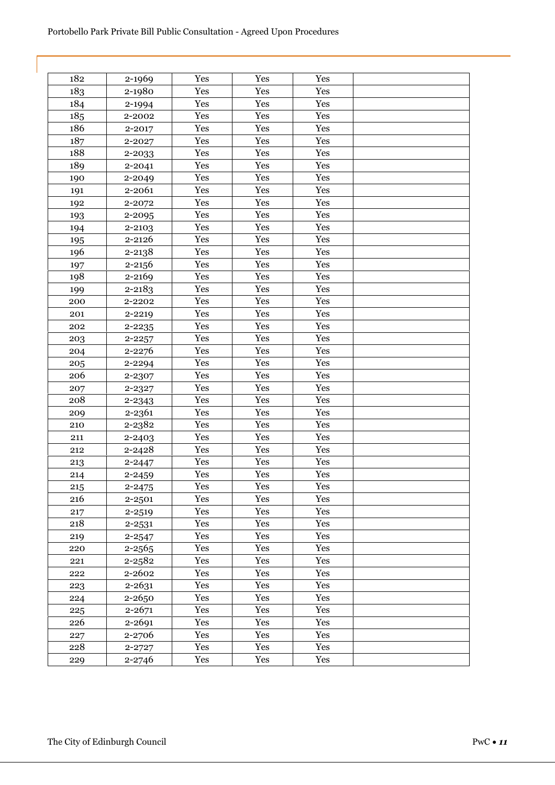| 182 | 2-1969     | Yes | Yes | Yes |  |
|-----|------------|-----|-----|-----|--|
| 183 | 2-1980     | Yes | Yes | Yes |  |
| 184 | 2-1994     | Yes | Yes | Yes |  |
| 185 | 2-2002     | Yes | Yes | Yes |  |
| 186 | 2-2017     | Yes | Yes | Yes |  |
| 187 | 2-2027     | Yes | Yes | Yes |  |
| 188 | 2-2033     | Yes | Yes | Yes |  |
| 189 | 2-2041     | Yes | Yes | Yes |  |
| 190 | 2-2049     | Yes | Yes | Yes |  |
| 191 | 2-2061     | Yes | Yes | Yes |  |
| 192 | 2-2072     | Yes | Yes | Yes |  |
| 193 | 2-2095     | Yes | Yes | Yes |  |
| 194 | 2-2103     | Yes | Yes | Yes |  |
| 195 | 2-2126     | Yes | Yes | Yes |  |
| 196 | 2-2138     | Yes | Yes | Yes |  |
| 197 | 2-2156     | Yes | Yes | Yes |  |
| 198 | 2-2169     | Yes | Yes | Yes |  |
| 199 | 2-2183     | Yes | Yes | Yes |  |
| 200 | 2-2202     | Yes | Yes | Yes |  |
| 201 | 2-2219     | Yes | Yes | Yes |  |
| 202 | 2-2235     | Yes | Yes | Yes |  |
| 203 | 2-2257     | Yes | Yes | Yes |  |
| 204 | 2-2276     | Yes | Yes | Yes |  |
| 205 | 2-2294     | Yes | Yes | Yes |  |
| 206 | 2-2307     | Yes | Yes | Yes |  |
| 207 | 2-2327     | Yes | Yes | Yes |  |
| 208 | 2-2343     | Yes | Yes | Yes |  |
| 209 | 2-2361     | Yes | Yes | Yes |  |
| 210 | 2-2382     | Yes | Yes | Yes |  |
| 211 | 2-2403     | Yes | Yes | Yes |  |
| 212 | 2-2428     | Yes | Yes | Yes |  |
| 213 | 2-2447     | Yes | Yes | Yes |  |
| 214 | 2-2459     | Yes | Yes | Yes |  |
| 215 | $2 - 2475$ | Yes | Yes | Yes |  |
| 216 | 2-2501     | Yes | Yes | Yes |  |
| 217 | 2-2519     | Yes | Yes | Yes |  |
| 218 | 2-2531     | Yes | Yes | Yes |  |
| 219 | 2-2547     | Yes | Yes | Yes |  |
| 220 | 2-2565     | Yes | Yes | Yes |  |
| 221 | 2-2582     | Yes | Yes | Yes |  |
| 222 | 2-2602     | Yes | Yes | Yes |  |
| 223 | 2-2631     | Yes | Yes | Yes |  |
| 224 | 2-2650     | Yes | Yes | Yes |  |
| 225 | $2 - 2671$ | Yes | Yes | Yes |  |
| 226 | 2-2691     | Yes | Yes | Yes |  |
| 227 | 2-2706     | Yes | Yes | Yes |  |
| 228 | 2-2727     | Yes | Yes | Yes |  |
| 229 | 2-2746     | Yes | Yes | Yes |  |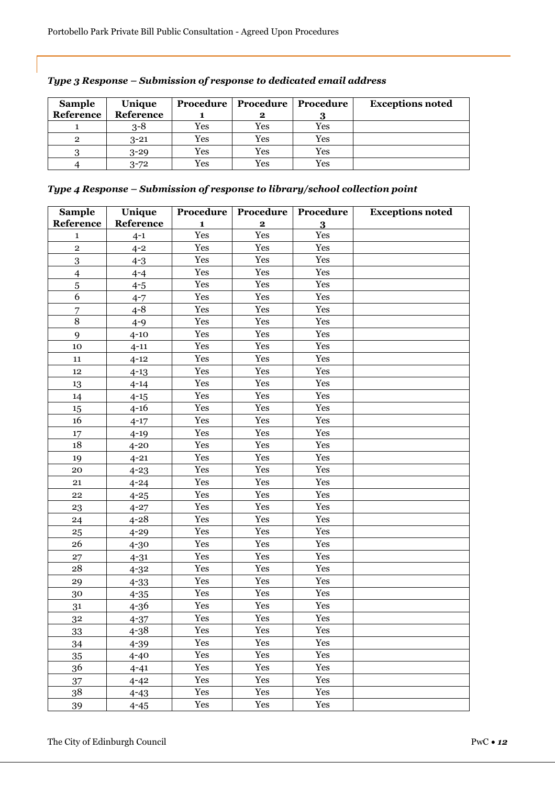| <b>Sample</b> | Unique    |     | <b>Procedure   Procedure   Procedure</b> |     | <b>Exceptions noted</b> |
|---------------|-----------|-----|------------------------------------------|-----|-------------------------|
| Reference     | Reference |     | 2                                        |     |                         |
|               | $3 - 8$   | Yes | Yes                                      | Yes |                         |
| 2             | $3 - 21$  | Yes | Yes                                      | Yes |                         |
|               | $3 - 29$  | Yes | Yes                                      | Yes |                         |
|               | $3 - 72$  | Yes | Yes                                      | Yes |                         |

| Type 3 Response – Submission of response to dedicated email address |  |  |
|---------------------------------------------------------------------|--|--|
|                                                                     |  |  |

## *Type 4 Response – Submission of response to library/school collection point*

| <b>Sample</b>  | Unique    | Procedure    | Procedure    | Procedure | <b>Exceptions noted</b> |
|----------------|-----------|--------------|--------------|-----------|-------------------------|
| Reference      | Reference | $\mathbf{1}$ | $\mathbf{2}$ | 3         |                         |
| 1              | $4 - 1$   | Yes          | Yes          | Yes       |                         |
| $\overline{2}$ | $4 - 2$   | Yes          | Yes          | Yes       |                         |
| $\overline{3}$ | $4 - 3$   | Yes          | Yes          | Yes       |                         |
| $\overline{4}$ | $4 - 4$   | Yes          | Yes          | Yes       |                         |
| $\bf 5$        | $4 - 5$   | Yes          | Yes          | Yes       |                         |
| 6              | $4 - 7$   | Yes          | Yes          | Yes       |                         |
| 7              | $4 - 8$   | Yes          | Yes          | Yes       |                         |
| $\overline{8}$ | $4 - 9$   | Yes          | Yes          | Yes       |                         |
| 9              | $4 - 10$  | Yes          | Yes          | Yes       |                         |
| 10             | $4 - 11$  | Yes          | Yes          | Yes       |                         |
| 11             | $4 - 12$  | Yes          | Yes          | Yes       |                         |
| 12             | $4 - 13$  | Yes          | Yes          | Yes       |                         |
| 13             | $4 - 14$  | Yes          | Yes          | Yes       |                         |
| 14             | $4 - 15$  | Yes          | Yes          | Yes       |                         |
| 15             | $4 - 16$  | Yes          | Yes          | Yes       |                         |
| 16             | $4 - 17$  | Yes          | Yes          | Yes       |                         |
| 17             | $4 - 19$  | Yes          | Yes          | Yes       |                         |
| 18             | $4 - 20$  | Yes          | Yes          | Yes       |                         |
| 19             | $4 - 21$  | Yes          | Yes          | Yes       |                         |
| 20             | $4 - 23$  | Yes          | Yes          | Yes       |                         |
| 21             | $4 - 24$  | Yes          | Yes          | Yes       |                         |
| 22             | $4 - 25$  | Yes          | Yes          | Yes       |                         |
| 23             | $4 - 27$  | Yes          | Yes          | Yes       |                         |
| 24             | $4 - 28$  | Yes          | Yes          | Yes       |                         |
| 25             | $4 - 29$  | Yes          | Yes          | Yes       |                         |
| 26             | $4-30$    | Yes          | Yes          | Yes       |                         |
| 27             | $4 - 31$  | Yes          | Yes          | Yes       |                         |
| 28             | $4 - 32$  | Yes          | Yes          | Yes       |                         |
| 29             | $4 - 33$  | Yes          | Yes          | Yes       |                         |
| 30             | $4 - 35$  | Yes          | Yes          | Yes       |                         |
| 31             | $4 - 36$  | Yes          | Yes          | Yes       |                         |
| 32             | $4 - 37$  | Yes          | Yes          | Yes       |                         |
| 33             | $4 - 38$  | Yes          | Yes          | Yes       |                         |
| 34             | $4 - 39$  | Yes          | Yes          | Yes       |                         |
| 35             | $4 - 40$  | Yes          | Yes          | Yes       |                         |
| 36             | $4 - 41$  | Yes          | Yes          | Yes       |                         |
| 37             | $4 - 42$  | Yes          | Yes          | Yes       |                         |
| 38             | $4 - 43$  | Yes          | Yes          | Yes       |                         |
| 39             | $4 - 45$  | Yes          | Yes          | Yes       |                         |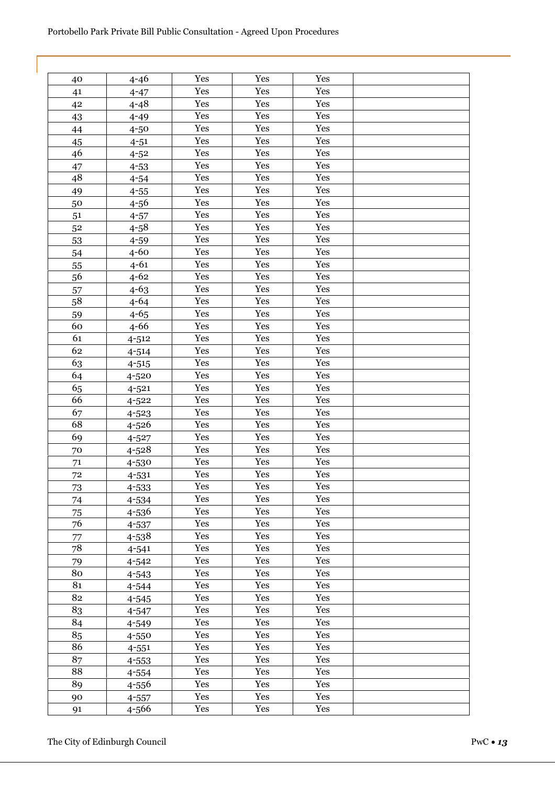| 40 | $4 - 46$  | Yes | Yes | Yes |  |
|----|-----------|-----|-----|-----|--|
| 41 | $4 - 47$  | Yes | Yes | Yes |  |
| 42 | $4 - 48$  | Yes | Yes | Yes |  |
| 43 | $4 - 49$  | Yes | Yes | Yes |  |
| 44 | $4 - 50$  | Yes | Yes | Yes |  |
| 45 | $4 - 51$  | Yes | Yes | Yes |  |
| 46 | $4 - 52$  | Yes | Yes | Yes |  |
| 47 | $4 - 53$  | Yes | Yes | Yes |  |
| 48 | $4 - 54$  | Yes | Yes | Yes |  |
| 49 | $4 - 55$  | Yes | Yes | Yes |  |
| 50 | 4-56      | Yes | Yes | Yes |  |
| 51 | $4 - 57$  | Yes | Yes | Yes |  |
| 52 | $4 - 58$  | Yes | Yes | Yes |  |
| 53 | $4 - 59$  | Yes | Yes | Yes |  |
| 54 | $4-60$    | Yes | Yes | Yes |  |
| 55 | $4 - 61$  | Yes | Yes | Yes |  |
| 56 | $4 - 62$  | Yes | Yes | Yes |  |
| 57 | $4 - 63$  | Yes | Yes | Yes |  |
| 58 | $4 - 64$  | Yes | Yes | Yes |  |
| 59 | $4 - 65$  | Yes | Yes | Yes |  |
| 60 | $4 - 66$  | Yes | Yes | Yes |  |
| 61 | $4 - 512$ | Yes | Yes | Yes |  |
| 62 | $4 - 514$ | Yes | Yes | Yes |  |
| 63 | $4 - 515$ | Yes | Yes | Yes |  |
| 64 | 4-520     | Yes | Yes | Yes |  |
| 65 | $4 - 521$ | Yes | Yes | Yes |  |
| 66 | $4 - 522$ | Yes | Yes | Yes |  |
| 67 | $4 - 523$ | Yes | Yes | Yes |  |
| 68 | 4-526     | Yes | Yes | Yes |  |
| 69 | $4 - 527$ | Yes | Yes | Yes |  |
| 70 | 4-528     | Yes | Yes | Yes |  |
| 71 | 4-530     | Yes | Yes | Yes |  |
| 72 | $4 - 531$ | Yes | Yes | Yes |  |
| 73 | 4-533     | Yes | Yes | Yes |  |
| 74 | 4-534     | Yes | Yes | Yes |  |
| 75 | 4-536     | Yes | Yes | Yes |  |
| 76 | 4-537     | Yes | Yes | Yes |  |
| 77 | 4-538     | Yes | Yes | Yes |  |
| 78 | $4 - 541$ | Yes | Yes | Yes |  |
| 79 | $4 - 542$ | Yes | Yes | Yes |  |
| 80 | $4 - 543$ | Yes | Yes | Yes |  |
| 81 | 4-544     | Yes | Yes | Yes |  |
| 82 | $4 - 545$ | Yes | Yes | Yes |  |
| 83 | 4-547     | Yes | Yes | Yes |  |
| 84 | 4-549     | Yes | Yes | Yes |  |
| 85 | 4-550     | Yes | Yes | Yes |  |
| 86 | $4 - 551$ | Yes | Yes | Yes |  |
| 87 | 4-553     | Yes | Yes | Yes |  |
| 88 | 4-554     | Yes | Yes | Yes |  |
| 89 | 4-556     | Yes | Yes | Yes |  |
| 90 | $4 - 557$ | Yes | Yes | Yes |  |
| 91 | 4-566     | Yes | Yes | Yes |  |
|    |           |     |     |     |  |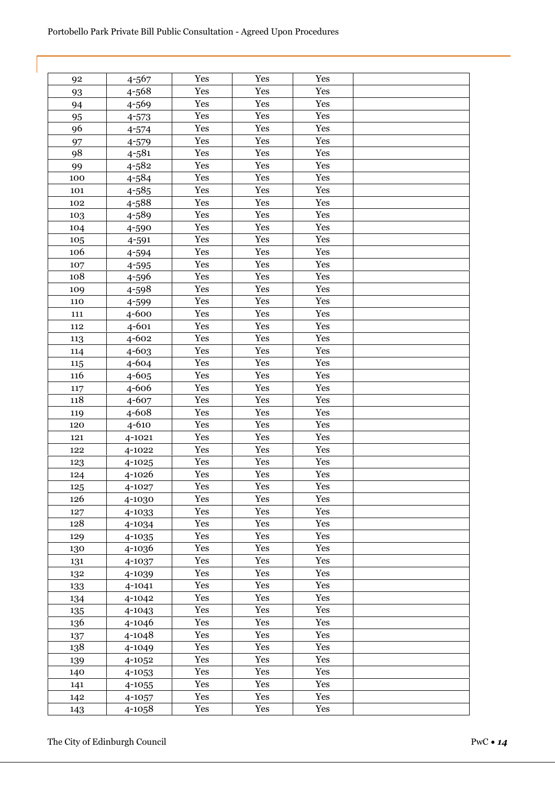| 92  | 4-567     | Yes | Yes | Yes |  |
|-----|-----------|-----|-----|-----|--|
| 93  | 4-568     | Yes | Yes | Yes |  |
| 94  | 4-569     | Yes | Yes | Yes |  |
| 95  | $4 - 573$ | Yes | Yes | Yes |  |
| 96  | $4 - 574$ | Yes | Yes | Yes |  |
| 97  | 4-579     | Yes | Yes | Yes |  |
| 98  | $4 - 581$ | Yes | Yes | Yes |  |
| 99  | $4 - 582$ | Yes | Yes | Yes |  |
| 100 | 4-584     | Yes | Yes | Yes |  |
| 101 | $4 - 585$ | Yes | Yes | Yes |  |
| 102 | 4-588     | Yes | Yes | Yes |  |
| 103 | 4-589     | Yes | Yes | Yes |  |
| 104 | 4-590     | Yes | Yes | Yes |  |
| 105 | 4-591     | Yes | Yes | Yes |  |
| 106 | 4-594     | Yes | Yes | Yes |  |
| 107 | 4-595     | Yes | Yes | Yes |  |
| 108 | 4-596     | Yes | Yes | Yes |  |
| 109 | 4-598     | Yes | Yes | Yes |  |
| 110 | 4-599     | Yes | Yes | Yes |  |
| 111 | 4-600     | Yes | Yes | Yes |  |
| 112 | 4-601     | Yes | Yes | Yes |  |
| 113 | $4 - 602$ | Yes | Yes | Yes |  |
| 114 | $4 - 603$ | Yes | Yes | Yes |  |
| 115 | 4-604     | Yes | Yes | Yes |  |
| 116 | 4-605     | Yes | Yes | Yes |  |
| 117 | 4-606     | Yes | Yes | Yes |  |
| 118 | 4-607     | Yes | Yes | Yes |  |
| 119 | 4-608     | Yes | Yes | Yes |  |
| 120 | 4-610     | Yes | Yes | Yes |  |
| 121 | 4-1021    | Yes | Yes | Yes |  |
| 122 | 4-1022    | Yes | Yes | Yes |  |
| 123 | 4-1025    | Yes | Yes | Yes |  |
| 124 | 4-1026    | Yes | Yes | Yes |  |
| 125 | 4-1027    | Yes | Yes | Yes |  |
| 126 | 4-1030    | Yes | Yes | Yes |  |
| 127 | 4-1033    | Yes | Yes | Yes |  |
| 128 | 4-1034    | Yes | Yes | Yes |  |
| 129 | 4-1035    | Yes | Yes | Yes |  |
| 130 | 4-1036    | Yes | Yes | Yes |  |
| 131 | 4-1037    | Yes | Yes | Yes |  |
| 132 | 4-1039    | Yes | Yes | Yes |  |
| 133 | 4-1041    | Yes | Yes | Yes |  |
| 134 | 4-1042    | Yes | Yes | Yes |  |
| 135 | 4-1043    | Yes | Yes | Yes |  |
| 136 | 4-1046    | Yes | Yes | Yes |  |
| 137 | 4-1048    | Yes | Yes | Yes |  |
| 138 | 4-1049    | Yes | Yes | Yes |  |
| 139 | 4-1052    | Yes | Yes | Yes |  |
| 140 | 4-1053    | Yes | Yes | Yes |  |
| 141 | 4-1055    | Yes | Yes | Yes |  |
| 142 | 4-1057    | Yes | Yes | Yes |  |
| 143 | 4-1058    | Yes | Yes | Yes |  |
|     |           |     |     |     |  |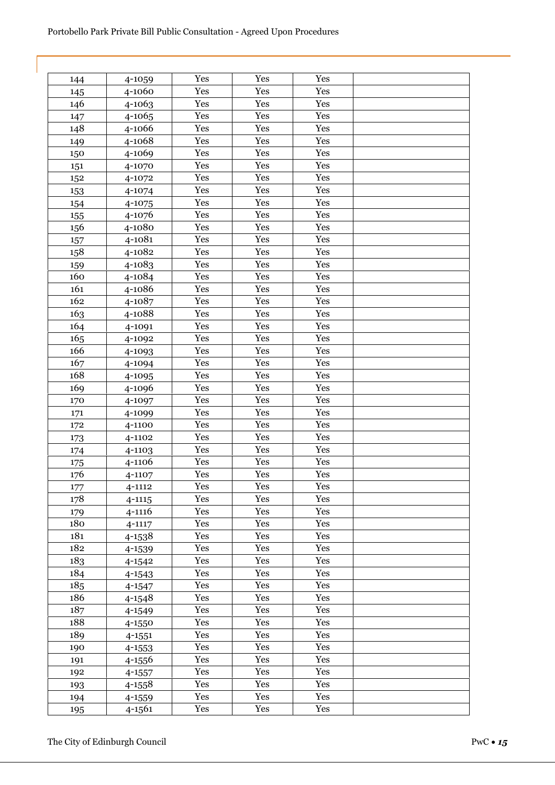| 144 | 4-1059     | Yes | Yes | Yes |  |
|-----|------------|-----|-----|-----|--|
| 145 | 4-1060     | Yes | Yes | Yes |  |
| 146 | 4-1063     | Yes | Yes | Yes |  |
| 147 | 4-1065     | Yes | Yes | Yes |  |
| 148 | 4-1066     | Yes | Yes | Yes |  |
| 149 | 4-1068     | Yes | Yes | Yes |  |
| 150 | 4-1069     | Yes | Yes | Yes |  |
| 151 | 4-1070     | Yes | Yes | Yes |  |
| 152 | 4-1072     | Yes | Yes | Yes |  |
| 153 | 4-1074     | Yes | Yes | Yes |  |
| 154 | 4-1075     | Yes | Yes | Yes |  |
| 155 | 4-1076     | Yes | Yes | Yes |  |
| 156 | 4-1080     | Yes | Yes | Yes |  |
| 157 | 4-1081     | Yes | Yes | Yes |  |
| 158 | 4-1082     | Yes | Yes | Yes |  |
| 159 | 4-1083     | Yes | Yes | Yes |  |
| 160 | 4-1084     | Yes | Yes | Yes |  |
| 161 | 4-1086     | Yes | Yes | Yes |  |
| 162 | 4-1087     | Yes | Yes | Yes |  |
| 163 | 4-1088     | Yes | Yes | Yes |  |
| 164 | 4-1091     | Yes | Yes | Yes |  |
| 165 | 4-1092     | Yes | Yes | Yes |  |
| 166 | 4-1093     | Yes | Yes | Yes |  |
| 167 | 4-1094     | Yes | Yes | Yes |  |
| 168 | 4-1095     | Yes | Yes | Yes |  |
| 169 | 4-1096     | Yes | Yes | Yes |  |
| 170 | 4-1097     | Yes | Yes | Yes |  |
| 171 | 4-1099     | Yes | Yes | Yes |  |
| 172 | 4-1100     | Yes | Yes | Yes |  |
| 173 | 4-1102     | Yes | Yes | Yes |  |
| 174 | 4-1103     | Yes | Yes | Yes |  |
| 175 | 4-1106     | Yes | Yes | Yes |  |
| 176 | 4-1107     | Yes | Yes | Yes |  |
| 177 | 4-1112     | Yes | Yes | Yes |  |
| 178 | $4 - 1115$ | Yes | Yes | Yes |  |
| 179 | 4-1116     | Yes | Yes | Yes |  |
| 180 | $4 - 1117$ | Yes | Yes | Yes |  |
| 181 | 4-1538     | Yes | Yes | Yes |  |
| 182 | 4-1539     | Yes | Yes | Yes |  |
| 183 | 4-1542     | Yes | Yes | Yes |  |
| 184 | 4-1543     | Yes | Yes | Yes |  |
| 185 | 4-1547     | Yes | Yes | Yes |  |
| 186 | 4-1548     | Yes | Yes | Yes |  |
| 187 | 4-1549     | Yes | Yes | Yes |  |
| 188 | 4-1550     | Yes | Yes | Yes |  |
| 189 | 4-1551     | Yes | Yes | Yes |  |
| 190 | 4-1553     | Yes | Yes | Yes |  |
| 191 | 4-1556     | Yes | Yes | Yes |  |
| 192 | 4-1557     | Yes | Yes | Yes |  |
| 193 | 4-1558     | Yes | Yes | Yes |  |
| 194 | 4-1559     | Yes | Yes | Yes |  |
| 195 | 4-1561     | Yes | Yes | Yes |  |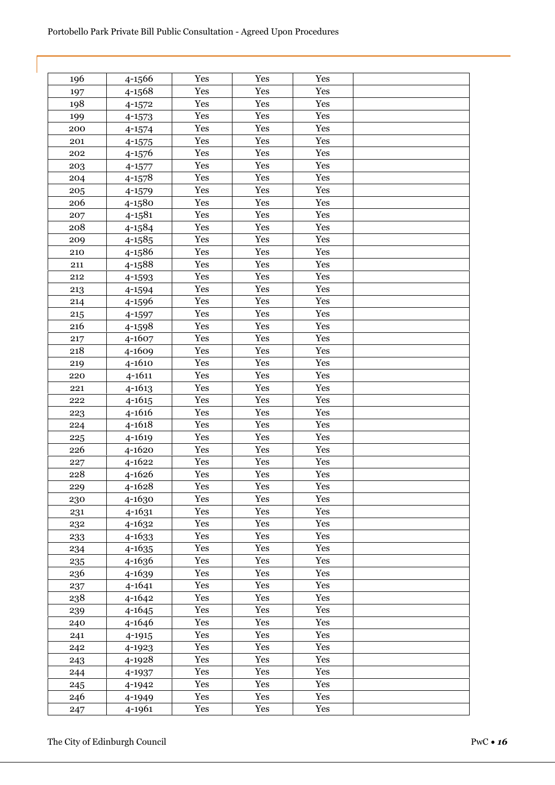| 196 | 4-1566     | Yes | Yes | Yes |  |
|-----|------------|-----|-----|-----|--|
| 197 | 4-1568     | Yes | Yes | Yes |  |
| 198 | 4-1572     | Yes | Yes | Yes |  |
| 199 | 4-1573     | Yes | Yes | Yes |  |
| 200 | 4-1574     | Yes | Yes | Yes |  |
| 201 | 4-1575     | Yes | Yes | Yes |  |
| 202 | 4-1576     | Yes | Yes | Yes |  |
| 203 | 4-1577     | Yes | Yes | Yes |  |
| 204 | 4-1578     | Yes | Yes | Yes |  |
| 205 | 4-1579     | Yes | Yes | Yes |  |
| 206 | 4-1580     | Yes | Yes | Yes |  |
| 207 | 4-1581     | Yes | Yes | Yes |  |
| 208 | 4-1584     | Yes | Yes | Yes |  |
| 209 | 4-1585     | Yes | Yes | Yes |  |
| 210 | 4-1586     | Yes | Yes | Yes |  |
| 211 | 4-1588     | Yes | Yes | Yes |  |
| 212 | 4-1593     | Yes | Yes | Yes |  |
| 213 | 4-1594     | Yes | Yes | Yes |  |
| 214 | 4-1596     | Yes | Yes | Yes |  |
| 215 | 4-1597     | Yes | Yes | Yes |  |
| 216 | 4-1598     | Yes | Yes | Yes |  |
| 217 | 4-1607     | Yes | Yes | Yes |  |
| 218 | 4-1609     | Yes | Yes | Yes |  |
| 219 | 4-1610     | Yes | Yes | Yes |  |
| 220 | $4 - 1611$ | Yes | Yes | Yes |  |
|     |            | Yes | Yes | Yes |  |
| 221 | 4-1613     |     |     |     |  |
| 222 | 4-1615     | Yes | Yes | Yes |  |
| 223 | 4-1616     | Yes | Yes | Yes |  |
| 224 | 4-1618     | Yes | Yes | Yes |  |
| 225 | 4-1619     | Yes | Yes | Yes |  |
| 226 | 4-1620     | Yes | Yes | Yes |  |
| 227 | 4-1622     | Yes | Yes | Yes |  |
| 228 | 4-1626     | Yes | Yes | Yes |  |
| 229 | 4-1628     | Yes | Yes | Yes |  |
| 230 | 4-1630     | Yes | Yes | Yes |  |
| 231 | 4-1631     | Yes | Yes | Yes |  |
| 232 | 4-1632     | Yes | Yes | Yes |  |
| 233 | 4-1633     | Yes | Yes | Yes |  |
| 234 | 4-1635     | Yes | Yes | Yes |  |
| 235 | 4-1636     | Yes | Yes | Yes |  |
| 236 | 4-1639     | Yes | Yes | Yes |  |
| 237 | 4-1641     | Yes | Yes | Yes |  |
| 238 | 4-1642     | Yes | Yes | Yes |  |
| 239 | 4-1645     | Yes | Yes | Yes |  |
| 240 | 4-1646     | Yes | Yes | Yes |  |
| 241 | 4-1915     | Yes | Yes | Yes |  |
| 242 | 4-1923     | Yes | Yes | Yes |  |
| 243 | 4-1928     | Yes | Yes | Yes |  |
| 244 | 4-1937     | Yes | Yes | Yes |  |
| 245 | 4-1942     | Yes | Yes | Yes |  |
| 246 | 4-1949     | Yes | Yes | Yes |  |
| 247 | 4-1961     | Yes | Yes | Yes |  |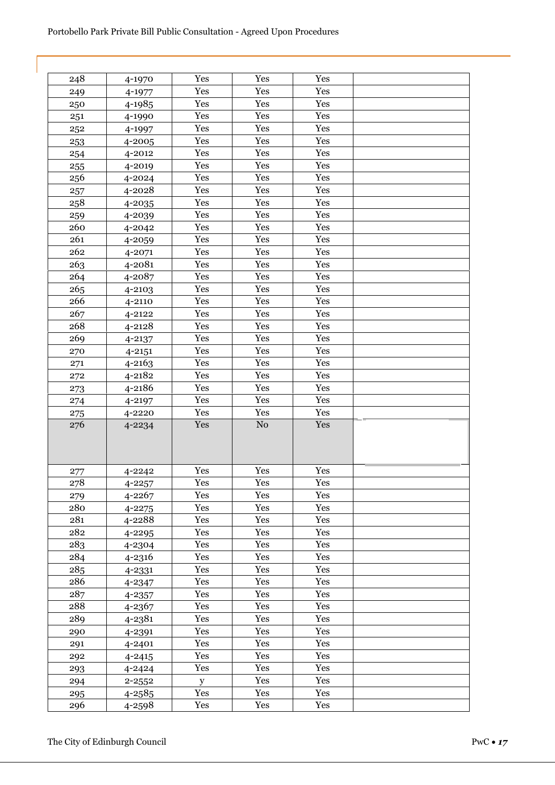| 248 | 4-1970     | Yes | Yes      | Yes |  |
|-----|------------|-----|----------|-----|--|
| 249 | 4-1977     | Yes | Yes      | Yes |  |
| 250 | 4-1985     | Yes | Yes      | Yes |  |
| 251 | 4-1990     | Yes | Yes      | Yes |  |
| 252 | 4-1997     | Yes | Yes      | Yes |  |
| 253 | 4-2005     | Yes | Yes      | Yes |  |
| 254 | 4-2012     | Yes | Yes      | Yes |  |
| 255 | 4-2019     | Yes | Yes      | Yes |  |
| 256 | 4-2024     | Yes | Yes      | Yes |  |
| 257 | 4-2028     | Yes | Yes      | Yes |  |
| 258 | 4-2035     | Yes | Yes      | Yes |  |
| 259 | 4-2039     | Yes | Yes      | Yes |  |
| 260 | 4-2042     | Yes | Yes      | Yes |  |
| 261 | 4-2059     | Yes | Yes      | Yes |  |
| 262 | 4-2071     | Yes | Yes      | Yes |  |
| 263 | 4-2081     | Yes | Yes      | Yes |  |
| 264 | 4-2087     | Yes | Yes      | Yes |  |
| 265 | 4-2103     | Yes | Yes      | Yes |  |
| 266 | 4-2110     | Yes | Yes      | Yes |  |
| 267 | 4-2122     | Yes | Yes      | Yes |  |
| 268 | 4-2128     | Yes | Yes      | Yes |  |
| 269 | $4 - 2137$ | Yes | Yes      | Yes |  |
| 270 | $4 - 2151$ | Yes | Yes      | Yes |  |
| 271 | 4-2163     | Yes | Yes      | Yes |  |
| 272 | 4-2182     | Yes | Yes      | Yes |  |
| 273 | 4-2186     | Yes | Yes      | Yes |  |
| 274 | 4-2197     | Yes | Yes      | Yes |  |
| 275 | 4-2220     | Yes | Yes      | Yes |  |
| 276 | 4-2234     | Yes | $\rm No$ | Yes |  |
|     |            |     |          |     |  |
|     |            |     |          |     |  |
| 277 | 4-2242     | Yes | Yes      | Yes |  |
| 278 | $4 - 2257$ | Yes | Yes      | Yes |  |
| 279 | 4-2267     | Yes | Yes      | Yes |  |
| 280 | $4 - 2275$ | Yes | Yes      | Yes |  |
| 281 | 4-2288     | Yes | Yes      | Yes |  |
| 282 | 4-2295     | Yes | Yes      | Yes |  |
| 283 | 4-2304     | Yes | Yes      | Yes |  |
| 284 | 4-2316     | Yes | Yes      | Yes |  |
| 285 | 4-2331     | Yes | Yes      | Yes |  |
| 286 | 4-2347     | Yes | Yes      | Yes |  |
| 287 | 4-2357     | Yes | Yes      | Yes |  |
| 288 | 4-2367     | Yes | Yes      | Yes |  |
| 289 | 4-2381     | Yes | Yes      | Yes |  |
| 290 | 4-2391     | Yes | Yes      | Yes |  |
| 291 | 4-2401     | Yes | Yes      | Yes |  |
| 292 | $4 - 2415$ | Yes | Yes      | Yes |  |
| 293 | 4-2424     | Yes | Yes      | Yes |  |
| 294 | $2 - 2552$ | y   | Yes      | Yes |  |
| 295 | $4 - 2585$ | Yes | Yes      | Yes |  |
| 296 | 4-2598     | Yes | Yes      | Yes |  |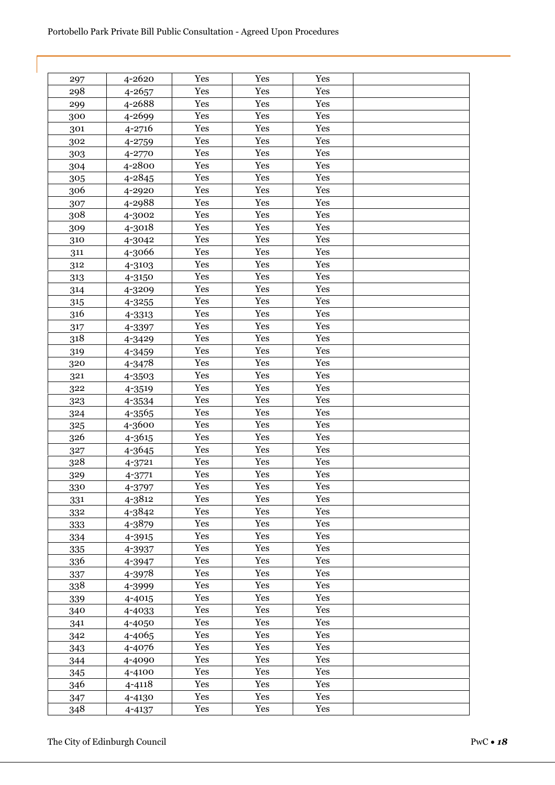| Yes<br>Yes<br>4-2620<br>Yes<br>297<br>Yes<br>Yes<br>Yes<br>298<br>4-2657<br>4-2688<br>Yes<br>Yes<br>Yes<br>299<br>Yes<br>Yes<br>Yes<br>4-2699<br>300<br>Yes<br>Yes<br>Yes<br>4-2716<br>301<br>Yes<br>Yes<br>Yes<br>302<br>4-2759<br>Yes<br>Yes<br>Yes<br>4-2770<br>303<br>Yes<br>Yes<br>Yes<br>304<br>4-2800<br>Yes<br>Yes<br>Yes<br>4-2845<br>305<br>Yes<br>306<br>Yes<br>Yes<br>4-2920<br>Yes<br>Yes<br>Yes<br>4-2988<br>307<br>Yes<br>Yes<br>Yes<br>308<br>4-3002<br>Yes<br>Yes<br>Yes<br>4-3018<br>309<br>Yes<br>Yes<br>Yes<br>310<br>4-3042<br>Yes<br>4-3066<br>Yes<br>Yes<br>311<br>Yes<br>Yes<br>Yes<br>312<br>4-3103<br>Yes<br>Yes<br>Yes<br>313<br>4-3150<br>Yes<br>Yes<br>Yes<br>314<br>4-3209<br>Yes<br>Yes<br>Yes<br>315<br>4-3255<br>Yes<br>Yes<br>Yes<br>316<br>4-3313<br>Yes<br>Yes<br>Yes<br>317<br>4-3397<br>Yes<br>Yes<br>Yes<br>318<br>4-3429<br>Yes<br>Yes<br>Yes<br>319<br>4-3459<br>Yes<br>Yes<br>Yes<br>320<br>4-3478<br>Yes<br>Yes<br>Yes<br>321<br>4-3503<br>Yes<br>Yes<br>Yes<br>322<br>4-3519<br>Yes<br>Yes<br>Yes<br>323<br>4-3534<br>Yes<br>Yes<br>Yes<br>4-3565<br>324<br>Yes<br>Yes<br>Yes<br>4-3600<br>325<br>Yes<br>Yes<br>Yes<br>326<br>4-3615<br>Yes<br>Yes<br>Yes<br>4-3645<br>327<br>Yes<br>Yes<br>Yes<br>328<br>4-3721<br>Yes<br>Yes<br>Yes<br>329<br>4-3771<br>Yes<br>Yes<br>Yes<br>330<br>4-3797<br>4-3812<br>Yes<br>Yes<br>Yes<br>331<br>Yes<br>Yes<br>Yes<br>4-3842<br>332<br>Yes<br>Yes<br>Yes<br>4-3879<br>333<br>Yes<br>Yes<br>Yes<br>334<br>4-3915<br>Yes<br>Yes<br>Yes<br>335<br>4-3937<br>Yes<br>Yes<br>Yes<br>336<br>4-3947<br>Yes<br>Yes<br>Yes<br>4-3978<br>337<br>Yes<br>Yes<br>Yes<br>338<br>4-3999<br>Yes<br>Yes<br>Yes<br>4-4015<br>339<br>Yes<br>Yes<br>Yes<br>340<br>4-4033<br>Yes<br>Yes<br>Yes<br>341<br>4-4050<br>Yes<br>Yes<br>Yes<br>4-4065<br>342<br>Yes<br>Yes<br>Yes<br>4-4076<br>343<br>Yes<br>Yes<br>Yes<br>4-4090<br>344<br>Yes<br>Yes<br>Yes<br>4-4100<br>345<br>Yes<br>Yes<br>Yes<br>4-4118<br>346<br>Yes<br>Yes<br>Yes<br>347<br>4-4130<br>Yes<br>Yes<br>Yes<br>348<br>4-4137 |  |  |  |
|------------------------------------------------------------------------------------------------------------------------------------------------------------------------------------------------------------------------------------------------------------------------------------------------------------------------------------------------------------------------------------------------------------------------------------------------------------------------------------------------------------------------------------------------------------------------------------------------------------------------------------------------------------------------------------------------------------------------------------------------------------------------------------------------------------------------------------------------------------------------------------------------------------------------------------------------------------------------------------------------------------------------------------------------------------------------------------------------------------------------------------------------------------------------------------------------------------------------------------------------------------------------------------------------------------------------------------------------------------------------------------------------------------------------------------------------------------------------------------------------------------------------------------------------------------------------------------------------------------------------------------------------------------------------------------------------------------------------------------------------------------------------------------------------------------------------------------------------------------------------------------------------------------------------------------------------------------------------------------------------------------------------------------------------------|--|--|--|
|                                                                                                                                                                                                                                                                                                                                                                                                                                                                                                                                                                                                                                                                                                                                                                                                                                                                                                                                                                                                                                                                                                                                                                                                                                                                                                                                                                                                                                                                                                                                                                                                                                                                                                                                                                                                                                                                                                                                                                                                                                                      |  |  |  |
|                                                                                                                                                                                                                                                                                                                                                                                                                                                                                                                                                                                                                                                                                                                                                                                                                                                                                                                                                                                                                                                                                                                                                                                                                                                                                                                                                                                                                                                                                                                                                                                                                                                                                                                                                                                                                                                                                                                                                                                                                                                      |  |  |  |
|                                                                                                                                                                                                                                                                                                                                                                                                                                                                                                                                                                                                                                                                                                                                                                                                                                                                                                                                                                                                                                                                                                                                                                                                                                                                                                                                                                                                                                                                                                                                                                                                                                                                                                                                                                                                                                                                                                                                                                                                                                                      |  |  |  |
|                                                                                                                                                                                                                                                                                                                                                                                                                                                                                                                                                                                                                                                                                                                                                                                                                                                                                                                                                                                                                                                                                                                                                                                                                                                                                                                                                                                                                                                                                                                                                                                                                                                                                                                                                                                                                                                                                                                                                                                                                                                      |  |  |  |
|                                                                                                                                                                                                                                                                                                                                                                                                                                                                                                                                                                                                                                                                                                                                                                                                                                                                                                                                                                                                                                                                                                                                                                                                                                                                                                                                                                                                                                                                                                                                                                                                                                                                                                                                                                                                                                                                                                                                                                                                                                                      |  |  |  |
|                                                                                                                                                                                                                                                                                                                                                                                                                                                                                                                                                                                                                                                                                                                                                                                                                                                                                                                                                                                                                                                                                                                                                                                                                                                                                                                                                                                                                                                                                                                                                                                                                                                                                                                                                                                                                                                                                                                                                                                                                                                      |  |  |  |
|                                                                                                                                                                                                                                                                                                                                                                                                                                                                                                                                                                                                                                                                                                                                                                                                                                                                                                                                                                                                                                                                                                                                                                                                                                                                                                                                                                                                                                                                                                                                                                                                                                                                                                                                                                                                                                                                                                                                                                                                                                                      |  |  |  |
|                                                                                                                                                                                                                                                                                                                                                                                                                                                                                                                                                                                                                                                                                                                                                                                                                                                                                                                                                                                                                                                                                                                                                                                                                                                                                                                                                                                                                                                                                                                                                                                                                                                                                                                                                                                                                                                                                                                                                                                                                                                      |  |  |  |
|                                                                                                                                                                                                                                                                                                                                                                                                                                                                                                                                                                                                                                                                                                                                                                                                                                                                                                                                                                                                                                                                                                                                                                                                                                                                                                                                                                                                                                                                                                                                                                                                                                                                                                                                                                                                                                                                                                                                                                                                                                                      |  |  |  |
|                                                                                                                                                                                                                                                                                                                                                                                                                                                                                                                                                                                                                                                                                                                                                                                                                                                                                                                                                                                                                                                                                                                                                                                                                                                                                                                                                                                                                                                                                                                                                                                                                                                                                                                                                                                                                                                                                                                                                                                                                                                      |  |  |  |
|                                                                                                                                                                                                                                                                                                                                                                                                                                                                                                                                                                                                                                                                                                                                                                                                                                                                                                                                                                                                                                                                                                                                                                                                                                                                                                                                                                                                                                                                                                                                                                                                                                                                                                                                                                                                                                                                                                                                                                                                                                                      |  |  |  |
|                                                                                                                                                                                                                                                                                                                                                                                                                                                                                                                                                                                                                                                                                                                                                                                                                                                                                                                                                                                                                                                                                                                                                                                                                                                                                                                                                                                                                                                                                                                                                                                                                                                                                                                                                                                                                                                                                                                                                                                                                                                      |  |  |  |
|                                                                                                                                                                                                                                                                                                                                                                                                                                                                                                                                                                                                                                                                                                                                                                                                                                                                                                                                                                                                                                                                                                                                                                                                                                                                                                                                                                                                                                                                                                                                                                                                                                                                                                                                                                                                                                                                                                                                                                                                                                                      |  |  |  |
|                                                                                                                                                                                                                                                                                                                                                                                                                                                                                                                                                                                                                                                                                                                                                                                                                                                                                                                                                                                                                                                                                                                                                                                                                                                                                                                                                                                                                                                                                                                                                                                                                                                                                                                                                                                                                                                                                                                                                                                                                                                      |  |  |  |
|                                                                                                                                                                                                                                                                                                                                                                                                                                                                                                                                                                                                                                                                                                                                                                                                                                                                                                                                                                                                                                                                                                                                                                                                                                                                                                                                                                                                                                                                                                                                                                                                                                                                                                                                                                                                                                                                                                                                                                                                                                                      |  |  |  |
|                                                                                                                                                                                                                                                                                                                                                                                                                                                                                                                                                                                                                                                                                                                                                                                                                                                                                                                                                                                                                                                                                                                                                                                                                                                                                                                                                                                                                                                                                                                                                                                                                                                                                                                                                                                                                                                                                                                                                                                                                                                      |  |  |  |
|                                                                                                                                                                                                                                                                                                                                                                                                                                                                                                                                                                                                                                                                                                                                                                                                                                                                                                                                                                                                                                                                                                                                                                                                                                                                                                                                                                                                                                                                                                                                                                                                                                                                                                                                                                                                                                                                                                                                                                                                                                                      |  |  |  |
|                                                                                                                                                                                                                                                                                                                                                                                                                                                                                                                                                                                                                                                                                                                                                                                                                                                                                                                                                                                                                                                                                                                                                                                                                                                                                                                                                                                                                                                                                                                                                                                                                                                                                                                                                                                                                                                                                                                                                                                                                                                      |  |  |  |
|                                                                                                                                                                                                                                                                                                                                                                                                                                                                                                                                                                                                                                                                                                                                                                                                                                                                                                                                                                                                                                                                                                                                                                                                                                                                                                                                                                                                                                                                                                                                                                                                                                                                                                                                                                                                                                                                                                                                                                                                                                                      |  |  |  |
|                                                                                                                                                                                                                                                                                                                                                                                                                                                                                                                                                                                                                                                                                                                                                                                                                                                                                                                                                                                                                                                                                                                                                                                                                                                                                                                                                                                                                                                                                                                                                                                                                                                                                                                                                                                                                                                                                                                                                                                                                                                      |  |  |  |
|                                                                                                                                                                                                                                                                                                                                                                                                                                                                                                                                                                                                                                                                                                                                                                                                                                                                                                                                                                                                                                                                                                                                                                                                                                                                                                                                                                                                                                                                                                                                                                                                                                                                                                                                                                                                                                                                                                                                                                                                                                                      |  |  |  |
|                                                                                                                                                                                                                                                                                                                                                                                                                                                                                                                                                                                                                                                                                                                                                                                                                                                                                                                                                                                                                                                                                                                                                                                                                                                                                                                                                                                                                                                                                                                                                                                                                                                                                                                                                                                                                                                                                                                                                                                                                                                      |  |  |  |
|                                                                                                                                                                                                                                                                                                                                                                                                                                                                                                                                                                                                                                                                                                                                                                                                                                                                                                                                                                                                                                                                                                                                                                                                                                                                                                                                                                                                                                                                                                                                                                                                                                                                                                                                                                                                                                                                                                                                                                                                                                                      |  |  |  |
|                                                                                                                                                                                                                                                                                                                                                                                                                                                                                                                                                                                                                                                                                                                                                                                                                                                                                                                                                                                                                                                                                                                                                                                                                                                                                                                                                                                                                                                                                                                                                                                                                                                                                                                                                                                                                                                                                                                                                                                                                                                      |  |  |  |
|                                                                                                                                                                                                                                                                                                                                                                                                                                                                                                                                                                                                                                                                                                                                                                                                                                                                                                                                                                                                                                                                                                                                                                                                                                                                                                                                                                                                                                                                                                                                                                                                                                                                                                                                                                                                                                                                                                                                                                                                                                                      |  |  |  |
|                                                                                                                                                                                                                                                                                                                                                                                                                                                                                                                                                                                                                                                                                                                                                                                                                                                                                                                                                                                                                                                                                                                                                                                                                                                                                                                                                                                                                                                                                                                                                                                                                                                                                                                                                                                                                                                                                                                                                                                                                                                      |  |  |  |
|                                                                                                                                                                                                                                                                                                                                                                                                                                                                                                                                                                                                                                                                                                                                                                                                                                                                                                                                                                                                                                                                                                                                                                                                                                                                                                                                                                                                                                                                                                                                                                                                                                                                                                                                                                                                                                                                                                                                                                                                                                                      |  |  |  |
|                                                                                                                                                                                                                                                                                                                                                                                                                                                                                                                                                                                                                                                                                                                                                                                                                                                                                                                                                                                                                                                                                                                                                                                                                                                                                                                                                                                                                                                                                                                                                                                                                                                                                                                                                                                                                                                                                                                                                                                                                                                      |  |  |  |
|                                                                                                                                                                                                                                                                                                                                                                                                                                                                                                                                                                                                                                                                                                                                                                                                                                                                                                                                                                                                                                                                                                                                                                                                                                                                                                                                                                                                                                                                                                                                                                                                                                                                                                                                                                                                                                                                                                                                                                                                                                                      |  |  |  |
|                                                                                                                                                                                                                                                                                                                                                                                                                                                                                                                                                                                                                                                                                                                                                                                                                                                                                                                                                                                                                                                                                                                                                                                                                                                                                                                                                                                                                                                                                                                                                                                                                                                                                                                                                                                                                                                                                                                                                                                                                                                      |  |  |  |
|                                                                                                                                                                                                                                                                                                                                                                                                                                                                                                                                                                                                                                                                                                                                                                                                                                                                                                                                                                                                                                                                                                                                                                                                                                                                                                                                                                                                                                                                                                                                                                                                                                                                                                                                                                                                                                                                                                                                                                                                                                                      |  |  |  |
|                                                                                                                                                                                                                                                                                                                                                                                                                                                                                                                                                                                                                                                                                                                                                                                                                                                                                                                                                                                                                                                                                                                                                                                                                                                                                                                                                                                                                                                                                                                                                                                                                                                                                                                                                                                                                                                                                                                                                                                                                                                      |  |  |  |
|                                                                                                                                                                                                                                                                                                                                                                                                                                                                                                                                                                                                                                                                                                                                                                                                                                                                                                                                                                                                                                                                                                                                                                                                                                                                                                                                                                                                                                                                                                                                                                                                                                                                                                                                                                                                                                                                                                                                                                                                                                                      |  |  |  |
|                                                                                                                                                                                                                                                                                                                                                                                                                                                                                                                                                                                                                                                                                                                                                                                                                                                                                                                                                                                                                                                                                                                                                                                                                                                                                                                                                                                                                                                                                                                                                                                                                                                                                                                                                                                                                                                                                                                                                                                                                                                      |  |  |  |
|                                                                                                                                                                                                                                                                                                                                                                                                                                                                                                                                                                                                                                                                                                                                                                                                                                                                                                                                                                                                                                                                                                                                                                                                                                                                                                                                                                                                                                                                                                                                                                                                                                                                                                                                                                                                                                                                                                                                                                                                                                                      |  |  |  |
|                                                                                                                                                                                                                                                                                                                                                                                                                                                                                                                                                                                                                                                                                                                                                                                                                                                                                                                                                                                                                                                                                                                                                                                                                                                                                                                                                                                                                                                                                                                                                                                                                                                                                                                                                                                                                                                                                                                                                                                                                                                      |  |  |  |
|                                                                                                                                                                                                                                                                                                                                                                                                                                                                                                                                                                                                                                                                                                                                                                                                                                                                                                                                                                                                                                                                                                                                                                                                                                                                                                                                                                                                                                                                                                                                                                                                                                                                                                                                                                                                                                                                                                                                                                                                                                                      |  |  |  |
|                                                                                                                                                                                                                                                                                                                                                                                                                                                                                                                                                                                                                                                                                                                                                                                                                                                                                                                                                                                                                                                                                                                                                                                                                                                                                                                                                                                                                                                                                                                                                                                                                                                                                                                                                                                                                                                                                                                                                                                                                                                      |  |  |  |
|                                                                                                                                                                                                                                                                                                                                                                                                                                                                                                                                                                                                                                                                                                                                                                                                                                                                                                                                                                                                                                                                                                                                                                                                                                                                                                                                                                                                                                                                                                                                                                                                                                                                                                                                                                                                                                                                                                                                                                                                                                                      |  |  |  |
|                                                                                                                                                                                                                                                                                                                                                                                                                                                                                                                                                                                                                                                                                                                                                                                                                                                                                                                                                                                                                                                                                                                                                                                                                                                                                                                                                                                                                                                                                                                                                                                                                                                                                                                                                                                                                                                                                                                                                                                                                                                      |  |  |  |
|                                                                                                                                                                                                                                                                                                                                                                                                                                                                                                                                                                                                                                                                                                                                                                                                                                                                                                                                                                                                                                                                                                                                                                                                                                                                                                                                                                                                                                                                                                                                                                                                                                                                                                                                                                                                                                                                                                                                                                                                                                                      |  |  |  |
|                                                                                                                                                                                                                                                                                                                                                                                                                                                                                                                                                                                                                                                                                                                                                                                                                                                                                                                                                                                                                                                                                                                                                                                                                                                                                                                                                                                                                                                                                                                                                                                                                                                                                                                                                                                                                                                                                                                                                                                                                                                      |  |  |  |
|                                                                                                                                                                                                                                                                                                                                                                                                                                                                                                                                                                                                                                                                                                                                                                                                                                                                                                                                                                                                                                                                                                                                                                                                                                                                                                                                                                                                                                                                                                                                                                                                                                                                                                                                                                                                                                                                                                                                                                                                                                                      |  |  |  |
|                                                                                                                                                                                                                                                                                                                                                                                                                                                                                                                                                                                                                                                                                                                                                                                                                                                                                                                                                                                                                                                                                                                                                                                                                                                                                                                                                                                                                                                                                                                                                                                                                                                                                                                                                                                                                                                                                                                                                                                                                                                      |  |  |  |
|                                                                                                                                                                                                                                                                                                                                                                                                                                                                                                                                                                                                                                                                                                                                                                                                                                                                                                                                                                                                                                                                                                                                                                                                                                                                                                                                                                                                                                                                                                                                                                                                                                                                                                                                                                                                                                                                                                                                                                                                                                                      |  |  |  |
|                                                                                                                                                                                                                                                                                                                                                                                                                                                                                                                                                                                                                                                                                                                                                                                                                                                                                                                                                                                                                                                                                                                                                                                                                                                                                                                                                                                                                                                                                                                                                                                                                                                                                                                                                                                                                                                                                                                                                                                                                                                      |  |  |  |
|                                                                                                                                                                                                                                                                                                                                                                                                                                                                                                                                                                                                                                                                                                                                                                                                                                                                                                                                                                                                                                                                                                                                                                                                                                                                                                                                                                                                                                                                                                                                                                                                                                                                                                                                                                                                                                                                                                                                                                                                                                                      |  |  |  |
|                                                                                                                                                                                                                                                                                                                                                                                                                                                                                                                                                                                                                                                                                                                                                                                                                                                                                                                                                                                                                                                                                                                                                                                                                                                                                                                                                                                                                                                                                                                                                                                                                                                                                                                                                                                                                                                                                                                                                                                                                                                      |  |  |  |
|                                                                                                                                                                                                                                                                                                                                                                                                                                                                                                                                                                                                                                                                                                                                                                                                                                                                                                                                                                                                                                                                                                                                                                                                                                                                                                                                                                                                                                                                                                                                                                                                                                                                                                                                                                                                                                                                                                                                                                                                                                                      |  |  |  |
|                                                                                                                                                                                                                                                                                                                                                                                                                                                                                                                                                                                                                                                                                                                                                                                                                                                                                                                                                                                                                                                                                                                                                                                                                                                                                                                                                                                                                                                                                                                                                                                                                                                                                                                                                                                                                                                                                                                                                                                                                                                      |  |  |  |
|                                                                                                                                                                                                                                                                                                                                                                                                                                                                                                                                                                                                                                                                                                                                                                                                                                                                                                                                                                                                                                                                                                                                                                                                                                                                                                                                                                                                                                                                                                                                                                                                                                                                                                                                                                                                                                                                                                                                                                                                                                                      |  |  |  |
|                                                                                                                                                                                                                                                                                                                                                                                                                                                                                                                                                                                                                                                                                                                                                                                                                                                                                                                                                                                                                                                                                                                                                                                                                                                                                                                                                                                                                                                                                                                                                                                                                                                                                                                                                                                                                                                                                                                                                                                                                                                      |  |  |  |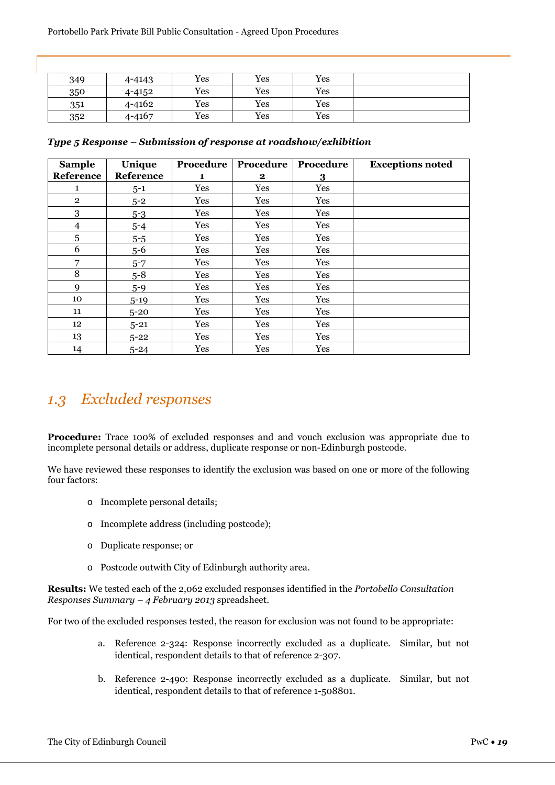| 349 | 4-4143     | Yes | Yes | Yes |  |
|-----|------------|-----|-----|-----|--|
| 350 | 4-4152     | Yes | Yes | Yes |  |
| 351 | 4-4162     | Yes | Yes | Yes |  |
| 352 | $4 - 4167$ | Yes | Yes | Yes |  |

| <b>Sample</b>   | Unique    | Procedure | Procedure | Procedure | <b>Exceptions noted</b> |
|-----------------|-----------|-----------|-----------|-----------|-------------------------|
| Reference       | Reference | 1         | $\bf{2}$  | 3         |                         |
| 1               | $5 - 1$   | Yes       | Yes       | Yes       |                         |
| $\overline{2}$  | $5 - 2$   | Yes       | Yes       | Yes       |                         |
| 3               | $5 - 3$   | Yes       | Yes       | Yes       |                         |
| 4               | $5 - 4$   | Yes       | Yes       | Yes       |                         |
| 5               | $5 - 5$   | Yes       | Yes       | Yes       |                         |
| 6               | $5 - 6$   | Yes       | Yes       | Yes       |                         |
| 7               | $5 - 7$   | Yes       | Yes       | Yes       |                         |
| 8               | $5 - 8$   | Yes       | Yes       | Yes       |                         |
| 9               | $5 - 9$   | Yes       | Yes       | Yes       |                         |
| 10              | $5 - 19$  | Yes       | Yes       | Yes       |                         |
| 11              | $5 - 20$  | Yes       | Yes       | Yes       |                         |
| 12 <sup>°</sup> | $5 - 21$  | Yes       | Yes       | Yes       |                         |
| 13              | $5 - 22$  | Yes       | Yes       | Yes       |                         |
| 14              | $5 - 24$  | Yes       | Yes       | Yes       |                         |

*Type 5 Response – Submission of response at roadshow/exhibition*

## *1.3 Excluded responses*

**Procedure:** Trace 100% of excluded responses and and vouch exclusion was appropriate due to incomplete personal details or address, duplicate response or non-Edinburgh postcode.

We have reviewed these responses to identify the exclusion was based on one or more of the following four factors:

- o Incomplete personal details;
- o Incomplete address (including postcode);
- o Duplicate response; or
- o Postcode outwith City of Edinburgh authority area.

**Results:** We tested each of the 2,062 excluded responses identified in the *Portobello Consultation Responses Summary – 4 February 2013* spreadsheet.

For two of the excluded responses tested, the reason for exclusion was not found to be appropriate:

- a. Reference 2-324: Response incorrectly excluded as a duplicate. Similar, but not identical, respondent details to that of reference 2-307.
- b. Reference 2-490: Response incorrectly excluded as a duplicate. Similar, but not identical, respondent details to that of reference 1-508801.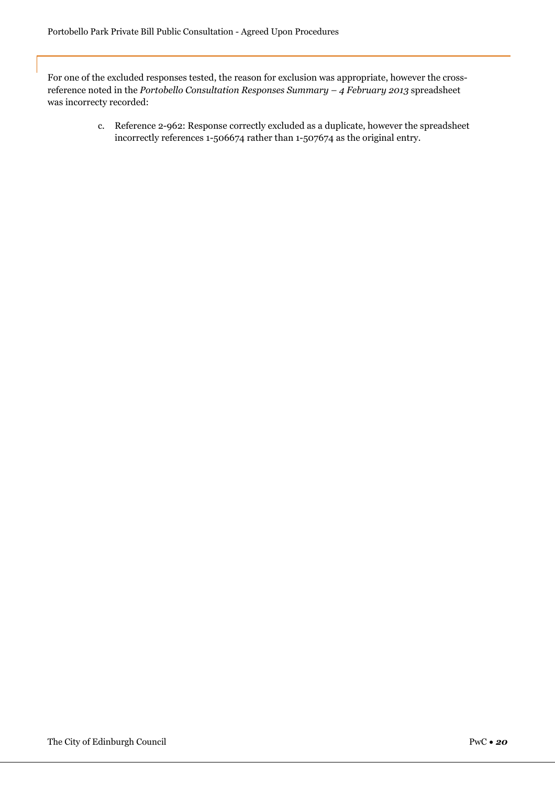For one of the excluded responses tested, the reason for exclusion was appropriate, however the crossreference noted in the *Portobello Consultation Responses Summary – 4 February 2013* spreadsheet was incorrecty recorded:

> c. Reference 2-962: Response correctly excluded as a duplicate, however the spreadsheet incorrectly references 1-506674 rather than 1-507674 as the original entry.